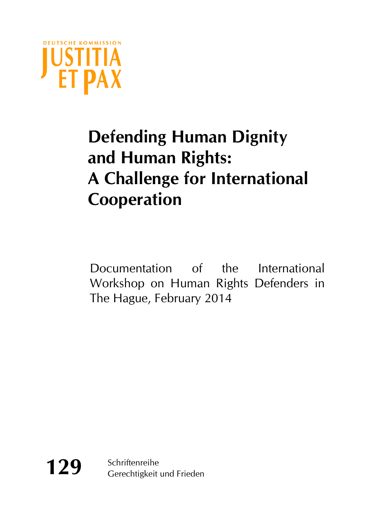

# **Defending Human Dignity and Human Rights: A Challenge for International Cooperation**

Documentation of the International Workshop on Human Rights Defenders in The Hague, February 2014



**129** Schriftenreihe Gerechtigkeit und Frieden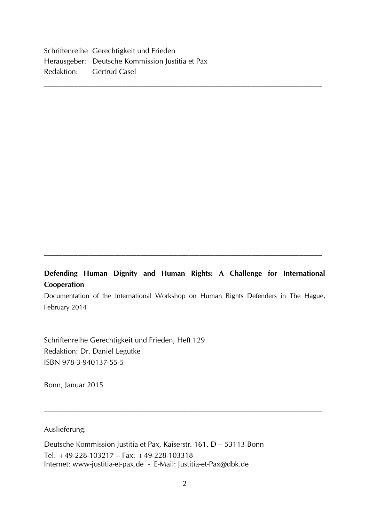Schriftenreihe Gerechtigkeit und Frieden Herausgeber: Deutsche Kommission Justitia et Pax Redaktion: Gertrud Casel

## **Defending Human Dignity and Human Rights: A Challenge for International Cooperation**

\_\_\_\_\_\_\_\_\_\_\_\_\_\_\_\_\_\_\_\_\_\_\_\_\_\_\_\_\_\_\_\_\_\_\_\_\_\_\_\_\_\_\_\_\_\_\_\_\_\_\_\_\_\_\_\_\_\_\_\_\_\_\_\_\_\_\_\_\_\_\_\_\_\_\_

 $\_$  , and the set of the set of the set of the set of the set of the set of the set of the set of the set of the set of the set of the set of the set of the set of the set of the set of the set of the set of the set of th

Documentation of the International Workshop on Human Rights Defenders in The Hague, February 2014

Schriftenreihe Gerechtigkeit und Frieden, Heft 129 Redaktion: Dr. Daniel Legutke ISBN 978-3-940137-55-5

Bonn, Januar 2015

Auslieferung:

Deutsche Kommission Justitia et Pax, Kaiserstr. 161, D – 53113 Bonn Tel: +49-228-103217 – Fax: +49-228-103318 Internet: www-justitia-et-pax.de - E-Mail: Justitia-et-Pax@dbk.de

 $\_$  , and the set of the set of the set of the set of the set of the set of the set of the set of the set of the set of the set of the set of the set of the set of the set of the set of the set of the set of the set of th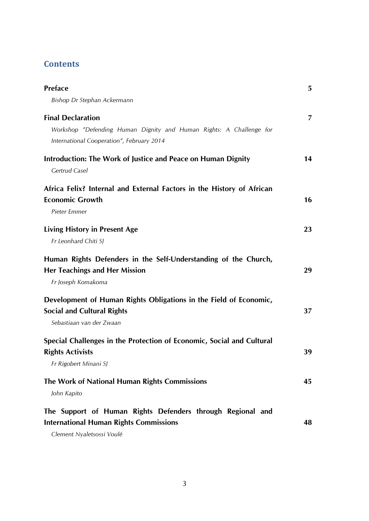# **Contents**

| <b>Preface</b>                                                        | 5  |
|-----------------------------------------------------------------------|----|
| Bishop Dr Stephan Ackermann                                           |    |
| <b>Final Declaration</b>                                              | 7  |
| Workshop "Defending Human Dignity and Human Rights: A Challenge for   |    |
| International Cooperation", February 2014                             |    |
| Introduction: The Work of Justice and Peace on Human Dignity          | 14 |
| <b>Gertrud Casel</b>                                                  |    |
| Africa Felix? Internal and External Factors in the History of African |    |
| <b>Economic Growth</b>                                                | 16 |
| Pieter Emmer                                                          |    |
| <b>Living History in Present Age</b>                                  | 23 |
| Fr Leonhard Chiti SJ                                                  |    |
| Human Rights Defenders in the Self-Understanding of the Church,       |    |
| <b>Her Teachings and Her Mission</b>                                  | 29 |
| Fr Joseph Komakoma                                                    |    |
| Development of Human Rights Obligations in the Field of Economic,     |    |
| <b>Social and Cultural Rights</b>                                     | 37 |
| Sebastiaan van der Zwaan                                              |    |
| Special Challenges in the Protection of Economic, Social and Cultural |    |
| <b>Rights Activists</b>                                               | 39 |
| Fr Rigobert Minani SJ                                                 |    |
| The Work of National Human Rights Commissions                         | 45 |
| John Kapito                                                           |    |
| The Support of Human Rights Defenders through Regional and            |    |
| <b>International Human Rights Commissions</b>                         | 48 |
| Clement Nyaletsossi Voulé                                             |    |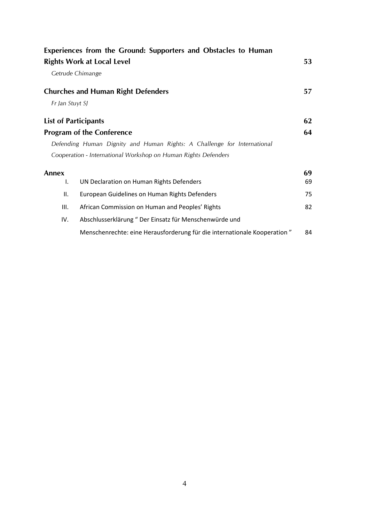|                             | Experiences from the Ground: Supporters and Obstacles to Human           |    |
|-----------------------------|--------------------------------------------------------------------------|----|
|                             | <b>Rights Work at Local Level</b>                                        | 53 |
|                             | Getrude Chimange                                                         |    |
|                             | <b>Churches and Human Right Defenders</b>                                | 57 |
| Fr Jan Stuyt SJ             |                                                                          |    |
| <b>List of Participants</b> |                                                                          | 62 |
|                             | <b>Program of the Conference</b>                                         | 64 |
|                             | Defending Human Dignity and Human Rights: A Challenge for International  |    |
|                             | Cooperation - International Workshop on Human Rights Defenders           |    |
| <b>Annex</b>                |                                                                          | 69 |
| Ι.                          | UN Declaration on Human Rights Defenders                                 | 69 |
| ΙΙ.                         | European Guidelines on Human Rights Defenders                            | 75 |
| Ш.                          | African Commission on Human and Peoples' Rights                          | 82 |
| IV.                         | Abschlusserklärung "Der Einsatz für Menschenwürde und                    |    |
|                             | Menschenrechte: eine Herausforderung für die internationale Kooperation" | 84 |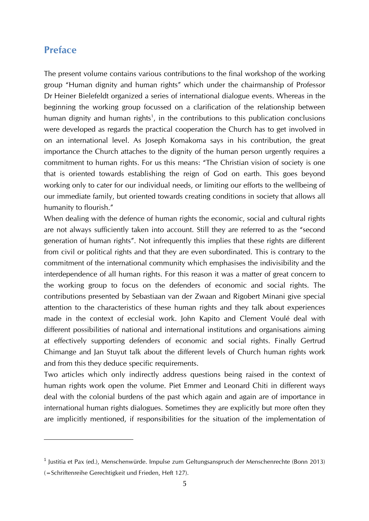# **Preface**

 $\overline{a}$ 

The present volume contains various contributions to the final workshop of the working group "Human dignity and human rights" which under the chairmanship of Professor Dr Heiner Bielefeldt organized a series of international dialogue events. Whereas in the beginning the working group focussed on a clarification of the relationship between human dignity and human rights<sup>1</sup>, in the contributions to this publication conclusions were developed as regards the practical cooperation the Church has to get involved in on an international level. As Joseph Komakoma says in his contribution, the great importance the Church attaches to the dignity of the human person urgently requires a commitment to human rights. For us this means: "The Christian vision of society is one that is oriented towards establishing the reign of God on earth. This goes beyond working only to cater for our individual needs, or limiting our efforts to the wellbeing of our immediate family, but oriented towards creating conditions in society that allows all humanity to flourish."

When dealing with the defence of human rights the economic, social and cultural rights are not always sufficiently taken into account. Still they are referred to as the "second generation of human rights". Not infrequently this implies that these rights are different from civil or political rights and that they are even subordinated. This is contrary to the commitment of the international community which emphasises the indivisibility and the interdependence of all human rights. For this reason it was a matter of great concern to the working group to focus on the defenders of economic and social rights. The contributions presented by Sebastiaan van der Zwaan and Rigobert Minani give special attention to the characteristics of these human rights and they talk about experiences made in the context of ecclesial work. John Kapito and Clement Voulé deal with different possibilities of national and international institutions and organisations aiming at effectively supporting defenders of economic and social rights. Finally Gertrud Chimange and Jan Stuyut talk about the different levels of Church human rights work and from this they deduce specific requirements.

Two articles which only indirectly address questions being raised in the context of human rights work open the volume. Piet Emmer and Leonard Chiti in different ways deal with the colonial burdens of the past which again and again are of importance in international human rights dialogues. Sometimes they are explicitly but more often they are implicitly mentioned, if responsibilities for the situation of the implementation of

<sup>&</sup>lt;sup>1</sup> Justitia et Pax (ed.), Menschenwürde. Impulse zum Geltungsanspruch der Menschenrechte (Bonn 2013) (=Schriftenreihe Gerechtigkeit und Frieden, Heft 127).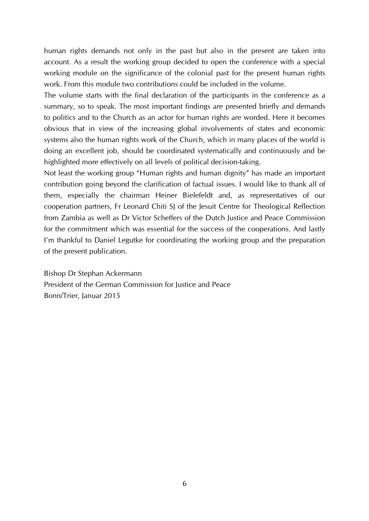human rights demands not only in the past but also in the present are taken into account. As a result the working group decided to open the conference with a special working module on the significance of the colonial past for the present human rights work. From this module two contributions could be included in the volume.

The volume starts with the final declaration of the participants in the conference as a summary, so to speak. The most important findings are presented briefly and demands to politics and to the Church as an actor for human rights are worded. Here it becomes obvious that in view of the increasing global involvements of states and economic systems also the human rights work of the Church, which in many places of the world is doing an excellent job, should be coordinated systematically and continuously and be highlighted more effectively on all levels of political decision-taking.

Not least the working group "Human rights and human dignity" has made an important contribution going beyond the clarification of factual issues. I would like to thank all of them, especially the chairman Heiner Bielefeldt and, as representatives of our cooperation partners, Fr Leonard Chiti SJ of the Jesuit Centre for Theological Reflection from Zambia as well as Dr Victor Scheffers of the Dutch Justice and Peace Commission for the commitment which was essential for the success of the cooperations. And lastly I'm thankful to Daniel Legutke for coordinating the working group and the preparation of the present publication.

Bishop Dr Stephan Ackermann President of the German Commission for Justice and Peace Bonn/Trier, Januar 2015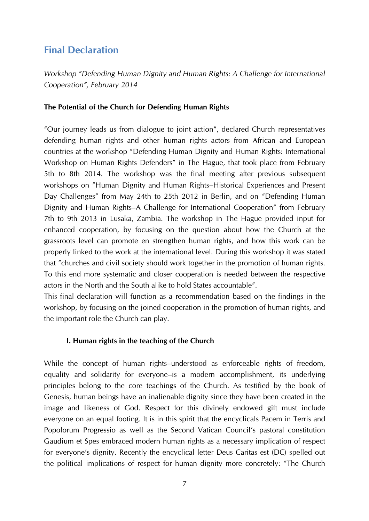# **Final Declaration**

*Workshop "Defending Human Dignity and Human Rights: A Challenge for International Cooperation", February 2014* 

#### **The Potential of the Church for Defending Human Rights**

"Our journey leads us from dialogue to joint action", declared Church representatives defending human rights and other human rights actors from African and European countries at the workshop "Defending Human Dignity and Human Rights: International Workshop on Human Rights Defenders" in The Hague, that took place from February 5th to 8th 2014. The workshop was the final meeting after previous subsequent workshops on "Human Dignity and Human Rights–Historical Experiences and Present Day Challenges" from May 24th to 25th 2012 in Berlin, and on "Defending Human Dignity and Human Rights–A Challenge for International Cooperation" from February 7th to 9th 2013 in Lusaka, Zambia. The workshop in The Hague provided input for enhanced cooperation, by focusing on the question about how the Church at the grassroots level can promote en strengthen human rights, and how this work can be properly linked to the work at the international level. During this workshop it was stated that "churches and civil society should work together in the promotion of human rights. To this end more systematic and closer cooperation is needed between the respective actors in the North and the South alike to hold States accountable".

This final declaration will function as a recommendation based on the findings in the workshop, by focusing on the joined cooperation in the promotion of human rights, and the important role the Church can play.

#### **I. Human rights in the teaching of the Church**

While the concept of human rights–understood as enforceable rights of freedom, equality and solidarity for everyone–is a modern accomplishment, its underlying principles belong to the core teachings of the Church. As testified by the book of Genesis, human beings have an inalienable dignity since they have been created in the image and likeness of God. Respect for this divinely endowed gift must include everyone on an equal footing. It is in this spirit that the encyclicals Pacem in Terris and Popolorum Progressio as well as the Second Vatican Council's pastoral constitution Gaudium et Spes embraced modern human rights as a necessary implication of respect for everyone's dignity. Recently the encyclical letter Deus Caritas est (DC) spelled out the political implications of respect for human dignity more concretely: "The Church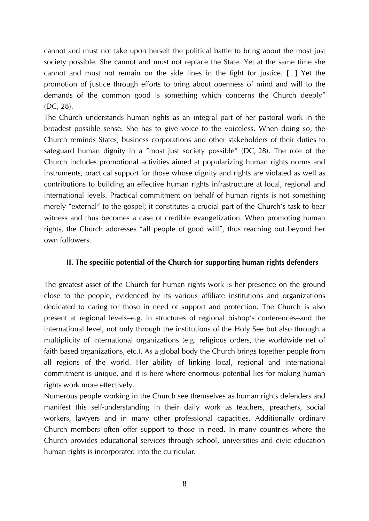cannot and must not take upon herself the political battle to bring about the most just society possible. She cannot and must not replace the State. Yet at the same time she cannot and must not remain on the side lines in the fight for justice. […] Yet the promotion of justice through efforts to bring about openness of mind and will to the demands of the common good is something which concerns the Church deeply" (DC, 28).

The Church understands human rights as an integral part of her pastoral work in the broadest possible sense. She has to give voice to the voiceless. When doing so, the Church reminds States, business corporations and other stakeholders of their duties to safeguard human dignity in a "most just society possible" (DC, 28). The role of the Church includes promotional activities aimed at popularizing human rights norms and instruments, practical support for those whose dignity and rights are violated as well as contributions to building an effective human rights infrastructure at local, regional and international levels. Practical commitment on behalf of human rights is not something merely "external" to the gospel; it constitutes a crucial part of the Church's task to bear witness and thus becomes a case of credible evangelization. When promoting human rights, the Church addresses "all people of good will", thus reaching out beyond her own followers.

#### **II. The specific potential of the Church for supporting human rights defenders**

The greatest asset of the Church for human rights work is her presence on the ground close to the people, evidenced by its various affiliate institutions and organizations dedicated to caring for those in need of support and protection. The Church is also present at regional levels–e.g. in structures of regional bishop's conferences–and the international level, not only through the institutions of the Holy See but also through a multiplicity of international organizations (e.g. religious orders, the worldwide net of faith based organizations, etc.). As a global body the Church brings together people from all regions of the world. Her ability of linking local, regional and international commitment is unique, and it is here where enormous potential lies for making human rights work more effectively.

Numerous people working in the Church see themselves as human rights defenders and manifest this self-understanding in their daily work as teachers, preachers, social workers, lawyers and in many other professional capacities. Additionally ordinary Church members often offer support to those in need. In many countries where the Church provides educational services through school, universities and civic education human rights is incorporated into the curricular.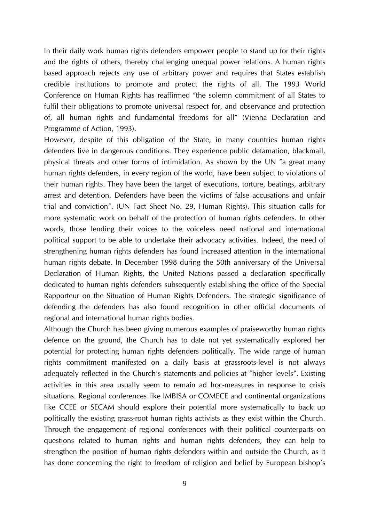In their daily work human rights defenders empower people to stand up for their rights and the rights of others, thereby challenging unequal power relations. A human rights based approach rejects any use of arbitrary power and requires that States establish credible institutions to promote and protect the rights of all. The 1993 World Conference on Human Rights has reaffirmed "the solemn commitment of all States to fulfil their obligations to promote universal respect for, and observance and protection of, all human rights and fundamental freedoms for all" (Vienna Declaration and Programme of Action, 1993).

However, despite of this obligation of the State, in many countries human rights defenders live in dangerous conditions. They experience public defamation, blackmail, physical threats and other forms of intimidation. As shown by the UN "a great many human rights defenders, in every region of the world, have been subject to violations of their human rights. They have been the target of executions, torture, beatings, arbitrary arrest and detention. Defenders have been the victims of false accusations and unfair trial and conviction". (UN Fact Sheet No. 29, Human Rights). This situation calls for more systematic work on behalf of the protection of human rights defenders. In other words, those lending their voices to the voiceless need national and international political support to be able to undertake their advocacy activities. Indeed, the need of strengthening human rights defenders has found increased attention in the international human rights debate. In December 1998 during the 50th anniversary of the Universal Declaration of Human Rights, the United Nations passed a declaration specifically dedicated to human rights defenders subsequently establishing the office of the Special Rapporteur on the Situation of Human Rights Defenders. The strategic significance of defending the defenders has also found recognition in other official documents of regional and international human rights bodies.

Although the Church has been giving numerous examples of praiseworthy human rights defence on the ground, the Church has to date not yet systematically explored her potential for protecting human rights defenders politically. The wide range of human rights commitment manifested on a daily basis at grassroots-level is not always adequately reflected in the Church's statements and policies at "higher levels". Existing activities in this area usually seem to remain ad hoc-measures in response to crisis situations. Regional conferences like IMBISA or COMECE and continental organizations like CCEE or SECAM should explore their potential more systematically to back up politically the existing grass-root human rights activists as they exist within the Church. Through the engagement of regional conferences with their political counterparts on questions related to human rights and human rights defenders, they can help to strengthen the position of human rights defenders within and outside the Church, as it has done concerning the right to freedom of religion and belief by European bishop's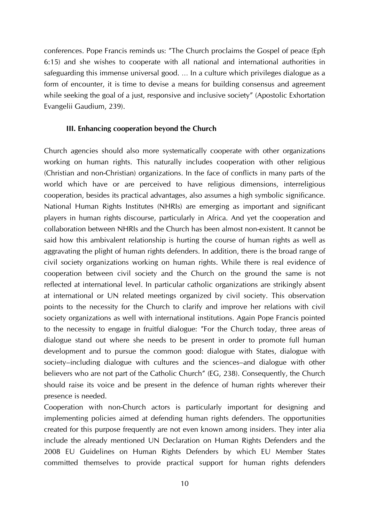conferences. Pope Francis reminds us: "The Church proclaims the Gospel of peace (Eph 6:15) and she wishes to cooperate with all national and international authorities in safeguarding this immense universal good. … In a culture which privileges dialogue as a form of encounter, it is time to devise a means for building consensus and agreement while seeking the goal of a just, responsive and inclusive society" (Apostolic Exhortation Evangelii Gaudium, 239).

#### **III. Enhancing cooperation beyond the Church**

Church agencies should also more systematically cooperate with other organizations working on human rights. This naturally includes cooperation with other religious (Christian and non-Christian) organizations. In the face of conflicts in many parts of the world which have or are perceived to have religious dimensions, interreligious cooperation, besides its practical advantages, also assumes a high symbolic significance. National Human Rights Institutes (NHRIs) are emerging as important and significant players in human rights discourse, particularly in Africa. And yet the cooperation and collaboration between NHRIs and the Church has been almost non-existent. It cannot be said how this ambivalent relationship is hurting the course of human rights as well as aggravating the plight of human rights defenders. In addition, there is the broad range of civil society organizations working on human rights. While there is real evidence of cooperation between civil society and the Church on the ground the same is not reflected at international level. In particular catholic organizations are strikingly absent at international or UN related meetings organized by civil society. This observation points to the necessity for the Church to clarify and improve her relations with civil society organizations as well with international institutions. Again Pope Francis pointed to the necessity to engage in fruitful dialogue: "For the Church today, three areas of dialogue stand out where she needs to be present in order to promote full human development and to pursue the common good: dialogue with States, dialogue with society–including dialogue with cultures and the sciences–and dialogue with other believers who are not part of the Catholic Church" (EG, 238). Consequently, the Church should raise its voice and be present in the defence of human rights wherever their presence is needed.

Cooperation with non-Church actors is particularly important for designing and implementing policies aimed at defending human rights defenders. The opportunities created for this purpose frequently are not even known among insiders. They inter alia include the already mentioned UN Declaration on Human Rights Defenders and the 2008 EU Guidelines on Human Rights Defenders by which EU Member States committed themselves to provide practical support for human rights defenders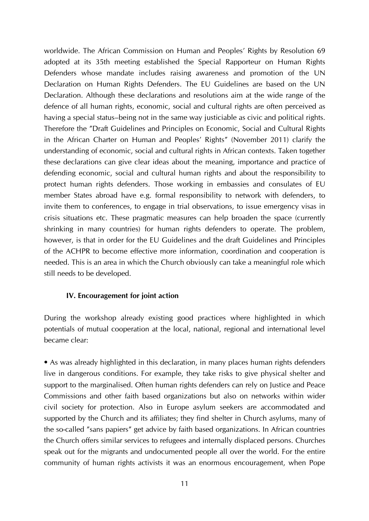worldwide. The African Commission on Human and Peoples' Rights by Resolution 69 adopted at its 35th meeting established the Special Rapporteur on Human Rights Defenders whose mandate includes raising awareness and promotion of the UN Declaration on Human Rights Defenders. The EU Guidelines are based on the UN Declaration. Although these declarations and resolutions aim at the wide range of the defence of all human rights, economic, social and cultural rights are often perceived as having a special status–being not in the same way justiciable as civic and political rights. Therefore the "Draft Guidelines and Principles on Economic, Social and Cultural Rights in the African Charter on Human and Peoples' Rights" (November 2011) clarify the understanding of economic, social and cultural rights in African contexts. Taken together these declarations can give clear ideas about the meaning, importance and practice of defending economic, social and cultural human rights and about the responsibility to protect human rights defenders. Those working in embassies and consulates of EU member States abroad have e.g. formal responsibility to network with defenders, to invite them to conferences, to engage in trial observations, to issue emergency visas in crisis situations etc. These pragmatic measures can help broaden the space (currently shrinking in many countries) for human rights defenders to operate. The problem, however, is that in order for the EU Guidelines and the draft Guidelines and Principles of the ACHPR to become effective more information, coordination and cooperation is needed. This is an area in which the Church obviously can take a meaningful role which still needs to be developed.

#### **IV. Encouragement for joint action**

During the workshop already existing good practices where highlighted in which potentials of mutual cooperation at the local, national, regional and international level became clear:

• As was already highlighted in this declaration, in many places human rights defenders live in dangerous conditions. For example, they take risks to give physical shelter and support to the marginalised. Often human rights defenders can rely on Justice and Peace Commissions and other faith based organizations but also on networks within wider civil society for protection. Also in Europe asylum seekers are accommodated and supported by the Church and its affiliates; they find shelter in Church asylums, many of the so-called "sans papiers" get advice by faith based organizations. In African countries the Church offers similar services to refugees and internally displaced persons. Churches speak out for the migrants and undocumented people all over the world. For the entire community of human rights activists it was an enormous encouragement, when Pope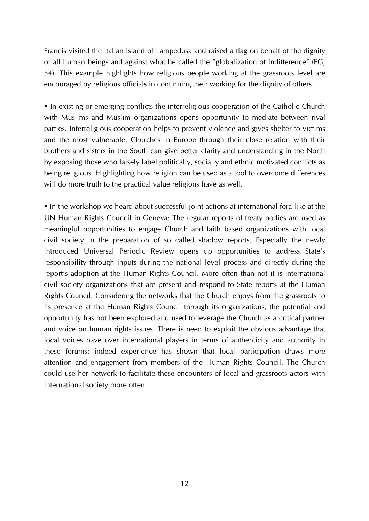Francis visited the Italian Island of Lampedusa and raised a flag on behalf of the dignity of all human beings and against what he called the "globalization of indifference" (EG, 54). This example highlights how religious people working at the grassroots level are encouraged by religious officials in continuing their working for the dignity of others.

• In existing or emerging conflicts the interreligious cooperation of the Catholic Church with Muslims and Muslim organizations opens opportunity to mediate between rival parties. Interreligious cooperation helps to prevent violence and gives shelter to victims and the most vulnerable. Churches in Europe through their close relation with their brothers and sisters in the South can give better clarity and understanding in the North by exposing those who falsely label politically, socially and ethnic motivated conflicts as being religious. Highlighting how religion can be used as a tool to overcome differences will do more truth to the practical value religions have as well.

• In the workshop we heard about successful joint actions at international fora like at the UN Human Rights Council in Geneva: The regular reports of treaty bodies are used as meaningful opportunities to engage Church and faith based organizations with local civil society in the preparation of so called shadow reports. Especially the newly introduced Universal Periodic Review opens up opportunities to address State's responsibility through inputs during the national level process and directly during the report's adoption at the Human Rights Council. More often than not it is international civil society organizations that are present and respond to State reports at the Human Rights Council. Considering the networks that the Church enjoys from the grassroots to its presence at the Human Rights Council through its organizations, the potential and opportunity has not been explored and used to leverage the Church as a critical partner and voice on human rights issues. There is need to exploit the obvious advantage that local voices have over international players in terms of authenticity and authority in these forums; indeed experience has shown that local participation draws more attention and engagement from members of the Human Rights Council. The Church could use her network to facilitate these encounters of local and grassroots actors with international society more often.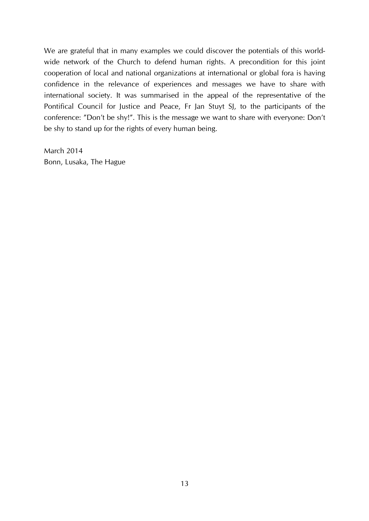We are grateful that in many examples we could discover the potentials of this worldwide network of the Church to defend human rights. A precondition for this joint cooperation of local and national organizations at international or global fora is having confidence in the relevance of experiences and messages we have to share with international society. It was summarised in the appeal of the representative of the Pontifical Council for Justice and Peace, Fr Jan Stuyt SJ, to the participants of the conference: "Don't be shy!". This is the message we want to share with everyone: Don't be shy to stand up for the rights of every human being.

March 2014 Bonn, Lusaka, The Hague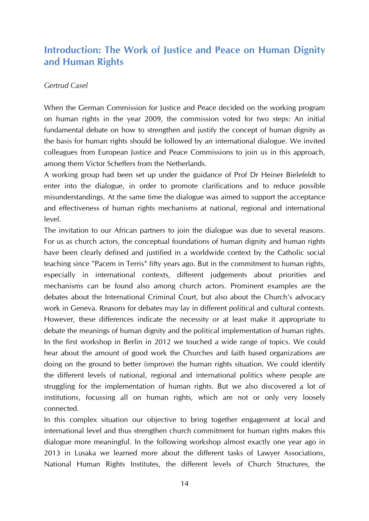# **Introduction: The Work of Justice and Peace on Human Dignity and Human Rights**

#### *Gertrud Casel*

When the German Commission for Justice and Peace decided on the working program on human rights in the year 2009, the commission voted for two steps: An initial fundamental debate on how to strengthen and justify the concept of human dignity as the basis for human rights should be followed by an international dialogue. We invited colleagues from European Justice and Peace Commissions to join us in this approach, among them Victor Scheffers from the Netherlands.

A working group had been set up under the guidance of Prof Dr Heiner Bielefeldt to enter into the dialogue, in order to promote clarifications and to reduce possible misunderstandings. At the same time the dialogue was aimed to support the acceptance and effectiveness of human rights mechanisms at national, regional and international level.

The invitation to our African partners to join the dialogue was due to several reasons. For us as church actors, the conceptual foundations of human dignity and human rights have been clearly defined and justified in a worldwide context by the Catholic social teaching since "Pacem in Terris" fifty years ago. But in the commitment to human rights, especially in international contexts, different judgements about priorities and mechanisms can be found also among church actors. Prominent examples are the debates about the International Criminal Court, but also about the Church's advocacy work in Geneva. Reasons for debates may lay in different political and cultural contexts. However, these differences indicate the necessity or at least make it appropriate to debate the meanings of human dignity and the political implementation of human rights. In the first workshop in Berlin in 2012 we touched a wide range of topics. We could hear about the amount of good work the Churches and faith based organizations are doing on the ground to better (improve) the human rights situation. We could identify the different levels of national, regional and international politics where people are struggling for the implementation of human rights. But we also discovered a lot of institutions, focussing all on human rights, which are not or only very loosely connected.

In this complex situation our objective to bring together engagement at local and international level and thus strengthen church commitment for human rights makes this dialogue more meaningful. In the following workshop almost exactly one year ago in 2013 in Lusaka we learned more about the different tasks of Lawyer Associations, National Human Rights Institutes, the different levels of Church Structures, the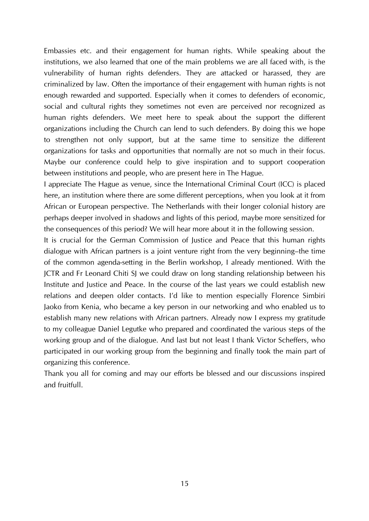Embassies etc. and their engagement for human rights. While speaking about the institutions, we also learned that one of the main problems we are all faced with, is the vulnerability of human rights defenders. They are attacked or harassed, they are criminalized by law. Often the importance of their engagement with human rights is not enough rewarded and supported. Especially when it comes to defenders of economic, social and cultural rights they sometimes not even are perceived nor recognized as human rights defenders. We meet here to speak about the support the different organizations including the Church can lend to such defenders. By doing this we hope to strengthen not only support, but at the same time to sensitize the different organizations for tasks and opportunities that normally are not so much in their focus. Maybe our conference could help to give inspiration and to support cooperation between institutions and people, who are present here in The Hague.

I appreciate The Hague as venue, since the International Criminal Court (ICC) is placed here, an institution where there are some different perceptions, when you look at it from African or European perspective. The Netherlands with their longer colonial history are perhaps deeper involved in shadows and lights of this period, maybe more sensitized for the consequences of this period? We will hear more about it in the following session.

It is crucial for the German Commission of Justice and Peace that this human rights dialogue with African partners is a joint venture right from the very beginning–the time of the common agenda-setting in the Berlin workshop, I already mentioned. With the JCTR and Fr Leonard Chiti SJ we could draw on long standing relationship between his Institute and Justice and Peace. In the course of the last years we could establish new relations and deepen older contacts. I'd like to mention especially Florence Simbiri Jaoko from Kenia, who became a key person in our networking and who enabled us to establish many new relations with African partners. Already now I express my gratitude to my colleague Daniel Legutke who prepared and coordinated the various steps of the working group and of the dialogue. And last but not least I thank Victor Scheffers, who participated in our working group from the beginning and finally took the main part of organizing this conference.

Thank you all for coming and may our efforts be blessed and our discussions inspired and fruitfull.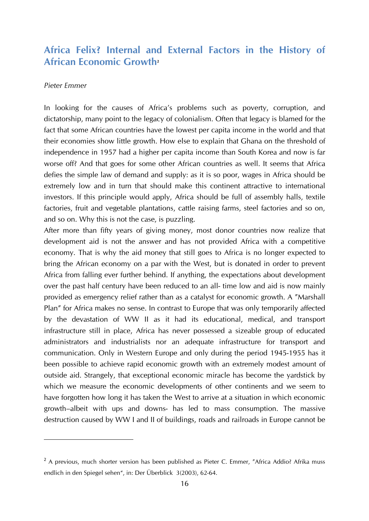# **Africa Felix? Internal and External Factors in the History of African Economic Growth<sup>2</sup>**

#### *Pieter Emmer*

 $\overline{a}$ 

In looking for the causes of Africa's problems such as poverty, corruption, and dictatorship, many point to the legacy of colonialism. Often that legacy is blamed for the fact that some African countries have the lowest per capita income in the world and that their economies show little growth. How else to explain that Ghana on the threshold of independence in 1957 had a higher per capita income than South Korea and now is far worse off? And that goes for some other African countries as well. It seems that Africa defies the simple law of demand and supply: as it is so poor, wages in Africa should be extremely low and in turn that should make this continent attractive to international investors. If this principle would apply, Africa should be full of assembly halls, textile factories, fruit and vegetable plantations, cattle raising farms, steel factories and so on, and so on. Why this is not the case, is puzzling.

After more than fifty years of giving money, most donor countries now realize that development aid is not the answer and has not provided Africa with a competitive economy. That is why the aid money that still goes to Africa is no longer expected to bring the African economy on a par with the West, but is donated in order to prevent Africa from falling ever further behind. If anything, the expectations about development over the past half century have been reduced to an all- time low and aid is now mainly provided as emergency relief rather than as a catalyst for economic growth. A "Marshall Plan" for Africa makes no sense. In contrast to Europe that was only temporarily affected by the devastation of WW II as it had its educational, medical, and transport infrastructure still in place, Africa has never possessed a sizeable group of educated administrators and industrialists nor an adequate infrastructure for transport and communication. Only in Western Europe and only during the period 1945-1955 has it been possible to achieve rapid economic growth with an extremely modest amount of outside aid. Strangely, that exceptional economic miracle has become the yardstick by which we measure the economic developments of other continents and we seem to have forgotten how long it has taken the West to arrive at a situation in which economic growth–albeit with ups and downs- has led to mass consumption. The massive destruction caused by WW I and II of buildings, roads and railroads in Europe cannot be

<sup>&</sup>lt;sup>2</sup> A previous, much shorter version has been published as Pieter C. Emmer, "Africa Addio? Afrika muss endlich in den Spiegel sehen", in: Der Überblick 3(2003), 62-64.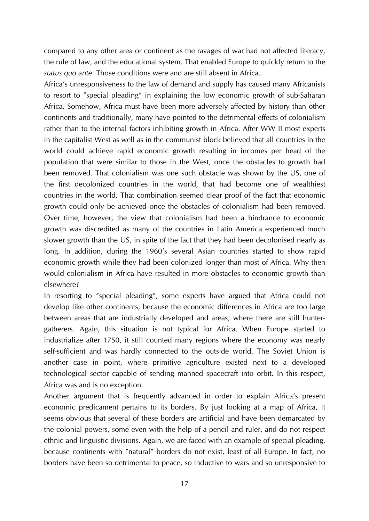compared to any other area or continent as the ravages of war had not affected literacy, the rule of law, and the educational system. That enabled Europe to quickly return to the *status quo ante*. Those conditions were and are still absent in Africa.

Africa's unresponsiveness to the law of demand and supply has caused many Africanists to resort to "special pleading" in explaining the low economic growth of sub-Saharan Africa. Somehow, Africa must have been more adversely affected by history than other continents and traditionally, many have pointed to the detrimental effects of colonialism rather than to the internal factors inhibiting growth in Africa. After WW II most experts in the capitalist West as well as in the communist block believed that all countries in the world could achieve rapid economic growth resulting in incomes per head of the population that were similar to those in the West, once the obstacles to growth had been removed. That colonialism was one such obstacle was shown by the US, one of the first decolonized countries in the world, that had become one of wealthiest countries in the world. That combination seemed clear proof of the fact that economic growth could only be achieved once the obstacles of colonialism had been removed. Over time, however, the view that colonialism had been a hindrance to economic growth was discredited as many of the countries in Latin America experienced much slower growth than the US, in spite of the fact that they had been decolonised nearly as long. In addition, during the 1960's several Asian countries started to show rapid economic growth while they had been colonized longer than most of Africa. Why then would colonialism in Africa have resulted in more obstacles to economic growth than elsewhere?

In resorting to "special pleading", some experts have argued that Africa could not develop like other continents, because the economic differences in Africa are too large between areas that are industrially developed and areas, where there are still huntergatherers. Again, this situation is not typical for Africa. When Europe started to industrialize after 1750, it still counted many regions where the economy was nearly self-sufficient and was hardly connected to the outside world. The Soviet Union is another case in point, where primitive agriculture existed next to a developed technological sector capable of sending manned spacecraft into orbit. In this respect, Africa was and is no exception.

Another argument that is frequently advanced in order to explain Africa's present economic predicament pertains to its borders. By just looking at a map of Africa, it seems obvious that several of these borders are artificial and have been demarcated by the colonial powers, some even with the help of a pencil and ruler, and do not respect ethnic and linguistic divisions. Again, we are faced with an example of special pleading, because continents with "natural" borders do not exist, least of all Europe. In fact, no borders have been so detrimental to peace, so inductive to wars and so unresponsive to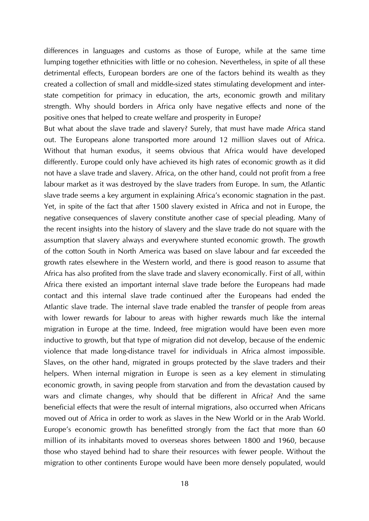differences in languages and customs as those of Europe, while at the same time lumping together ethnicities with little or no cohesion. Nevertheless, in spite of all these detrimental effects, European borders are one of the factors behind its wealth as they created a collection of small and middle-sized states stimulating development and interstate competition for primacy in education, the arts, economic growth and military strength. Why should borders in Africa only have negative effects and none of the positive ones that helped to create welfare and prosperity in Europe?

But what about the slave trade and slavery? Surely, that must have made Africa stand out. The Europeans alone transported more around 12 million slaves out of Africa. Without that human exodus, it seems obvious that Africa would have developed differently. Europe could only have achieved its high rates of economic growth as it did not have a slave trade and slavery. Africa, on the other hand, could not profit from a free labour market as it was destroyed by the slave traders from Europe. In sum, the Atlantic slave trade seems a key argument in explaining Africa's economic stagnation in the past. Yet, in spite of the fact that after 1500 slavery existed in Africa and not in Europe, the negative consequences of slavery constitute another case of special pleading. Many of the recent insights into the history of slavery and the slave trade do not square with the assumption that slavery always and everywhere stunted economic growth. The growth of the cotton South in North America was based on slave labour and far exceeded the growth rates elsewhere in the Western world, and there is good reason to assume that Africa has also profited from the slave trade and slavery economically. First of all, within Africa there existed an important internal slave trade before the Europeans had made contact and this internal slave trade continued after the Europeans had ended the Atlantic slave trade. The internal slave trade enabled the transfer of people from areas with lower rewards for labour to areas with higher rewards much like the internal migration in Europe at the time. Indeed, free migration would have been even more inductive to growth, but that type of migration did not develop, because of the endemic violence that made long-distance travel for individuals in Africa almost impossible. Slaves, on the other hand, migrated in groups protected by the slave traders and their helpers. When internal migration in Europe is seen as a key element in stimulating economic growth, in saving people from starvation and from the devastation caused by wars and climate changes, why should that be different in Africa? And the same beneficial effects that were the result of internal migrations, also occurred when Africans moved out of Africa in order to work as slaves in the New World or in the Arab World. Europe's economic growth has benefitted strongly from the fact that more than 60 million of its inhabitants moved to overseas shores between 1800 and 1960, because those who stayed behind had to share their resources with fewer people. Without the migration to other continents Europe would have been more densely populated, would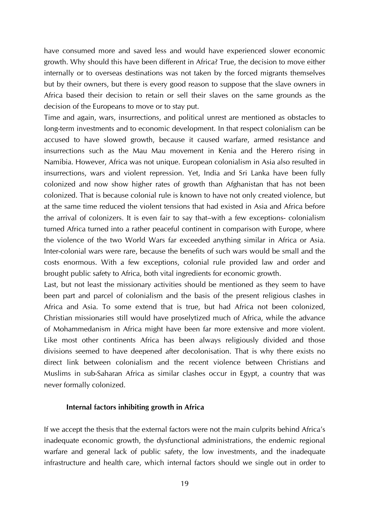have consumed more and saved less and would have experienced slower economic growth. Why should this have been different in Africa? True, the decision to move either internally or to overseas destinations was not taken by the forced migrants themselves but by their owners, but there is every good reason to suppose that the slave owners in Africa based their decision to retain or sell their slaves on the same grounds as the decision of the Europeans to move or to stay put.

Time and again, wars, insurrections, and political unrest are mentioned as obstacles to long-term investments and to economic development. In that respect colonialism can be accused to have slowed growth, because it caused warfare, armed resistance and insurrections such as the Mau Mau movement in Kenia and the Herero rising in Namibia. However, Africa was not unique. European colonialism in Asia also resulted in insurrections, wars and violent repression. Yet, India and Sri Lanka have been fully colonized and now show higher rates of growth than Afghanistan that has not been colonized. That is because colonial rule is known to have not only created violence, but at the same time reduced the violent tensions that had existed in Asia and Africa before the arrival of colonizers. It is even fair to say that–with a few exceptions- colonialism turned Africa turned into a rather peaceful continent in comparison with Europe, where the violence of the two World Wars far exceeded anything similar in Africa or Asia. Inter-colonial wars were rare, because the benefits of such wars would be small and the costs enormous. With a few exceptions, colonial rule provided law and order and brought public safety to Africa, both vital ingredients for economic growth.

Last, but not least the missionary activities should be mentioned as they seem to have been part and parcel of colonialism and the basis of the present religious clashes in Africa and Asia. To some extend that is true, but had Africa not been colonized, Christian missionaries still would have proselytized much of Africa, while the advance of Mohammedanism in Africa might have been far more extensive and more violent. Like most other continents Africa has been always religiously divided and those divisions seemed to have deepened after decolonisation. That is why there exists no direct link between colonialism and the recent violence between Christians and Muslims in sub-Saharan Africa as similar clashes occur in Egypt, a country that was never formally colonized.

#### **Internal factors inhibiting growth in Africa**

If we accept the thesis that the external factors were not the main culprits behind Africa's inadequate economic growth, the dysfunctional administrations, the endemic regional warfare and general lack of public safety, the low investments, and the inadequate infrastructure and health care, which internal factors should we single out in order to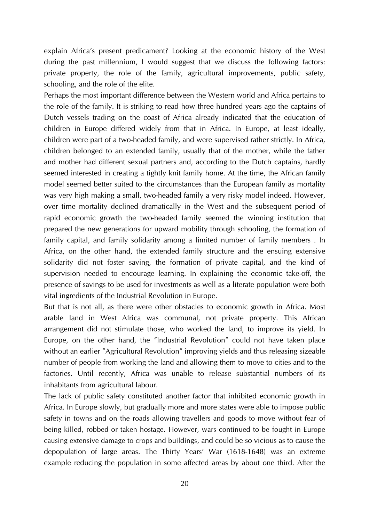explain Africa's present predicament? Looking at the economic history of the West during the past millennium, I would suggest that we discuss the following factors: private property, the role of the family, agricultural improvements, public safety, schooling, and the role of the elite.

Perhaps the most important difference between the Western world and Africa pertains to the role of the family. It is striking to read how three hundred years ago the captains of Dutch vessels trading on the coast of Africa already indicated that the education of children in Europe differed widely from that in Africa. In Europe, at least ideally, children were part of a two-headed family, and were supervised rather strictly. In Africa, children belonged to an extended family, usually that of the mother, while the father and mother had different sexual partners and, according to the Dutch captains, hardly seemed interested in creating a tightly knit family home. At the time, the African family model seemed better suited to the circumstances than the European family as mortality was very high making a small, two-headed family a very risky model indeed. However, over time mortality declined dramatically in the West and the subsequent period of rapid economic growth the two-headed family seemed the winning institution that prepared the new generations for upward mobility through schooling, the formation of family capital, and family solidarity among a limited number of family members . In Africa, on the other hand, the extended family structure and the ensuing extensive solidarity did not foster saving, the formation of private capital, and the kind of supervision needed to encourage learning. In explaining the economic take-off, the presence of savings to be used for investments as well as a literate population were both vital ingredients of the Industrial Revolution in Europe.

But that is not all, as there were other obstacles to economic growth in Africa. Most arable land in West Africa was communal, not private property. This African arrangement did not stimulate those, who worked the land, to improve its yield. In Europe, on the other hand, the "Industrial Revolution" could not have taken place without an earlier "Agricultural Revolution" improving yields and thus releasing sizeable number of people from working the land and allowing them to move to cities and to the factories. Until recently, Africa was unable to release substantial numbers of its inhabitants from agricultural labour.

The lack of public safety constituted another factor that inhibited economic growth in Africa. In Europe slowly, but gradually more and more states were able to impose public safety in towns and on the roads allowing travellers and goods to move without fear of being killed, robbed or taken hostage. However, wars continued to be fought in Europe causing extensive damage to crops and buildings, and could be so vicious as to cause the depopulation of large areas. The Thirty Years' War (1618-1648) was an extreme example reducing the population in some affected areas by about one third. After the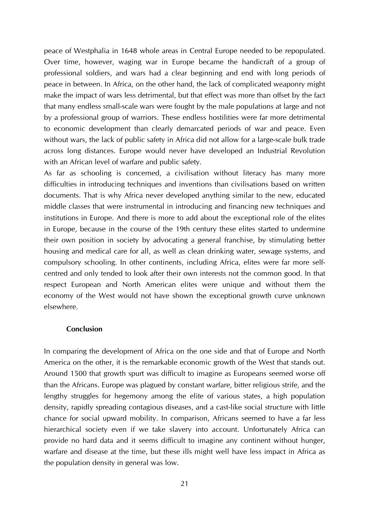peace of Westphalia in 1648 whole areas in Central Europe needed to be repopulated. Over time, however, waging war in Europe became the handicraft of a group of professional soldiers, and wars had a clear beginning and end with long periods of peace in between. In Africa, on the other hand, the lack of complicated weaponry might make the impact of wars less detrimental, but that effect was more than offset by the fact that many endless small-scale wars were fought by the male populations at large and not by a professional group of warriors. These endless hostilities were far more detrimental to economic development than clearly demarcated periods of war and peace. Even without wars, the lack of public safety in Africa did not allow for a large-scale bulk trade across long distances. Europe would never have developed an Industrial Revolution with an African level of warfare and public safety.

As far as schooling is concerned, a civilisation without literacy has many more difficulties in introducing techniques and inventions than civilisations based on written documents. That is why Africa never developed anything similar to the new, educated middle classes that were instrumental in introducing and financing new techniques and institutions in Europe. And there is more to add about the exceptional role of the elites in Europe, because in the course of the 19th century these elites started to undermine their own position in society by advocating a general franchise, by stimulating better housing and medical care for all, as well as clean drinking water, sewage systems, and compulsory schooling. In other continents, including Africa, elites were far more selfcentred and only tended to look after their own interests not the common good. In that respect European and North American elites were unique and without them the economy of the West would not have shown the exceptional growth curve unknown elsewhere.

#### **Conclusion**

In comparing the development of Africa on the one side and that of Europe and North America on the other, it is the remarkable economic growth of the West that stands out. Around 1500 that growth spurt was difficult to imagine as Europeans seemed worse off than the Africans. Europe was plagued by constant warfare, bitter religious strife, and the lengthy struggles for hegemony among the elite of various states, a high population density, rapidly spreading contagious diseases, and a cast-like social structure with little chance for social upward mobility. In comparison, Africans seemed to have a far less hierarchical society even if we take slavery into account. Unfortunately Africa can provide no hard data and it seems difficult to imagine any continent without hunger, warfare and disease at the time, but these ills might well have less impact in Africa as the population density in general was low.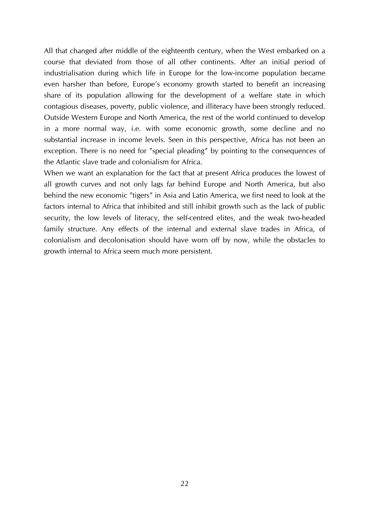All that changed after middle of the eighteenth century, when the West embarked on a course that deviated from those of all other continents. After an initial period of industrialisation during which life in Europe for the low-income population became even harsher than before, Europe's economy growth started to benefit an increasing share of its population allowing for the development of a welfare state in which contagious diseases, poverty, public violence, and illiteracy have been strongly reduced. Outside Western Europe and North America, the rest of the world continued to develop in a more normal way, i.e. with some economic growth, some decline and no substantial increase in income levels. Seen in this perspective, Africa has not been an exception. There is no need for "special pleading" by pointing to the consequences of the Atlantic slave trade and colonialism for Africa.

When we want an explanation for the fact that at present Africa produces the lowest of all growth curves and not only lags far behind Europe and North America, but also behind the new economic "tigers" in Asia and Latin America, we first need to look at the factors internal to Africa that inhibited and still inhibit growth such as the lack of public security, the low levels of literacy, the self-centred elites, and the weak two-headed family structure. Any effects of the internal and external slave trades in Africa, of colonialism and decolonisation should have worn off by now, while the obstacles to growth internal to Africa seem much more persistent.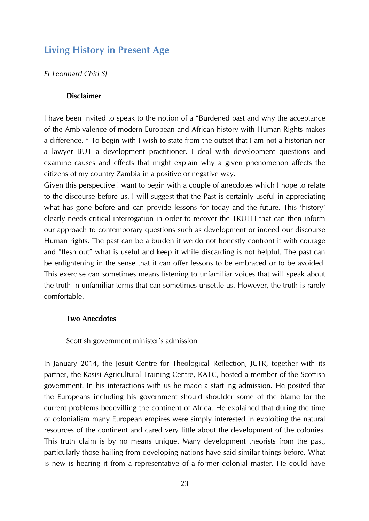# **Living History in Present Age**

*Fr Leonhard Chiti SJ* 

#### **Disclaimer**

I have been invited to speak to the notion of a "Burdened past and why the acceptance of the Ambivalence of modern European and African history with Human Rights makes a difference. " To begin with I wish to state from the outset that I am not a historian nor a lawyer BUT a development practitioner. I deal with development questions and examine causes and effects that might explain why a given phenomenon affects the citizens of my country Zambia in a positive or negative way.

Given this perspective I want to begin with a couple of anecdotes which I hope to relate to the discourse before us. I will suggest that the Past is certainly useful in appreciating what has gone before and can provide lessons for today and the future. This 'history' clearly needs critical interrogation in order to recover the TRUTH that can then inform our approach to contemporary questions such as development or indeed our discourse Human rights. The past can be a burden if we do not honestly confront it with courage and "flesh out" what is useful and keep it while discarding is not helpful. The past can be enlightening in the sense that it can offer lessons to be embraced or to be avoided. This exercise can sometimes means listening to unfamiliar voices that will speak about the truth in unfamiliar terms that can sometimes unsettle us. However, the truth is rarely comfortable.

#### **Two Anecdotes**

Scottish government minister's admission

In January 2014, the Jesuit Centre for Theological Reflection, JCTR, together with its partner, the Kasisi Agricultural Training Centre, KATC, hosted a member of the Scottish government. In his interactions with us he made a startling admission. He posited that the Europeans including his government should shoulder some of the blame for the current problems bedevilling the continent of Africa. He explained that during the time of colonialism many European empires were simply interested in exploiting the natural resources of the continent and cared very little about the development of the colonies. This truth claim is by no means unique. Many development theorists from the past, particularly those hailing from developing nations have said similar things before. What is new is hearing it from a representative of a former colonial master. He could have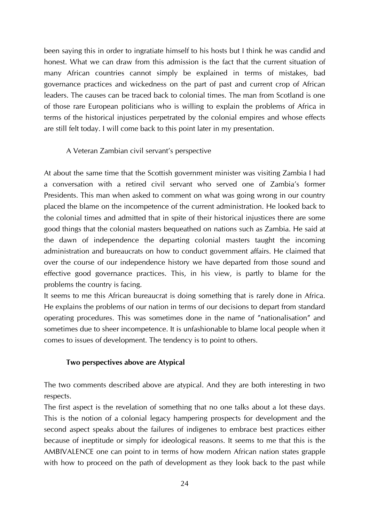been saying this in order to ingratiate himself to his hosts but I think he was candid and honest. What we can draw from this admission is the fact that the current situation of many African countries cannot simply be explained in terms of mistakes, bad governance practices and wickedness on the part of past and current crop of African leaders. The causes can be traced back to colonial times. The man from Scotland is one of those rare European politicians who is willing to explain the problems of Africa in terms of the historical injustices perpetrated by the colonial empires and whose effects are still felt today. I will come back to this point later in my presentation.

#### A Veteran Zambian civil servant's perspective

At about the same time that the Scottish government minister was visiting Zambia I had a conversation with a retired civil servant who served one of Zambia's former Presidents. This man when asked to comment on what was going wrong in our country placed the blame on the incompetence of the current administration. He looked back to the colonial times and admitted that in spite of their historical injustices there are some good things that the colonial masters bequeathed on nations such as Zambia. He said at the dawn of independence the departing colonial masters taught the incoming administration and bureaucrats on how to conduct government affairs. He claimed that over the course of our independence history we have departed from those sound and effective good governance practices. This, in his view, is partly to blame for the problems the country is facing.

It seems to me this African bureaucrat is doing something that is rarely done in Africa. He explains the problems of our nation in terms of our decisions to depart from standard operating procedures. This was sometimes done in the name of "nationalisation" and sometimes due to sheer incompetence. It is unfashionable to blame local people when it comes to issues of development. The tendency is to point to others.

#### **Two perspectives above are Atypical**

The two comments described above are atypical. And they are both interesting in two respects.

The first aspect is the revelation of something that no one talks about a lot these days. This is the notion of a colonial legacy hampering prospects for development and the second aspect speaks about the failures of indigenes to embrace best practices either because of ineptitude or simply for ideological reasons. It seems to me that this is the AMBIVALENCE one can point to in terms of how modern African nation states grapple with how to proceed on the path of development as they look back to the past while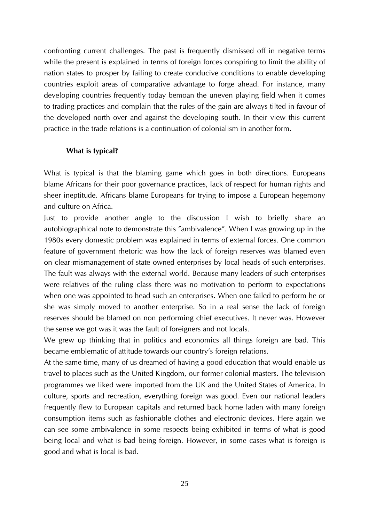confronting current challenges. The past is frequently dismissed off in negative terms while the present is explained in terms of foreign forces conspiring to limit the ability of nation states to prosper by failing to create conducive conditions to enable developing countries exploit areas of comparative advantage to forge ahead. For instance, many developing countries frequently today bemoan the uneven playing field when it comes to trading practices and complain that the rules of the gain are always tilted in favour of the developed north over and against the developing south. In their view this current practice in the trade relations is a continuation of colonialism in another form.

#### **What is typical?**

What is typical is that the blaming game which goes in both directions. Europeans blame Africans for their poor governance practices, lack of respect for human rights and sheer ineptitude. Africans blame Europeans for trying to impose a European hegemony and culture on Africa.

Just to provide another angle to the discussion I wish to briefly share an autobiographical note to demonstrate this "ambivalence". When I was growing up in the 1980s every domestic problem was explained in terms of external forces. One common feature of government rhetoric was how the lack of foreign reserves was blamed even on clear mismanagement of state owned enterprises by local heads of such enterprises. The fault was always with the external world. Because many leaders of such enterprises were relatives of the ruling class there was no motivation to perform to expectations when one was appointed to head such an enterprises. When one failed to perform he or she was simply moved to another enterprise. So in a real sense the lack of foreign reserves should be blamed on non performing chief executives. It never was. However the sense we got was it was the fault of foreigners and not locals.

We grew up thinking that in politics and economics all things foreign are bad. This became emblematic of attitude towards our country's foreign relations.

At the same time, many of us dreamed of having a good education that would enable us travel to places such as the United Kingdom, our former colonial masters. The television programmes we liked were imported from the UK and the United States of America. In culture, sports and recreation, everything foreign was good. Even our national leaders frequently flew to European capitals and returned back home laden with many foreign consumption items such as fashionable clothes and electronic devices. Here again we can see some ambivalence in some respects being exhibited in terms of what is good being local and what is bad being foreign. However, in some cases what is foreign is good and what is local is bad.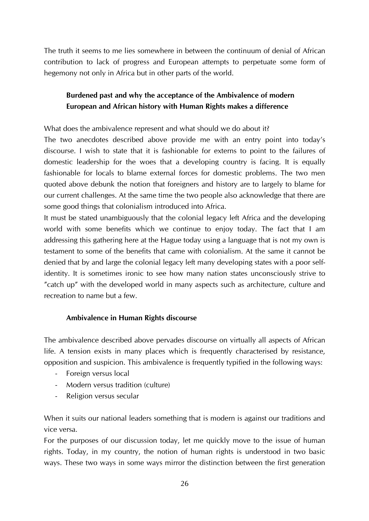The truth it seems to me lies somewhere in between the continuum of denial of African contribution to lack of progress and European attempts to perpetuate some form of hegemony not only in Africa but in other parts of the world.

## **Burdened past and why the acceptance of the Ambivalence of modern European and African history with Human Rights makes a difference**

What does the ambivalence represent and what should we do about it?

The two anecdotes described above provide me with an entry point into today's discourse. I wish to state that it is fashionable for externs to point to the failures of domestic leadership for the woes that a developing country is facing. It is equally fashionable for locals to blame external forces for domestic problems. The two men quoted above debunk the notion that foreigners and history are to largely to blame for our current challenges. At the same time the two people also acknowledge that there are some good things that colonialism introduced into Africa.

It must be stated unambiguously that the colonial legacy left Africa and the developing world with some benefits which we continue to enjoy today. The fact that I am addressing this gathering here at the Hague today using a language that is not my own is testament to some of the benefits that came with colonialism. At the same it cannot be denied that by and large the colonial legacy left many developing states with a poor selfidentity. It is sometimes ironic to see how many nation states unconsciously strive to "catch up" with the developed world in many aspects such as architecture, culture and recreation to name but a few.

#### **Ambivalence in Human Rights discourse**

The ambivalence described above pervades discourse on virtually all aspects of African life. A tension exists in many places which is frequently characterised by resistance, opposition and suspicion. This ambivalence is frequently typified in the following ways:

- Foreign versus local
- Modern versus tradition (culture)
- Religion versus secular

When it suits our national leaders something that is modern is against our traditions and vice versa.

For the purposes of our discussion today, let me quickly move to the issue of human rights. Today, in my country, the notion of human rights is understood in two basic ways. These two ways in some ways mirror the distinction between the first generation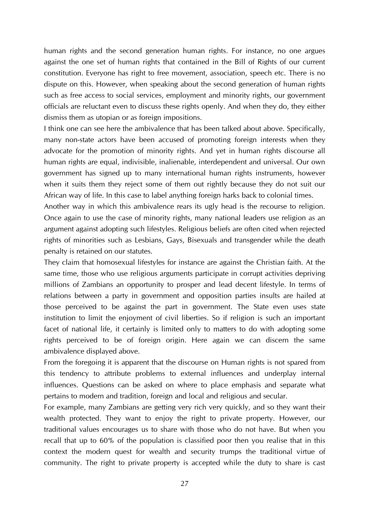human rights and the second generation human rights. For instance, no one argues against the one set of human rights that contained in the Bill of Rights of our current constitution. Everyone has right to free movement, association, speech etc. There is no dispute on this. However, when speaking about the second generation of human rights such as free access to social services, employment and minority rights, our government officials are reluctant even to discuss these rights openly. And when they do, they either dismiss them as utopian or as foreign impositions.

I think one can see here the ambivalence that has been talked about above. Specifically, many non-state actors have been accused of promoting foreign interests when they advocate for the promotion of minority rights. And yet in human rights discourse all human rights are equal, indivisible, inalienable, interdependent and universal. Our own government has signed up to many international human rights instruments, however when it suits them they reject some of them out rightly because they do not suit our African way of life. In this case to label anything foreign harks back to colonial times.

Another way in which this ambivalence rears its ugly head is the recourse to religion. Once again to use the case of minority rights, many national leaders use religion as an argument against adopting such lifestyles. Religious beliefs are often cited when rejected rights of minorities such as Lesbians, Gays, Bisexuals and transgender while the death penalty is retained on our statutes.

They claim that homosexual lifestyles for instance are against the Christian faith. At the same time, those who use religious arguments participate in corrupt activities depriving millions of Zambians an opportunity to prosper and lead decent lifestyle. In terms of relations between a party in government and opposition parties insults are hailed at those perceived to be against the part in government. The State even uses state institution to limit the enjoyment of civil liberties. So if religion is such an important facet of national life, it certainly is limited only to matters to do with adopting some rights perceived to be of foreign origin. Here again we can discern the same ambivalence displayed above.

From the foregoing it is apparent that the discourse on Human rights is not spared from this tendency to attribute problems to external influences and underplay internal influences. Questions can be asked on where to place emphasis and separate what pertains to modern and tradition, foreign and local and religious and secular.

For example, many Zambians are getting very rich very quickly, and so they want their wealth protected. They want to enjoy the right to private property. However, our traditional values encourages us to share with those who do not have. But when you recall that up to 60% of the population is classified poor then you realise that in this context the modern quest for wealth and security trumps the traditional virtue of community. The right to private property is accepted while the duty to share is cast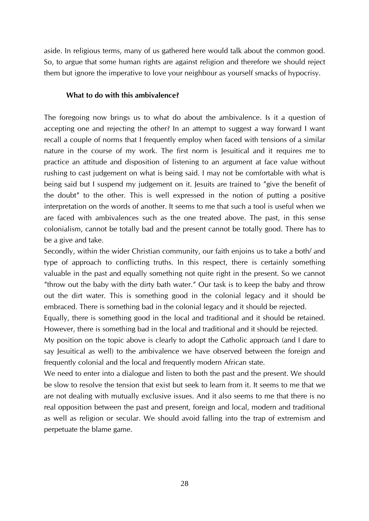aside. In religious terms, many of us gathered here would talk about the common good. So, to argue that some human rights are against religion and therefore we should reject them but ignore the imperative to love your neighbour as yourself smacks of hypocrisy.

#### **What to do with this ambivalence?**

The foregoing now brings us to what do about the ambivalence. Is it a question of accepting one and rejecting the other? In an attempt to suggest a way forward I want recall a couple of norms that I frequently employ when faced with tensions of a similar nature in the course of my work. The first norm is Jesuitical and it requires me to practice an attitude and disposition of listening to an argument at face value without rushing to cast judgement on what is being said. I may not be comfortable with what is being said but I suspend my judgement on it. Jesuits are trained to "give the benefit of the doubt" to the other. This is well expressed in the notion of putting a positive interpretation on the words of another. It seems to me that such a tool is useful when we are faced with ambivalences such as the one treated above. The past, in this sense colonialism, cannot be totally bad and the present cannot be totally good. There has to be a give and take.

Secondly, within the wider Christian community, our faith enjoins us to take a both/ and type of approach to conflicting truths. In this respect, there is certainly something valuable in the past and equally something not quite right in the present. So we cannot "throw out the baby with the dirty bath water." Our task is to keep the baby and throw out the dirt water. This is something good in the colonial legacy and it should be embraced. There is something bad in the colonial legacy and it should be rejected.

Equally, there is something good in the local and traditional and it should be retained. However, there is something bad in the local and traditional and it should be rejected.

My position on the topic above is clearly to adopt the Catholic approach (and I dare to say Jesuitical as well) to the ambivalence we have observed between the foreign and frequently colonial and the local and frequently modern African state.

We need to enter into a dialogue and listen to both the past and the present. We should be slow to resolve the tension that exist but seek to learn from it. It seems to me that we are not dealing with mutually exclusive issues. And it also seems to me that there is no real opposition between the past and present, foreign and local, modern and traditional as well as religion or secular. We should avoid falling into the trap of extremism and perpetuate the blame game.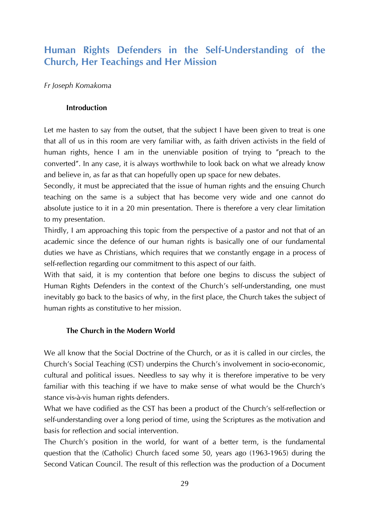# **Human Rights Defenders in the Self-Understanding of the Church, Her Teachings and Her Mission**

*Fr Joseph Komakoma* 

#### **Introduction**

Let me hasten to say from the outset, that the subject I have been given to treat is one that all of us in this room are very familiar with, as faith driven activists in the field of human rights, hence I am in the unenviable position of trying to "preach to the converted". In any case, it is always worthwhile to look back on what we already know and believe in, as far as that can hopefully open up space for new debates.

Secondly, it must be appreciated that the issue of human rights and the ensuing Church teaching on the same is a subject that has become very wide and one cannot do absolute justice to it in a 20 min presentation. There is therefore a very clear limitation to my presentation.

Thirdly, I am approaching this topic from the perspective of a pastor and not that of an academic since the defence of our human rights is basically one of our fundamental duties we have as Christians, which requires that we constantly engage in a process of self-reflection regarding our commitment to this aspect of our faith.

With that said, it is my contention that before one begins to discuss the subject of Human Rights Defenders in the context of the Church's self-understanding, one must inevitably go back to the basics of why, in the first place, the Church takes the subject of human rights as constitutive to her mission.

#### **The Church in the Modern World**

We all know that the Social Doctrine of the Church, or as it is called in our circles, the Church's Social Teaching (CST) underpins the Church's involvement in socio-economic, cultural and political issues. Needless to say why it is therefore imperative to be very familiar with this teaching if we have to make sense of what would be the Church's stance vis-à-vis human rights defenders.

What we have codified as the CST has been a product of the Church's self-reflection or self-understanding over a long period of time, using the Scriptures as the motivation and basis for reflection and social intervention.

The Church's position in the world, for want of a better term, is the fundamental question that the (Catholic) Church faced some 50, years ago (1963-1965) during the Second Vatican Council. The result of this reflection was the production of a Document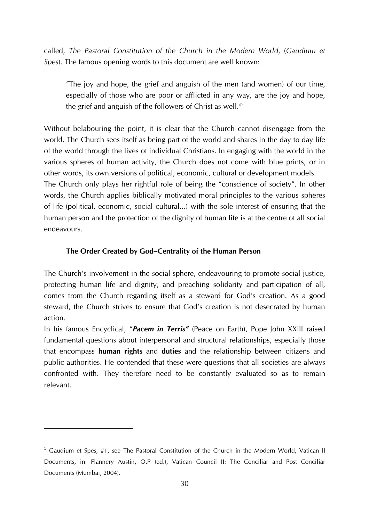called, *The Pastoral Constitution of the Church in the Modern World*, (*Gaudium et Spes*). The famous opening words to this document are well known:

"The joy and hope, the grief and anguish of the men (and women) of our time, especially of those who are poor or afflicted in any way, are the joy and hope, the grief and anguish of the followers of Christ as well."<sup>1</sup>

Without belabouring the point, it is clear that the Church cannot disengage from the world. The Church sees itself as being part of the world and shares in the day to day life of the world through the lives of individual Christians. In engaging with the world in the various spheres of human activity, the Church does not come with blue prints, or in other words, its own versions of political, economic, cultural or development models. The Church only plays her rightful role of being the "conscience of society". In other words, the Church applies biblically motivated moral principles to the various spheres of life (political, economic, social cultural...) with the sole interest of ensuring that the human person and the protection of the dignity of human life is at the centre of all social endeavours.

#### **The Order Created by God–Centrality of the Human Person**

The Church's involvement in the social sphere, endeavouring to promote social justice, protecting human life and dignity, and preaching solidarity and participation of all, comes from the Church regarding itself as a steward for God's creation. As a good steward, the Church strives to ensure that God's creation is not desecrated by human action.

In his famous Encyclical, "*Pacem in Terris"* (Peace on Earth), Pope John XXIII raised fundamental questions about interpersonal and structural relationships, especially those that encompass **human rights** and **duties** and the relationship between citizens and public authorities. He contended that these were questions that all societies are always confronted with. They therefore need to be constantly evaluated so as to remain relevant.

 $\overline{a}$ 

<sup>&</sup>lt;sup>1</sup> Gaudium et Spes, #1, see The Pastoral Constitution of the Church in the Modern World, Vatican II Documents, in: Flannery Austin, O.P (ed.), Vatican Council II: The Conciliar and Post Conciliar Documents (Mumbai, 2004).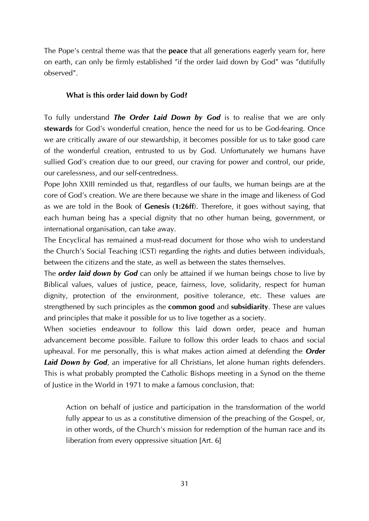The Pope's central theme was that the **peace** that all generations eagerly yearn for, here on earth, can only be firmly established "if the order laid down by God" was "dutifully observed".

#### **What is this order laid down by God?**

To fully understand *The Order Laid Down by God* is to realise that we are only **stewards** for God's wonderful creation, hence the need for us to be God-fearing. Once we are critically aware of our stewardship, it becomes possible for us to take good care of the wonderful creation, entrusted to us by God. Unfortunately we humans have sullied God's creation due to our greed, our craving for power and control, our pride, our carelessness, and our self-centredness.

Pope John XXIII reminded us that, regardless of our faults, we human beings are at the core of God's creation. We are there because we share in the image and likeness of God as we are told in the Book of **Genesis (1:26ff**). Therefore, it goes without saying, that each human being has a special dignity that no other human being, government, or international organisation, can take away.

The Encyclical has remained a must-read document for those who wish to understand the Church's Social Teaching (CST) regarding the rights and duties between individuals, between the citizens and the state, as well as between the states themselves.

The *order laid down by God* can only be attained if we human beings chose to live by Biblical values, values of justice, peace, fairness, love, solidarity, respect for human dignity, protection of the environment, positive tolerance, etc. These values are strengthened by such principles as the **common good** and **subsidiarity**. These are values and principles that make it possible for us to live together as a society.

When societies endeavour to follow this laid down order, peace and human advancement become possible. Failure to follow this order leads to chaos and social upheaval. For me personally, this is what makes action aimed at defending the *Order*  **Laid Down by God**, an imperative for all Christians, let alone human rights defenders. This is what probably prompted the Catholic Bishops meeting in a Synod on the theme of Justice in the World in 1971 to make a famous conclusion, that:

Action on behalf of justice and participation in the transformation of the world fully appear to us as a constitutive dimension of the preaching of the Gospel, or, in other words, of the Church's mission for redemption of the human race and its liberation from every oppressive situation [Art. 6]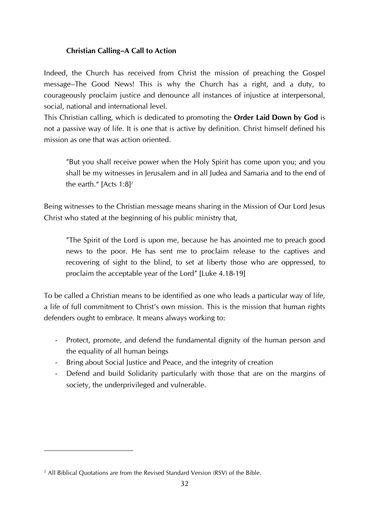## **Christian Calling–A Call to Action**

Indeed, the Church has received from Christ the mission of preaching the Gospel message–The Good News! This is why the Church has a right, and a duty, to courageously proclaim justice and denounce all instances of injustice at interpersonal, social, national and international level.

This Christian calling, which is dedicated to promoting the **Order Laid Down by God** is not a passive way of life. It is one that is active by definition. Christ himself defined his mission as one that was action oriented.

"But you shall receive power when the Holy Spirit has come upon you; and you shall be my witnesses in Jerusalem and in all Judea and Samaria and to the end of the earth." [Acts  $1:8$ ]<sup>2</sup>

Being witnesses to the Christian message means sharing in the Mission of Our Lord Jesus Christ who stated at the beginning of his public ministry that,

"The Spirit of the Lord is upon me, because he has anointed me to preach good news to the poor. He has sent me to proclaim release to the captives and recovering of sight to the blind, to set at liberty those who are oppressed, to proclaim the acceptable year of the Lord" [Luke 4.18-19]

To be called a Christian means to be identified as one who leads a particular way of life, a life of full commitment to Christ's own mission. This is the mission that human rights defenders ought to embrace. It means always working to:

- Protect, promote, and defend the fundamental dignity of the human person and the equality of all human beings
- Bring about Social Justice and Peace, and the integrity of creation
- Defend and build Solidarity particularly with those that are on the margins of society, the underprivileged and vulnerable.

 $\overline{a}$ 

<sup>&</sup>lt;sup>2</sup> All Biblical Quotations are from the Revised Standard Version (RSV) of the Bible.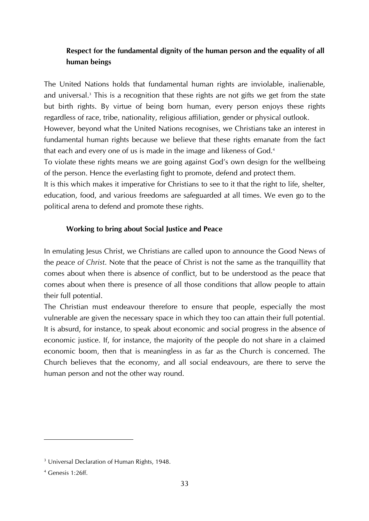# **Respect for the fundamental dignity of the human person and the equality of all human beings**

The United Nations holds that fundamental human rights are inviolable, inalienable, and universal.<sup>3</sup> This is a recognition that these rights are not gifts we get from the state but birth rights. By virtue of being born human, every person enjoys these rights regardless of race, tribe, nationality, religious affiliation, gender or physical outlook.

However, beyond what the United Nations recognises, we Christians take an interest in fundamental human rights because we believe that these rights emanate from the fact that each and every one of us is made in the image and likeness of God. $^{\text{4}}$ 

To violate these rights means we are going against God's own design for the wellbeing of the person. Hence the everlasting fight to promote, defend and protect them.

It is this which makes it imperative for Christians to see to it that the right to life, shelter, education, food, and various freedoms are safeguarded at all times. We even go to the political arena to defend and promote these rights.

#### **Working to bring about Social Justice and Peace**

In emulating Jesus Christ, we Christians are called upon to announce the Good News of the *peace of Christ*. Note that the peace of Christ is not the same as the tranquillity that comes about when there is absence of conflict, but to be understood as the peace that comes about when there is presence of all those conditions that allow people to attain their full potential.

The Christian must endeavour therefore to ensure that people, especially the most vulnerable are given the necessary space in which they too can attain their full potential. It is absurd, for instance, to speak about economic and social progress in the absence of economic justice. If, for instance, the majority of the people do not share in a claimed economic boom, then that is meaningless in as far as the Church is concerned. The Church believes that the economy, and all social endeavours, are there to serve the human person and not the other way round.

 $\overline{a}$ 

<sup>&</sup>lt;sup>3</sup> Universal Declaration of Human Rights, 1948.

<sup>4</sup> Genesis 1:26ff.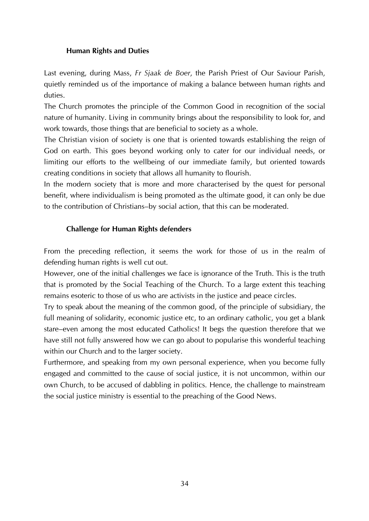#### **Human Rights and Duties**

Last evening, during Mass, *Fr Sjaak de Boer*, the Parish Priest of Our Saviour Parish, quietly reminded us of the importance of making a balance between human rights and duties.

The Church promotes the principle of the Common Good in recognition of the social nature of humanity. Living in community brings about the responsibility to look for, and work towards, those things that are beneficial to society as a whole.

The Christian vision of society is one that is oriented towards establishing the reign of God on earth. This goes beyond working only to cater for our individual needs, or limiting our efforts to the wellbeing of our immediate family, but oriented towards creating conditions in society that allows all humanity to flourish.

In the modern society that is more and more characterised by the quest for personal benefit, where individualism is being promoted as the ultimate good, it can only be due to the contribution of Christians–by social action, that this can be moderated.

#### **Challenge for Human Rights defenders**

From the preceding reflection, it seems the work for those of us in the realm of defending human rights is well cut out.

However, one of the initial challenges we face is ignorance of the Truth. This is the truth that is promoted by the Social Teaching of the Church. To a large extent this teaching remains esoteric to those of us who are activists in the justice and peace circles.

Try to speak about the meaning of the common good, of the principle of subsidiary, the full meaning of solidarity, economic justice etc, to an ordinary catholic, you get a blank stare–even among the most educated Catholics! It begs the question therefore that we have still not fully answered how we can go about to popularise this wonderful teaching within our Church and to the larger society.

Furthermore, and speaking from my own personal experience, when you become fully engaged and committed to the cause of social justice, it is not uncommon, within our own Church, to be accused of dabbling in politics. Hence, the challenge to mainstream the social justice ministry is essential to the preaching of the Good News.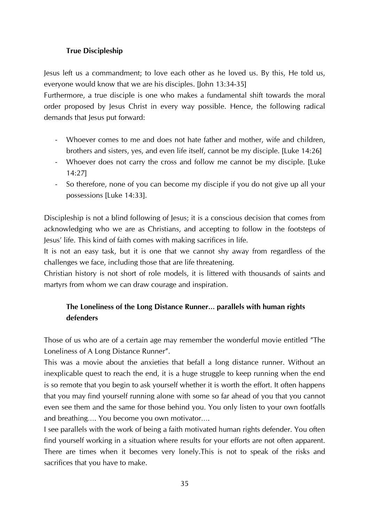### **True Discipleship**

Jesus left us a commandment; to love each other as he loved us. By this, He told us, everyone would know that we are his disciples. [John 13:34-35]

Furthermore, a true disciple is one who makes a fundamental shift towards the moral order proposed by Jesus Christ in every way possible. Hence, the following radical demands that Jesus put forward:

- Whoever comes to me and does not hate father and mother, wife and children, brothers and sisters, yes, and even life itself, cannot be my disciple. [Luke 14:26]
- Whoever does not carry the cross and follow me cannot be my disciple. [Luke 14:27]
- So therefore, none of you can become my disciple if you do not give up all your possessions [Luke 14:33].

Discipleship is not a blind following of Jesus; it is a conscious decision that comes from acknowledging who we are as Christians, and accepting to follow in the footsteps of Jesus' life. This kind of faith comes with making sacrifices in life.

It is not an easy task, but it is one that we cannot shy away from regardless of the challenges we face, including those that are life threatening.

Christian history is not short of role models, it is littered with thousands of saints and martyrs from whom we can draw courage and inspiration.

# **The Loneliness of the Long Distance Runner… parallels with human rights defenders**

Those of us who are of a certain age may remember the wonderful movie entitled "The Loneliness of A Long Distance Runner".

This was a movie about the anxieties that befall a long distance runner. Without an inexplicable quest to reach the end, it is a huge struggle to keep running when the end is so remote that you begin to ask yourself whether it is worth the effort. It often happens that you may find yourself running alone with some so far ahead of you that you cannot even see them and the same for those behind you. You only listen to your own footfalls and breathing…. You become you own motivator….

I see parallels with the work of being a faith motivated human rights defender. You often find yourself working in a situation where results for your efforts are not often apparent. There are times when it becomes very lonely.This is not to speak of the risks and sacrifices that you have to make.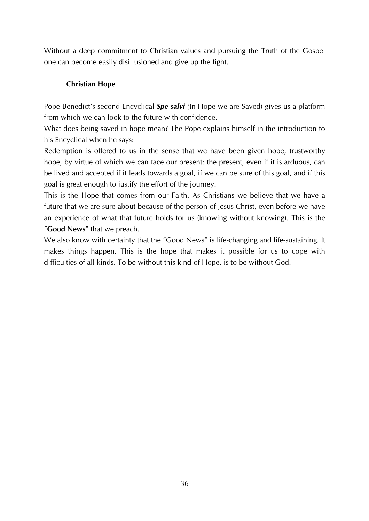Without a deep commitment to Christian values and pursuing the Truth of the Gospel one can become easily disillusioned and give up the fight.

## **Christian Hope**

Pope Benedict's second Encyclical *Spe salvi (*In Hope we are Saved) gives us a platform from which we can look to the future with confidence.

What does being saved in hope mean? The Pope explains himself in the introduction to his Encyclical when he says:

Redemption is offered to us in the sense that we have been given hope, trustworthy hope, by virtue of which we can face our present: the present, even if it is arduous, can be lived and accepted if it leads towards a goal, if we can be sure of this goal, and if this goal is great enough to justify the effort of the journey.

This is the Hope that comes from our Faith. As Christians we believe that we have a future that we are sure about because of the person of Jesus Christ, even before we have an experience of what that future holds for us (knowing without knowing). This is the "**Good News**" that we preach.

We also know with certainty that the "Good News" is life-changing and life-sustaining. It makes things happen. This is the hope that makes it possible for us to cope with difficulties of all kinds. To be without this kind of Hope, is to be without God.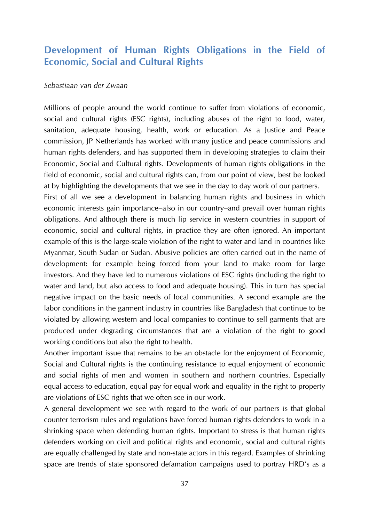# **Development of Human Rights Obligations in the Field of Economic, Social and Cultural Rights**

#### *Sebastiaan van der Zwaan*

Millions of people around the world continue to suffer from violations of economic, social and cultural rights (ESC rights), including abuses of the right to food, water, sanitation, adequate housing, health, work or education. As a Justice and Peace commission, JP Netherlands has worked with many justice and peace commissions and human rights defenders, and has supported them in developing strategies to claim their Economic, Social and Cultural rights. Developments of human rights obligations in the field of economic, social and cultural rights can, from our point of view, best be looked at by highlighting the developments that we see in the day to day work of our partners.

First of all we see a development in balancing human rights and business in which economic interests gain importance–also in our country–and prevail over human rights obligations. And although there is much lip service in western countries in support of economic, social and cultural rights, in practice they are often ignored. An important example of this is the large-scale violation of the right to water and land in countries like Myanmar, South Sudan or Sudan. Abusive policies are often carried out in the name of development: for example being forced from your land to make room for large investors. And they have led to numerous violations of ESC rights (including the right to water and land, but also access to food and adequate housing). This in turn has special negative impact on the basic needs of local communities. A second example are the labor conditions in the garment industry in countries like Bangladesh that continue to be violated by allowing western and local companies to continue to sell garments that are produced under degrading circumstances that are a violation of the right to good working conditions but also the right to health.

Another important issue that remains to be an obstacle for the enjoyment of Economic, Social and Cultural rights is the continuing resistance to equal enjoyment of economic and social rights of men and women in southern and northern countries. Especially equal access to education, equal pay for equal work and equality in the right to property are violations of ESC rights that we often see in our work.

A general development we see with regard to the work of our partners is that global counter terrorism rules and regulations have forced human rights defenders to work in a shrinking space when defending human rights. Important to stress is that human rights defenders working on civil and political rights and economic, social and cultural rights are equally challenged by state and non-state actors in this regard. Examples of shrinking space are trends of state sponsored defamation campaigns used to portray HRD's as a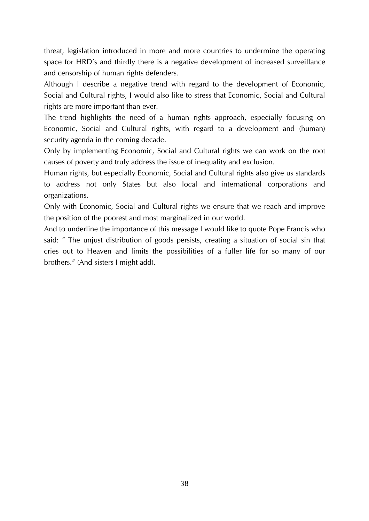threat, legislation introduced in more and more countries to undermine the operating space for HRD's and thirdly there is a negative development of increased surveillance and censorship of human rights defenders.

Although I describe a negative trend with regard to the development of Economic, Social and Cultural rights, I would also like to stress that Economic, Social and Cultural rights are more important than ever.

The trend highlights the need of a human rights approach, especially focusing on Economic, Social and Cultural rights, with regard to a development and (human) security agenda in the coming decade.

Only by implementing Economic, Social and Cultural rights we can work on the root causes of poverty and truly address the issue of inequality and exclusion.

Human rights, but especially Economic, Social and Cultural rights also give us standards to address not only States but also local and international corporations and organizations.

Only with Economic, Social and Cultural rights we ensure that we reach and improve the position of the poorest and most marginalized in our world.

And to underline the importance of this message I would like to quote Pope Francis who said: " The unjust distribution of goods persists, creating a situation of social sin that cries out to Heaven and limits the possibilities of a fuller life for so many of our brothers." (And sisters I might add).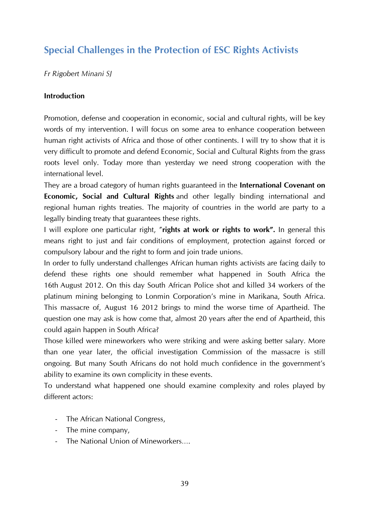# **Special Challenges in the Protection of ESC Rights Activists**

*Fr Rigobert Minani SJ* 

## **Introduction**

Promotion, defense and cooperation in economic, social and cultural rights, will be key words of my intervention. I will focus on some area to enhance cooperation between human right activists of Africa and those of other continents. I will try to show that it is very difficult to promote and defend Economic, Social and Cultural Rights from the grass roots level only. Today more than yesterday we need strong cooperation with the international level.

They are a broad category of human rights guaranteed in the **International Covenant on Economic, Social and Cultural Rights** and other legally binding international and regional human rights treaties. The majority of countries in the world are party to a legally binding treaty that guarantees these rights.

I will explore one particular right, "**rights at work or rights to work".** In general this means right to just and fair conditions of employment, protection against forced or compulsory labour and the right to form and join trade unions.

In order to fully understand challenges African human rights activists are facing daily to defend these rights one should remember what happened in South Africa the 16th August 2012. On this day South African Police shot and killed 34 workers of the platinum mining belonging to Lonmin Corporation's mine in Marikana, South Africa. This massacre of, August 16 2012 brings to mind the worse time of Apartheid. The question one may ask is how come that, almost 20 years after the end of Apartheid, this could again happen in South Africa?

Those killed were mineworkers who were striking and were asking better salary. More than one year later, the official investigation Commission of the massacre is still ongoing. But many South Africans do not hold much confidence in the government's ability to examine its own complicity in these events.

To understand what happened one should examine complexity and roles played by different actors:

- The African National Congress,
- The mine company,
- The National Union of Mineworkers….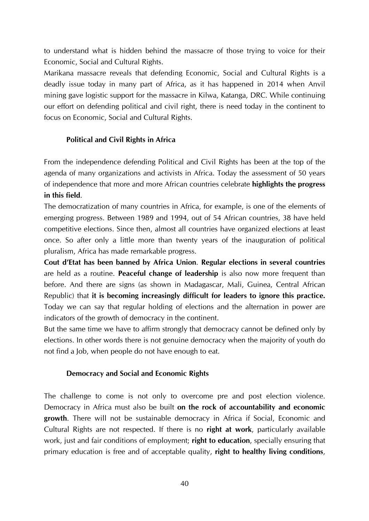to understand what is hidden behind the massacre of those trying to voice for their Economic, Social and Cultural Rights.

Marikana massacre reveals that defending Economic, Social and Cultural Rights is a deadly issue today in many part of Africa, as it has happened in 2014 when Anvil mining gave logistic support for the massacre in Kilwa, Katanga, DRC. While continuing our effort on defending political and civil right, there is need today in the continent to focus on Economic, Social and Cultural Rights.

## **Political and Civil Rights in Africa**

From the independence defending Political and Civil Rights has been at the top of the agenda of many organizations and activists in Africa. Today the assessment of 50 years of independence that more and more African countries celebrate **highlights the progress in this field**.

The democratization of many countries in Africa, for example, is one of the elements of emerging progress. Between 1989 and 1994, out of 54 African countries, 38 have held competitive elections. Since then, almost all countries have organized elections at least once. So after only a little more than twenty years of the inauguration of political pluralism, Africa has made remarkable progress.

**Cout d'Etat has been banned by Africa Union**. **Regular elections in several countries** are held as a routine. **Peaceful change of leadership** is also now more frequent than before. And there are signs (as shown in Madagascar, Mali, Guinea, Central African Republic) that **it is becoming increasingly difficult for leaders to ignore this practice.**  Today we can say that regular holding of elections and the alternation in power are indicators of the growth of democracy in the continent.

But the same time we have to affirm strongly that democracy cannot be defined only by elections. In other words there is not genuine democracy when the majority of youth do not find a Job, when people do not have enough to eat.

## **Democracy and Social and Economic Rights**

The challenge to come is not only to overcome pre and post election violence. Democracy in Africa must also be built **on the rock of accountability and economic growth**. There will not be sustainable democracy in Africa if Social, Economic and Cultural Rights are not respected. If there is no **right at work**, particularly available work, just and fair conditions of employment; **right to education**, specially ensuring that primary education is free and of acceptable quality, **right to healthy living conditions**,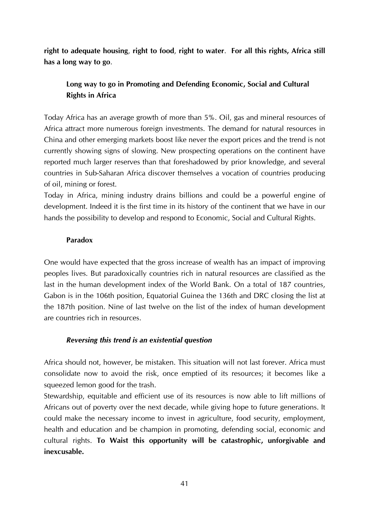**right to adequate housing**, **right to food**, **right to water**. **For all this rights, Africa still has a long way to go**.

# **Long way to go in Promoting and Defending Economic, Social and Cultural Rights in Africa**

Today Africa has an average growth of more than 5%. Oil, gas and mineral resources of Africa attract more numerous foreign investments. The demand for natural resources in China and other emerging markets boost like never the export prices and the trend is not currently showing signs of slowing. New prospecting operations on the continent have reported much larger reserves than that foreshadowed by prior knowledge, and several countries in Sub-Saharan Africa discover themselves a vocation of countries producing of oil, mining or forest.

Today in Africa, mining industry drains billions and could be a powerful engine of development. Indeed it is the first time in its history of the continent that we have in our hands the possibility to develop and respond to Economic, Social and Cultural Rights.

## **Paradox**

One would have expected that the gross increase of wealth has an impact of improving peoples lives. But paradoxically countries rich in natural resources are classified as the last in the human development index of the World Bank. On a total of 187 countries, Gabon is in the 106th position, Equatorial Guinea the 136th and DRC closing the list at the 187th position. Nine of last twelve on the list of the index of human development are countries rich in resources.

## *Reversing this trend is an existential question*

Africa should not, however, be mistaken. This situation will not last forever. Africa must consolidate now to avoid the risk, once emptied of its resources; it becomes like a squeezed lemon good for the trash.

Stewardship, equitable and efficient use of its resources is now able to lift millions of Africans out of poverty over the next decade, while giving hope to future generations. It could make the necessary income to invest in agriculture, food security, employment, health and education and be champion in promoting, defending social, economic and cultural rights. **To Waist this opportunity will be catastrophic, unforgivable and inexcusable.**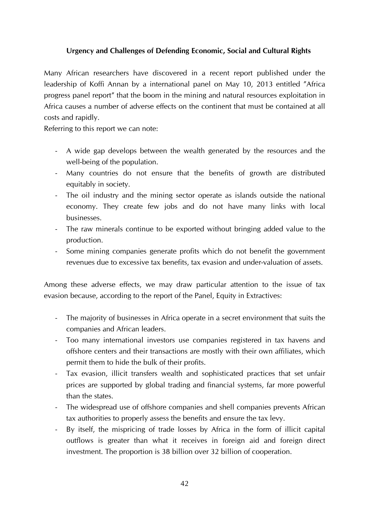## **Urgency and Challenges of Defending Economic, Social and Cultural Rights**

Many African researchers have discovered in a recent report published under the leadership of Koffi Annan by a international panel on May 10, 2013 entitled "Africa progress panel report" that the boom in the mining and natural resources exploitation in Africa causes a number of adverse effects on the continent that must be contained at all costs and rapidly.

Referring to this report we can note:

- A wide gap develops between the wealth generated by the resources and the well-being of the population.
- Many countries do not ensure that the benefits of growth are distributed equitably in society.
- The oil industry and the mining sector operate as islands outside the national economy. They create few jobs and do not have many links with local businesses.
- The raw minerals continue to be exported without bringing added value to the production.
- Some mining companies generate profits which do not benefit the government revenues due to excessive tax benefits, tax evasion and under-valuation of assets.

Among these adverse effects, we may draw particular attention to the issue of tax evasion because, according to the report of the Panel, Equity in Extractives:

- The majority of businesses in Africa operate in a secret environment that suits the companies and African leaders.
- Too many international investors use companies registered in tax havens and offshore centers and their transactions are mostly with their own affiliates, which permit them to hide the bulk of their profits.
- Tax evasion, illicit transfers wealth and sophisticated practices that set unfair prices are supported by global trading and financial systems, far more powerful than the states.
- The widespread use of offshore companies and shell companies prevents African tax authorities to properly assess the benefits and ensure the tax levy.
- By itself, the mispricing of trade losses by Africa in the form of illicit capital outflows is greater than what it receives in foreign aid and foreign direct investment. The proportion is 38 billion over 32 billion of cooperation.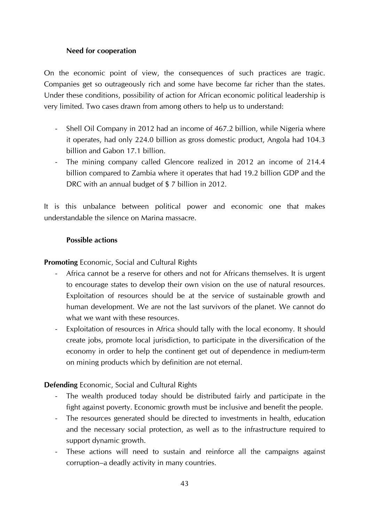## **Need for cooperation**

On the economic point of view, the consequences of such practices are tragic. Companies get so outrageously rich and some have become far richer than the states. Under these conditions, possibility of action for African economic political leadership is very limited. Two cases drawn from among others to help us to understand:

- Shell Oil Company in 2012 had an income of 467.2 billion, while Nigeria where it operates, had only 224.0 billion as gross domestic product, Angola had 104.3 billion and Gabon 17.1 billion.
- The mining company called Glencore realized in 2012 an income of 214.4 billion compared to Zambia where it operates that had 19.2 billion GDP and the DRC with an annual budget of \$7 billion in 2012.

It is this unbalance between political power and economic one that makes understandable the silence on Marina massacre.

## **Possible actions**

**Promoting** Economic, Social and Cultural Rights

- Africa cannot be a reserve for others and not for Africans themselves. It is urgent to encourage states to develop their own vision on the use of natural resources. Exploitation of resources should be at the service of sustainable growth and human development. We are not the last survivors of the planet. We cannot do what we want with these resources.
- Exploitation of resources in Africa should tally with the local economy. It should create jobs, promote local jurisdiction, to participate in the diversification of the economy in order to help the continent get out of dependence in medium-term on mining products which by definition are not eternal.

# **Defending** Economic, Social and Cultural Rights

- The wealth produced today should be distributed fairly and participate in the fight against poverty. Economic growth must be inclusive and benefit the people.
- The resources generated should be directed to investments in health, education and the necessary social protection, as well as to the infrastructure required to support dynamic growth.
- These actions will need to sustain and reinforce all the campaigns against corruption–a deadly activity in many countries.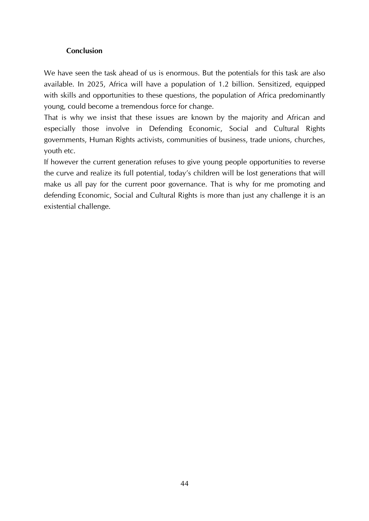## **Conclusion**

We have seen the task ahead of us is enormous. But the potentials for this task are also available. In 2025, Africa will have a population of 1.2 billion. Sensitized, equipped with skills and opportunities to these questions, the population of Africa predominantly young, could become a tremendous force for change.

That is why we insist that these issues are known by the majority and African and especially those involve in Defending Economic, Social and Cultural Rights governments, Human Rights activists, communities of business, trade unions, churches, youth etc.

If however the current generation refuses to give young people opportunities to reverse the curve and realize its full potential, today's children will be lost generations that will make us all pay for the current poor governance. That is why for me promoting and defending Economic, Social and Cultural Rights is more than just any challenge it is an existential challenge.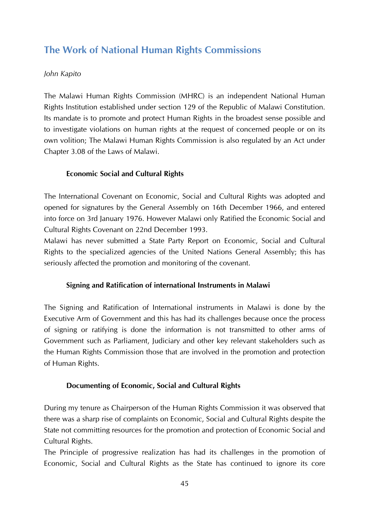# **The Work of National Human Rights Commissions**

## *John Kapito*

The Malawi Human Rights Commission (MHRC) is an independent National Human Rights Institution established under section 129 of the Republic of Malawi Constitution. Its mandate is to promote and protect Human Rights in the broadest sense possible and to investigate violations on human rights at the request of concerned people or on its own volition; The Malawi Human Rights Commission is also regulated by an Act under Chapter 3.08 of the Laws of Malawi.

## **Economic Social and Cultural Rights**

The International Covenant on Economic, Social and Cultural Rights was adopted and opened for signatures by the General Assembly on 16th December 1966, and entered into force on 3rd January 1976. However Malawi only Ratified the Economic Social and Cultural Rights Covenant on 22nd December 1993.

Malawi has never submitted a State Party Report on Economic, Social and Cultural Rights to the specialized agencies of the United Nations General Assembly; this has seriously affected the promotion and monitoring of the covenant.

## **Signing and Ratification of international Instruments in Malawi**

The Signing and Ratification of International instruments in Malawi is done by the Executive Arm of Government and this has had its challenges because once the process of signing or ratifying is done the information is not transmitted to other arms of Government such as Parliament, Judiciary and other key relevant stakeholders such as the Human Rights Commission those that are involved in the promotion and protection of Human Rights.

# **Documenting of Economic, Social and Cultural Rights**

During my tenure as Chairperson of the Human Rights Commission it was observed that there was a sharp rise of complaints on Economic, Social and Cultural Rights despite the State not committing resources for the promotion and protection of Economic Social and Cultural Rights.

The Principle of progressive realization has had its challenges in the promotion of Economic, Social and Cultural Rights as the State has continued to ignore its core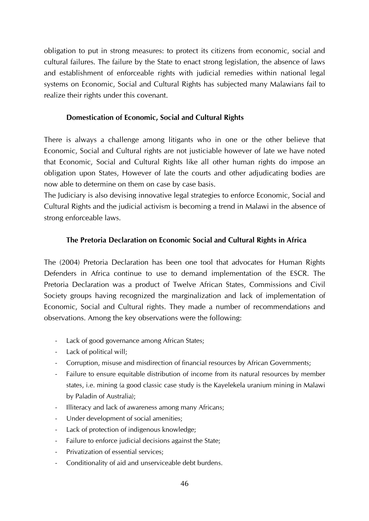obligation to put in strong measures: to protect its citizens from economic, social and cultural failures. The failure by the State to enact strong legislation, the absence of laws and establishment of enforceable rights with judicial remedies within national legal systems on Economic, Social and Cultural Rights has subjected many Malawians fail to realize their rights under this covenant.

## **Domestication of Economic, Social and Cultural Rights**

There is always a challenge among litigants who in one or the other believe that Economic, Social and Cultural rights are not justiciable however of late we have noted that Economic, Social and Cultural Rights like all other human rights do impose an obligation upon States, However of late the courts and other adjudicating bodies are now able to determine on them on case by case basis.

The Judiciary is also devising innovative legal strategies to enforce Economic, Social and Cultural Rights and the judicial activism is becoming a trend in Malawi in the absence of strong enforceable laws.

## **The Pretoria Declaration on Economic Social and Cultural Rights in Africa**

The (2004) Pretoria Declaration has been one tool that advocates for Human Rights Defenders in Africa continue to use to demand implementation of the ESCR. The Pretoria Declaration was a product of Twelve African States, Commissions and Civil Society groups having recognized the marginalization and lack of implementation of Economic, Social and Cultural rights. They made a number of recommendations and observations. Among the key observations were the following:

- Lack of good governance among African States;
- Lack of political will;
- Corruption, misuse and misdirection of financial resources by African Governments;
- Failure to ensure equitable distribution of income from its natural resources by member states, i.e. mining (a good classic case study is the Kayelekela uranium mining in Malawi by Paladin of Australia);
- Illiteracy and lack of awareness among many Africans;
- Under development of social amenities;
- Lack of protection of indigenous knowledge;
- Failure to enforce judicial decisions against the State;
- Privatization of essential services;
- Conditionality of aid and unserviceable debt burdens.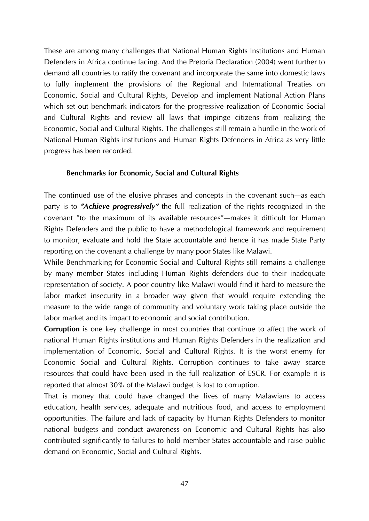These are among many challenges that National Human Rights Institutions and Human Defenders in Africa continue facing. And the Pretoria Declaration (2004) went further to demand all countries to ratify the covenant and incorporate the same into domestic laws to fully implement the provisions of the Regional and International Treaties on Economic, Social and Cultural Rights, Develop and implement National Action Plans which set out benchmark indicators for the progressive realization of Economic Social and Cultural Rights and review all laws that impinge citizens from realizing the Economic, Social and Cultural Rights. The challenges still remain a hurdle in the work of National Human Rights institutions and Human Rights Defenders in Africa as very little progress has been recorded.

### **Benchmarks for Economic, Social and Cultural Rights**

The continued use of the elusive phrases and concepts in the covenant such—as each party is to *"Achieve progressively"* the full realization of the rights recognized in the covenant "to the maximum of its available resources"—makes it difficult for Human Rights Defenders and the public to have a methodological framework and requirement to monitor, evaluate and hold the State accountable and hence it has made State Party reporting on the covenant a challenge by many poor States like Malawi.

While Benchmarking for Economic Social and Cultural Rights still remains a challenge by many member States including Human Rights defenders due to their inadequate representation of society. A poor country like Malawi would find it hard to measure the labor market insecurity in a broader way given that would require extending the measure to the wide range of community and voluntary work taking place outside the labor market and its impact to economic and social contribution.

**Corruption** is one key challenge in most countries that continue to affect the work of national Human Rights institutions and Human Rights Defenders in the realization and implementation of Economic, Social and Cultural Rights. It is the worst enemy for Economic Social and Cultural Rights. Corruption continues to take away scarce resources that could have been used in the full realization of ESCR. For example it is reported that almost 30% of the Malawi budget is lost to corruption.

That is money that could have changed the lives of many Malawians to access education, health services, adequate and nutritious food, and access to employment opportunities. The failure and lack of capacity by Human Rights Defenders to monitor national budgets and conduct awareness on Economic and Cultural Rights has also contributed significantly to failures to hold member States accountable and raise public demand on Economic, Social and Cultural Rights.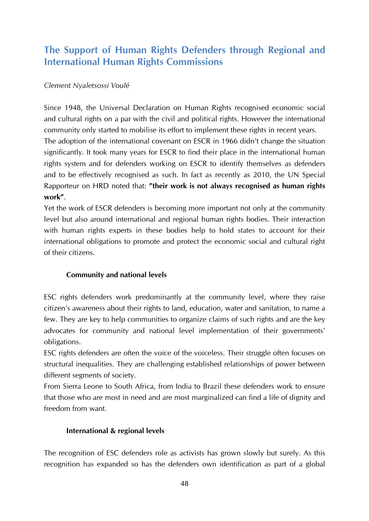# **The Support of Human Rights Defenders through Regional and International Human Rights Commissions**

## *Clement Nyaletsossi Voulé*

Since 1948, the Universal Declaration on Human Rights recognised economic social and cultural rights on a par with the civil and political rights. However the international community only started to mobilise its effort to implement these rights in recent years. The adoption of the international covenant on ESCR in 1966 didn't change the situation significantly. It took many years for ESCR to find their place in the international human rights system and for defenders working on ESCR to identify themselves as defenders and to be effectively recognised as such. In fact as recently as 2010, the UN Special Rapporteur on HRD noted that: **"their work is not always recognised as human rights work"**.

Yet the work of ESCR defenders is becoming more important not only at the community level but also around international and regional human rights bodies. Their interaction with human rights experts in these bodies help to hold states to account for their international obligations to promote and protect the economic social and cultural right of their citizens.

# **Community and national levels**

ESC rights defenders work predominantly at the community level, where they raise citizen's awareness about their rights to land, education, water and sanitation, to name a few. They are key to help communities to organize claims of such rights and are the key advocates for community and national level implementation of their governments' obligations.

ESC rights defenders are often the voice of the voiceless. Their struggle often focuses on structural inequalities. They are challenging established relationships of power between different segments of society.

From Sierra Leone to South Africa, from India to Brazil these defenders work to ensure that those who are most in need and are most marginalized can find a life of dignity and freedom from want.

## **International & regional levels**

The recognition of ESC defenders role as activists has grown slowly but surely. As this recognition has expanded so has the defenders own identification as part of a global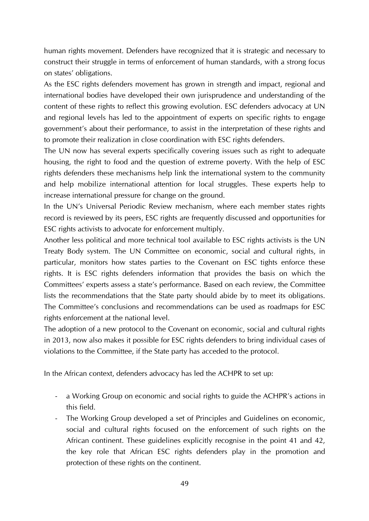human rights movement. Defenders have recognized that it is strategic and necessary to construct their struggle in terms of enforcement of human standards, with a strong focus on states' obligations.

As the ESC rights defenders movement has grown in strength and impact, regional and international bodies have developed their own jurisprudence and understanding of the content of these rights to reflect this growing evolution. ESC defenders advocacy at UN and regional levels has led to the appointment of experts on specific rights to engage government's about their performance, to assist in the interpretation of these rights and to promote their realization in close coordination with ESC rights defenders.

The UN now has several experts specifically covering issues such as right to adequate housing, the right to food and the question of extreme poverty. With the help of ESC rights defenders these mechanisms help link the international system to the community and help mobilize international attention for local struggles. These experts help to increase international pressure for change on the ground.

In the UN's Universal Periodic Review mechanism, where each member states rights record is reviewed by its peers, ESC rights are frequently discussed and opportunities for ESC rights activists to advocate for enforcement multiply.

Another less political and more technical tool available to ESC rights activists is the UN Treaty Body system. The UN Committee on economic, social and cultural rights, in particular, monitors how states parties to the Covenant on ESC tights enforce these rights. It is ESC rights defenders information that provides the basis on which the Committees' experts assess a state's performance. Based on each review, the Committee lists the recommendations that the State party should abide by to meet its obligations. The Committee's conclusions and recommendations can be used as roadmaps for ESC rights enforcement at the national level.

The adoption of a new protocol to the Covenant on economic, social and cultural rights in 2013, now also makes it possible for ESC rights defenders to bring individual cases of violations to the Committee, if the State party has acceded to the protocol.

In the African context, defenders advocacy has led the ACHPR to set up:

- a Working Group on economic and social rights to guide the ACHPR's actions in this field.
- The Working Group developed a set of Principles and Guidelines on economic, social and cultural rights focused on the enforcement of such rights on the African continent. These guidelines explicitly recognise in the point 41 and 42, the key role that African ESC rights defenders play in the promotion and protection of these rights on the continent.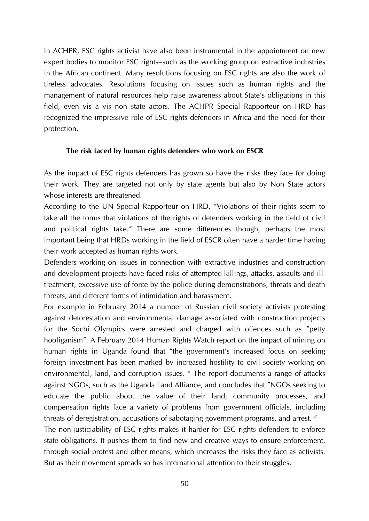In ACHPR, ESC rights activist have also been instrumental in the appointment on new expert bodies to monitor ESC rights–such as the working group on extractive industries in the African continent. Many resolutions focusing on ESC rights are also the work of tireless advocates. Resolutions focusing on issues such as human rights and the management of natural resources help raise awareness about State's obligations in this field, even vis a vis non state actors. The ACHPR Special Rapporteur on HRD has recognized the impressive role of ESC rights defenders in Africa and the need for their protection.

## **The risk faced by human rights defenders who work on ESCR**

As the impact of ESC rights defenders has grown so have the risks they face for doing their work. They are targeted not only by state agents but also by Non State actors whose interests are threatened.

According to the UN Special Rapporteur on HRD, "Violations of their rights seem to take all the forms that violations of the rights of defenders working in the field of civil and political rights take." There are some differences though, perhaps the most important being that HRDs working in the field of ESCR often have a harder time having their work accepted as human rights work.

Defenders working on issues in connection with extractive industries and construction and development projects have faced risks of attempted killings, attacks, assaults and illtreatment, excessive use of force by the police during demonstrations, threats and death threats, and different forms of intimidation and harassment.

For example in February 2014 a number of Russian civil society activists protesting against deforestation and environmental damage associated with construction projects for the Sochi Olympics were arrested and charged with offences such as "petty hooliganism". A February 2014 Human Rights Watch report on the impact of mining on human rights in Uganda found that "the government's increased focus on seeking foreign investment has been marked by increased hostility to civil society working on environmental, land, and corruption issues. " The report documents a range of attacks against NGOs, such as the Uganda Land Alliance, and concludes that "NGOs seeking to educate the public about the value of their land, community processes, and compensation rights face a variety of problems from government officials, including threats of deregistration, accusations of sabotaging government programs, and arrest. "

The non-justiciability of ESC rights makes it harder for ESC rights defenders to enforce state obligations. It pushes them to find new and creative ways to ensure enforcement, through social protest and other means, which increases the risks they face as activists. But as their movement spreads so has international attention to their struggles.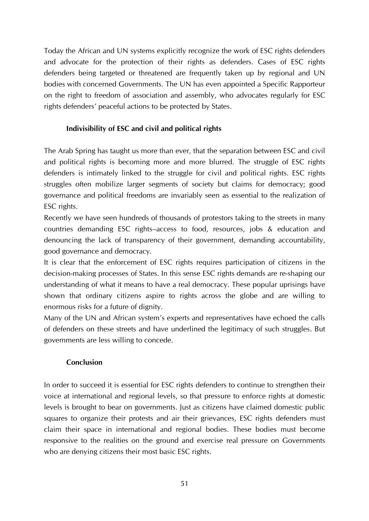Today the African and UN systems explicitly recognize the work of ESC rights defenders and advocate for the protection of their rights as defenders. Cases of ESC rights defenders being targeted or threatened are frequently taken up by regional and UN bodies with concerned Governments. The UN has even appointed a Specific Rapporteur on the right to freedom of association and assembly, who advocates regularly for ESC rights defenders' peaceful actions to be protected by States.

## **Indivisibility of ESC and civil and political rights**

The Arab Spring has taught us more than ever, that the separation between ESC and civil and political rights is becoming more and more blurred. The struggle of ESC rights defenders is intimately linked to the struggle for civil and political rights. ESC rights struggles often mobilize larger segments of society but claims for democracy; good governance and political freedoms are invariably seen as essential to the realization of ESC rights.

Recently we have seen hundreds of thousands of protestors taking to the streets in many countries demanding ESC rights–access to food, resources, jobs & education and denouncing the lack of transparency of their government, demanding accountability, good governance and democracy.

It is clear that the enforcement of ESC rights requires participation of citizens in the decision-making processes of States. In this sense ESC rights demands are re-shaping our understanding of what it means to have a real democracy. These popular uprisings have shown that ordinary citizens aspire to rights across the globe and are willing to enormous risks for a future of dignity.

Many of the UN and African system's experts and representatives have echoed the calls of defenders on these streets and have underlined the legitimacy of such struggles. But governments are less willing to concede.

## **Conclusion**

In order to succeed it is essential for ESC rights defenders to continue to strengthen their voice at international and regional levels, so that pressure to enforce rights at domestic levels is brought to bear on governments. Just as citizens have claimed domestic public squares to organize their protests and air their grievances, ESC rights defenders must claim their space in international and regional bodies. These bodies must become responsive to the realities on the ground and exercise real pressure on Governments who are denying citizens their most basic ESC rights.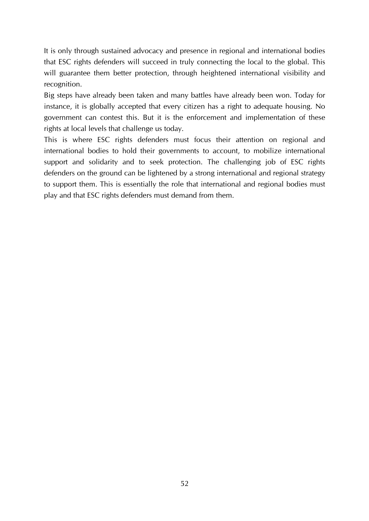It is only through sustained advocacy and presence in regional and international bodies that ESC rights defenders will succeed in truly connecting the local to the global. This will guarantee them better protection, through heightened international visibility and recognition.

Big steps have already been taken and many battles have already been won. Today for instance, it is globally accepted that every citizen has a right to adequate housing. No government can contest this. But it is the enforcement and implementation of these rights at local levels that challenge us today.

This is where ESC rights defenders must focus their attention on regional and international bodies to hold their governments to account, to mobilize international support and solidarity and to seek protection. The challenging job of ESC rights defenders on the ground can be lightened by a strong international and regional strategy to support them. This is essentially the role that international and regional bodies must play and that ESC rights defenders must demand from them.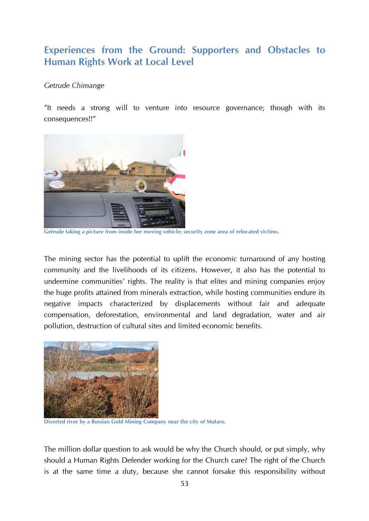# **Experiences from the Ground: Supporters and Obstacles to Human Rights Work at Local Level**

### *Getrude Chimange*

"It needs a strong will to venture into resource governance; though with its consequences!!"



**Getrude taking a picture from inside her moving vehicle; security zone area of relocated victims.** 

The mining sector has the potential to uplift the economic turnaround of any hosting community and the livelihoods of its citizens. However, it also has the potential to undermine communities' rights. The reality is that elites and mining companies enjoy the huge profits attained from minerals extraction, while hosting communities endure its negative impacts characterized by displacements without fair and adequate compensation, deforestation, environmental and land degradation, water and air pollution, destruction of cultural sites and limited economic benefits.



**Diverted river by a Russian Gold Mining Company near the city of Mutare.** 

The million dollar question to ask would be why the Church should, or put simply, why should a Human Rights Defender working for the Church care? The right of the Church is at the same time a duty, because she cannot forsake this responsibility without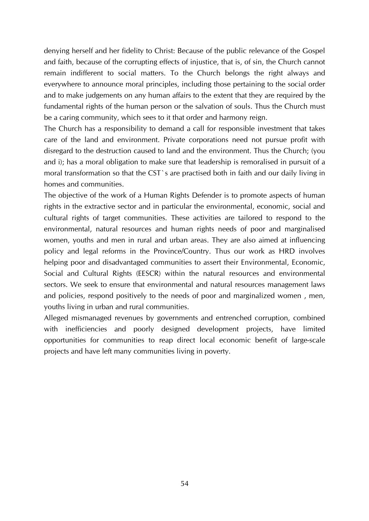denying herself and her fidelity to Christ: Because of the public relevance of the Gospel and faith, because of the corrupting effects of injustice, that is, of sin, the Church cannot remain indifferent to social matters. To the Church belongs the right always and everywhere to announce moral principles, including those pertaining to the social order and to make judgements on any human affairs to the extent that they are required by the fundamental rights of the human person or the salvation of souls. Thus the Church must be a caring community, which sees to it that order and harmony reign.

The Church has a responsibility to demand a call for responsible investment that takes care of the land and environment. Private corporations need not pursue profit with disregard to the destruction caused to land and the environment. Thus the Church; (you and i); has a moral obligation to make sure that leadership is remoralised in pursuit of a moral transformation so that the CST`s are practised both in faith and our daily living in homes and communities.

The objective of the work of a Human Rights Defender is to promote aspects of human rights in the extractive sector and in particular the environmental, economic, social and cultural rights of target communities. These activities are tailored to respond to the environmental, natural resources and human rights needs of poor and marginalised women, youths and men in rural and urban areas. They are also aimed at influencing policy and legal reforms in the Province/Country. Thus our work as HRD involves helping poor and disadvantaged communities to assert their Environmental, Economic, Social and Cultural Rights (EESCR) within the natural resources and environmental sectors. We seek to ensure that environmental and natural resources management laws and policies, respond positively to the needs of poor and marginalized women , men, youths living in urban and rural communities.

Alleged mismanaged revenues by governments and entrenched corruption, combined with inefficiencies and poorly designed development projects, have limited opportunities for communities to reap direct local economic benefit of large-scale projects and have left many communities living in poverty.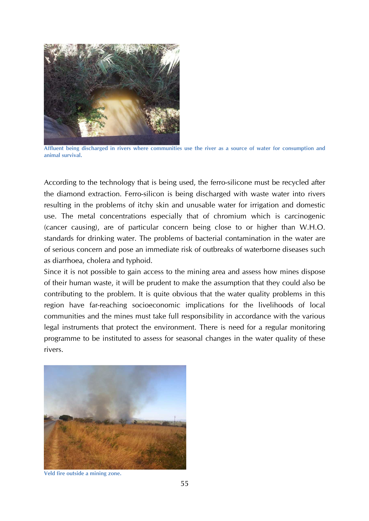

**Affluent being discharged in rivers where communities use the river as a source of water for consumption and animal survival.** 

According to the technology that is being used, the ferro-silicone must be recycled after the diamond extraction. Ferro-silicon is being discharged with waste water into rivers resulting in the problems of itchy skin and unusable water for irrigation and domestic use. The metal concentrations especially that of chromium which is carcinogenic (cancer causing), are of particular concern being close to or higher than W.H.O. standards for drinking water. The problems of bacterial contamination in the water are of serious concern and pose an immediate risk of outbreaks of waterborne diseases such as diarrhoea, cholera and typhoid.

Since it is not possible to gain access to the mining area and assess how mines dispose of their human waste, it will be prudent to make the assumption that they could also be contributing to the problem. It is quite obvious that the water quality problems in this region have far-reaching socioeconomic implications for the livelihoods of local communities and the mines must take full responsibility in accordance with the various legal instruments that protect the environment. There is need for a regular monitoring programme to be instituted to assess for seasonal changes in the water quality of these rivers.



**Veld fire outside a mining zone.**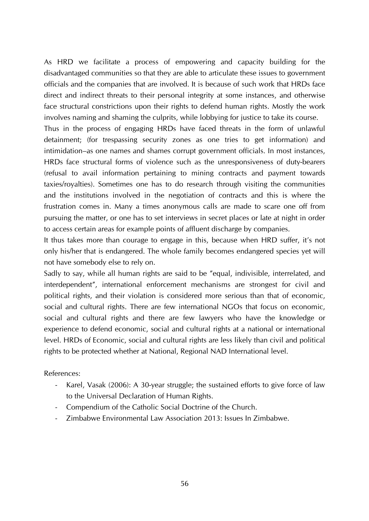As HRD we facilitate a process of empowering and capacity building for the disadvantaged communities so that they are able to articulate these issues to government officials and the companies that are involved. It is because of such work that HRDs face direct and indirect threats to their personal integrity at some instances, and otherwise face structural constrictions upon their rights to defend human rights. Mostly the work involves naming and shaming the culprits, while lobbying for justice to take its course.

Thus in the process of engaging HRDs have faced threats in the form of unlawful detainment; (for trespassing security zones as one tries to get information) and intimidation–as one names and shames corrupt government officials. In most instances, HRDs face structural forms of violence such as the unresponsiveness of duty-bearers (refusal to avail information pertaining to mining contracts and payment towards taxies/royalties). Sometimes one has to do research through visiting the communities and the institutions involved in the negotiation of contracts and this is where the frustration comes in. Many a times anonymous calls are made to scare one off from pursuing the matter, or one has to set interviews in secret places or late at night in order to access certain areas for example points of affluent discharge by companies.

It thus takes more than courage to engage in this, because when HRD suffer, it's not only his/her that is endangered. The whole family becomes endangered species yet will not have somebody else to rely on.

Sadly to say, while all human rights are said to be "equal, indivisible, interrelated, and interdependent", international enforcement mechanisms are strongest for civil and political rights, and their violation is considered more serious than that of economic, social and cultural rights. There are few international NGOs that focus on economic, social and cultural rights and there are few lawyers who have the knowledge or experience to defend economic, social and cultural rights at a national or international level. HRDs of Economic, social and cultural rights are less likely than civil and political rights to be protected whether at National, Regional NAD International level.

References:

- Karel, Vasak (2006): A 30-year struggle; the sustained efforts to give force of law to the Universal Declaration of Human Rights.
- Compendium of the Catholic Social Doctrine of the Church.
- Zimbabwe Environmental Law Association 2013: Issues In Zimbabwe.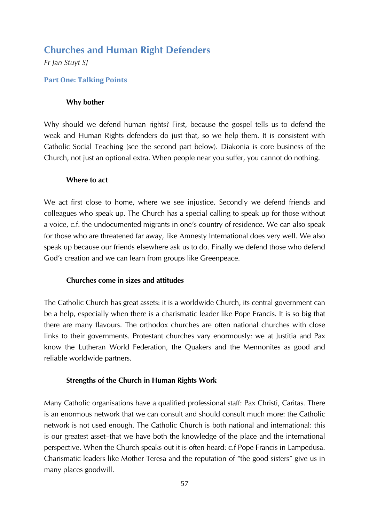# **Churches and Human Right Defenders**

*Fr Jan Stuyt SJ* 

## **Part One: Talking Points**

## **Why bother**

Why should we defend human rights? First, because the gospel tells us to defend the weak and Human Rights defenders do just that, so we help them. It is consistent with Catholic Social Teaching (see the second part below). Diakonia is core business of the Church, not just an optional extra. When people near you suffer, you cannot do nothing.

### **Where to act**

We act first close to home, where we see injustice. Secondly we defend friends and colleagues who speak up. The Church has a special calling to speak up for those without a voice, c.f. the undocumented migrants in one's country of residence. We can also speak for those who are threatened far away, like Amnesty International does very well. We also speak up because our friends elsewhere ask us to do. Finally we defend those who defend God's creation and we can learn from groups like Greenpeace.

## **Churches come in sizes and attitudes**

The Catholic Church has great assets: it is a worldwide Church, its central government can be a help, especially when there is a charismatic leader like Pope Francis. It is so big that there are many flavours. The orthodox churches are often national churches with close links to their governments. Protestant churches vary enormously: we at Justitia and Pax know the Lutheran World Federation, the Quakers and the Mennonites as good and reliable worldwide partners.

## **Strengths of the Church in Human Rights Work**

Many Catholic organisations have a qualified professional staff: Pax Christi, Caritas. There is an enormous network that we can consult and should consult much more: the Catholic network is not used enough. The Catholic Church is both national and international: this is our greatest asset–that we have both the knowledge of the place and the international perspective. When the Church speaks out it is often heard: c.f Pope Francis in Lampedusa. Charismatic leaders like Mother Teresa and the reputation of "the good sisters" give us in many places goodwill.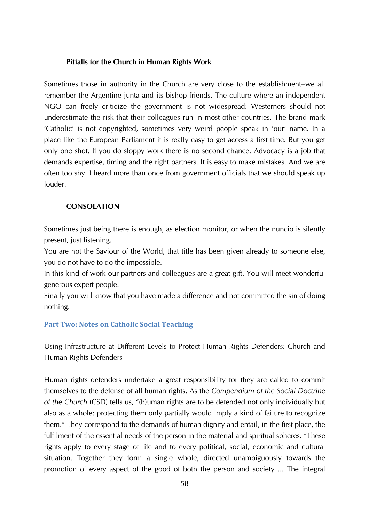#### **Pitfalls for the Church in Human Rights Work**

Sometimes those in authority in the Church are very close to the establishment–we all remember the Argentine junta and its bishop friends. The culture where an independent NGO can freely criticize the government is not widespread: Westerners should not underestimate the risk that their colleagues run in most other countries. The brand mark 'Catholic' is not copyrighted, sometimes very weird people speak in 'our' name. In a place like the European Parliament it is really easy to get access a first time. But you get only one shot. If you do sloppy work there is no second chance. Advocacy is a job that demands expertise, timing and the right partners. It is easy to make mistakes. And we are often too shy. I heard more than once from government officials that we should speak up louder.

### **CONSOLATION**

Sometimes just being there is enough, as election monitor, or when the nuncio is silently present, just listening.

You are not the Saviour of the World, that title has been given already to someone else, you do not have to do the impossible.

In this kind of work our partners and colleagues are a great gift. You will meet wonderful generous expert people.

Finally you will know that you have made a difference and not committed the sin of doing nothing.

### **Part Two: Notes on Catholic Social Teaching**

Using Infrastructure at Different Levels to Protect Human Rights Defenders: Church and Human Rights Defenders

Human rights defenders undertake a great responsibility for they are called to commit themselves to the defense of all human rights. As the *Compendium of the Social Doctrine of the Church* (CSD) tells us, "(h)uman rights are to be defended not only individually but also as a whole: protecting them only partially would imply a kind of failure to recognize them." They correspond to the demands of human dignity and entail, in the first place, the fulfilment of the essential needs of the person in the material and spiritual spheres. "These rights apply to every stage of life and to every political, social, economic and cultural situation. Together they form a single whole, directed unambiguously towards the promotion of every aspect of the good of both the person and society ... The integral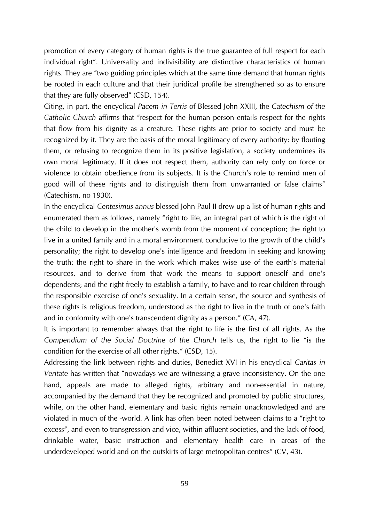promotion of every category of human rights is the true guarantee of full respect for each individual right". Universality and indivisibility are distinctive characteristics of human rights. They are "two guiding principles which at the same time demand that human rights be rooted in each culture and that their juridical profile be strengthened so as to ensure that they are fully observed" (CSD, 154).

Citing, in part, the encyclical *Pacem in Terris* of Blessed John XXIII, the *Catechism of the Catholic Church* affirms that "respect for the human person entails respect for the rights that flow from his dignity as a creature. These rights are prior to society and must be recognized by it. They are the basis of the moral legitimacy of every authority: by flouting them, or refusing to recognize them in its positive legislation, a society undermines its own moral legitimacy. If it does not respect them, authority can rely only on force or violence to obtain obedience from its subjects. It is the Church's role to remind men of good will of these rights and to distinguish them from unwarranted or false claims" (Catechism, no 1930).

In the encyclical *Centesimus annus* blessed John Paul II drew up a list of human rights and enumerated them as follows, namely "right to life, an integral part of which is the right of the child to develop in the mother's womb from the moment of conception; the right to live in a united family and in a moral environment conducive to the growth of the child's personality; the right to develop one's intelligence and freedom in seeking and knowing the truth; the right to share in the work which makes wise use of the earth's material resources, and to derive from that work the means to support oneself and one's dependents; and the right freely to establish a family, to have and to rear children through the responsible exercise of one's sexuality. In a certain sense, the source and synthesis of these rights is religious freedom, understood as the right to live in the truth of one's faith and in conformity with one's transcendent dignity as a person." (CA, 47).

It is important to remember always that the right to life is the first of all rights. As the *Compendium of the Social Doctrine of the Church* tells us, the right to lie "is the condition for the exercise of all other rights." (CSD, 15).

Addressing the link between rights and duties, Benedict XVI in his encyclical *Caritas in Veritate* has written that "nowadays we are witnessing a grave inconsistency. On the one hand, appeals are made to alleged rights, arbitrary and non-essential in nature, accompanied by the demand that they be recognized and promoted by public structures, while, on the other hand, elementary and basic rights remain unacknowledged and are violated in much of the -world. A link has often been noted between claims to a "right to excess", and even to transgression and vice, within affluent societies, and the lack of food, drinkable water, basic instruction and elementary health care in areas of the underdeveloped world and on the outskirts of large metropolitan centres" (CV, 43).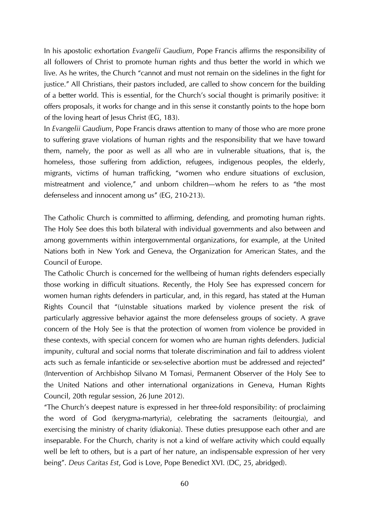In his apostolic exhortation *Evangelii Gaudium*, Pope Francis affirms the responsibility of all followers of Christ to promote human rights and thus better the world in which we live. As he writes, the Church "cannot and must not remain on the sidelines in the fight for justice." All Christians, their pastors included, are called to show concern for the building of a better world. This is essential, for the Church's social thought is primarily positive: it offers proposals, it works for change and in this sense it constantly points to the hope born of the loving heart of Jesus Christ (EG, 183).

In *Evangelii Gaudium*, Pope Francis draws attention to many of those who are more prone to suffering grave violations of human rights and the responsibility that we have toward them, namely, the poor as well as all who are in vulnerable situations, that is, the homeless, those suffering from addiction, refugees, indigenous peoples, the elderly, migrants, victims of human trafficking, "women who endure situations of exclusion, mistreatment and violence," and unborn children—whom he refers to as "the most defenseless and innocent among us" (EG, 210-213).

The Catholic Church is committed to affirming, defending, and promoting human rights. The Holy See does this both bilateral with individual governments and also between and among governments within intergovernmental organizations, for example, at the United Nations both in New York and Geneva, the Organization for American States, and the Council of Europe.

The Catholic Church is concerned for the wellbeing of human rights defenders especially those working in difficult situations. Recently, the Holy See has expressed concern for women human rights defenders in particular, and, in this regard, has stated at the Human Rights Council that "(u)nstable situations marked by violence present the risk of particularly aggressive behavior against the more defenseless groups of society. A grave concern of the Holy See is that the protection of women from violence be provided in these contexts, with special concern for women who are human rights defenders. Judicial impunity, cultural and social norms that tolerate discrimination and fail to address violent acts such as female infanticide or sex-selective abortion must be addressed and rejected" (Intervention of Archbishop Silvano M Tomasi, Permanent Observer of the Holy See to the United Nations and other international organizations in Geneva, Human Rights Council, 20th regular session, 26 June 2012).

"The Church's deepest nature is expressed in her three-fold responsibility: of proclaiming the word of God (kerygma-martyria), celebrating the sacraments (leitourgia), and exercising the ministry of charity (diakonia). These duties presuppose each other and are inseparable. For the Church, charity is not a kind of welfare activity which could equally well be left to others, but is a part of her nature, an indispensable expression of her very being". *Deus Caritas Est*, God is Love, Pope Benedict XVI. (DC, 25, abridged).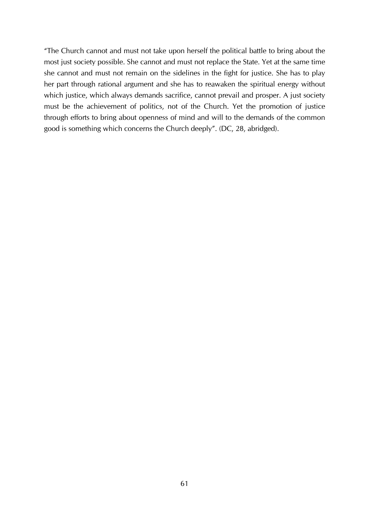"The Church cannot and must not take upon herself the political battle to bring about the most just society possible. She cannot and must not replace the State. Yet at the same time she cannot and must not remain on the sidelines in the fight for justice. She has to play her part through rational argument and she has to reawaken the spiritual energy without which justice, which always demands sacrifice, cannot prevail and prosper. A just society must be the achievement of politics, not of the Church. Yet the promotion of justice through efforts to bring about openness of mind and will to the demands of the common good is something which concerns the Church deeply". (DC, 28, abridged).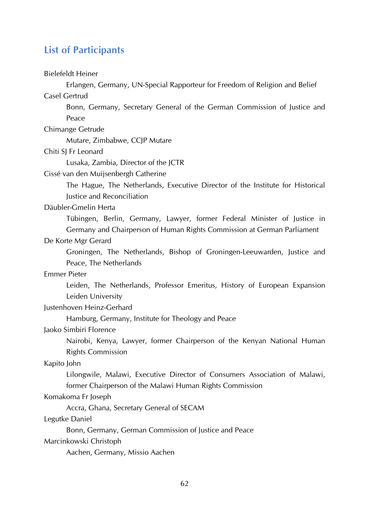# **List of Participants**

#### Bielefeldt Heiner

Erlangen, Germany, UN-Special Rapporteur for Freedom of Religion and Belief

#### Casel Gertrud

Bonn, Germany, Secretary General of the German Commission of Justice and Peace

#### Chimange Getrude

Mutare, Zimbabwe, CCJP Mutare

#### Chiti SJ Fr Leonard

Lusaka, Zambia, Director of the JCTR

### Cissé van den Muijsenbergh Catherine

The Hague, The Netherlands, Executive Director of the Institute for Historical Justice and Reconciliation

#### Däubler-Gmelin Herta

Tübingen, Berlin, Germany, Lawyer, former Federal Minister of Justice in Germany and Chairperson of Human Rights Commission at German Parliament

### De Korte Mgr Gerard

Groningen, The Netherlands, Bishop of Groningen-Leeuwarden, Justice and Peace, The Netherlands

### Emmer Pieter

Leiden, The Netherlands, Professor Emeritus, History of European Expansion Leiden University

### Justenhoven Heinz-Gerhard

Hamburg, Germany, Institute for Theology and Peace

### Jaoko Simbiri Florence

Nairobi, Kenya, Lawyer, former Chairperson of the Kenyan National Human Rights Commission

## Kapito John

Lilongwile, Malawi, Executive Director of Consumers Association of Malawi, former Chairperson of the Malawi Human Rights Commission

### Komakoma Fr Joseph

Accra, Ghana, Secretary General of SECAM

#### Legutke Daniel

Bonn, Germany, German Commission of Justice and Peace

#### Marcinkowski Christoph

Aachen, Germany, Missio Aachen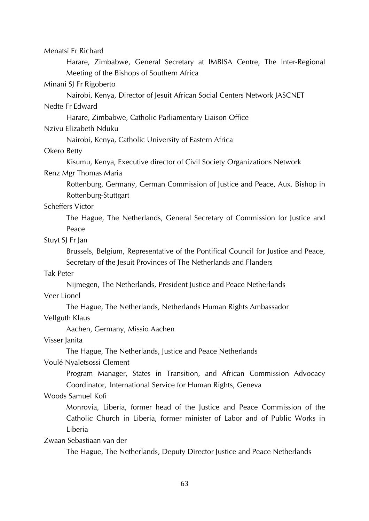Menatsi Fr Richard

Harare, Zimbabwe, General Secretary at IMBISA Centre, The Inter-Regional Meeting of the Bishops of Southern Africa

#### Minani SJ Fr Rigoberto

Nairobi, Kenya, Director of Jesuit African Social Centers Network JASCNET

# Nedte Fr Edward

Harare, Zimbabwe, Catholic Parliamentary Liaison Office

Nzivu Elizabeth Nduku

Nairobi, Kenya, Catholic University of Eastern Africa

#### Okero Betty

Kisumu, Kenya, Executive director of Civil Society Organizations Network

#### Renz Mgr Thomas Maria

Rottenburg, Germany, German Commission of Justice and Peace, Aux. Bishop in Rottenburg-Stuttgart

#### Scheffers Victor

The Hague, The Netherlands, General Secretary of Commission for Justice and Peace

### Stuyt SJ Fr Jan

Brussels, Belgium, Representative of the Pontifical Council for Justice and Peace, Secretary of the Jesuit Provinces of The Netherlands and Flanders

#### Tak Peter

Nijmegen, The Netherlands, President Justice and Peace Netherlands

## Veer Lionel

The Hague, The Netherlands, Netherlands Human Rights Ambassador

#### Vellguth Klaus

Aachen, Germany, Missio Aachen

#### Visser Janita

The Hague, The Netherlands, Justice and Peace Netherlands

#### Voulé Nyaletsossi Clement

Program Manager, States in Transition, and African Commission Advocacy Coordinator, International Service for Human Rights, Geneva

#### Woods Samuel Kofi

Monrovia, Liberia, former head of the Justice and Peace Commission of the Catholic Church in Liberia, former minister of Labor and of Public Works in Liberia

### Zwaan Sebastiaan van der

The Hague, The Netherlands, Deputy Director Justice and Peace Netherlands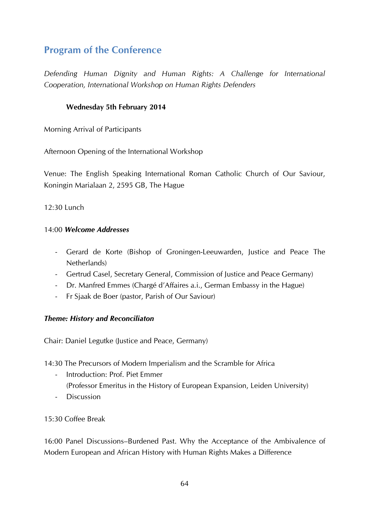# **Program of the Conference**

*Defending Human Dignity and Human Rights: A Challenge for International Cooperation, International Workshop on Human Rights Defenders* 

## **Wednesday 5th February 2014**

Morning Arrival of Participants

Afternoon Opening of the International Workshop

Venue: The English Speaking International Roman Catholic Church of Our Saviour, Koningin Marialaan 2, 2595 GB, The Hague

## 12:30 Lunch

## 14:00 *Welcome Addresses*

- Gerard de Korte (Bishop of Groningen-Leeuwarden, Justice and Peace The Netherlands)
- Gertrud Casel, Secretary General, Commission of Justice and Peace Germany)
- Dr. Manfred Emmes (Chargé d'Affaires a.i., German Embassy in the Hague)
- Fr Sjaak de Boer (pastor, Parish of Our Saviour)

## *Theme: History and Reconciliaton*

Chair: Daniel Legutke (Justice and Peace, Germany)

14:30 The Precursors of Modern Imperialism and the Scramble for Africa

- Introduction: Prof. Piet Emmer (Professor Emeritus in the History of European Expansion, Leiden University)
- Discussion

## 15:30 Coffee Break

16:00 Panel Discussions–Burdened Past. Why the Acceptance of the Ambivalence of Modern European and African History with Human Rights Makes a Difference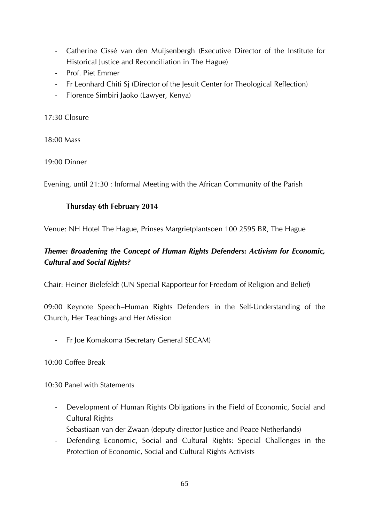- Catherine Cissé van den Muijsenbergh (Executive Director of the Institute for Historical Justice and Reconciliation in The Hague)
- Prof. Piet Emmer
- Fr Leonhard Chiti Sj (Director of the Jesuit Center for Theological Reflection)
- Florence Simbiri Jaoko (Lawyer, Kenya)

17:30 Closure

18:00 Mass

19:00 Dinner

Evening, until 21:30 : Informal Meeting with the African Community of the Parish

## **Thursday 6th February 2014**

Venue: NH Hotel The Hague, Prinses Margrietplantsoen 100 2595 BR, The Hague

# *Theme: Broadening the Concept of Human Rights Defenders: Activism for Economic, Cultural and Social Rights?*

Chair: Heiner Bielefeldt (UN Special Rapporteur for Freedom of Religion and Belief)

09:00 Keynote Speech–Human Rights Defenders in the Self-Understanding of the Church, Her Teachings and Her Mission

- Fr Joe Komakoma (Secretary General SECAM)

10:00 Coffee Break

10:30 Panel with Statements

- Development of Human Rights Obligations in the Field of Economic, Social and Cultural Rights
	- Sebastiaan van der Zwaan (deputy director Justice and Peace Netherlands)
- Defending Economic, Social and Cultural Rights: Special Challenges in the Protection of Economic, Social and Cultural Rights Activists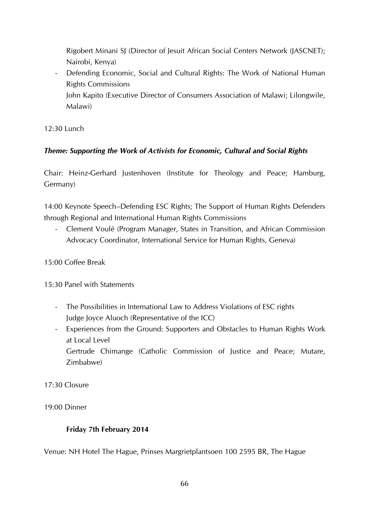Rigobert Minani SJ (Director of Jesuit African Social Centers Network (JASCNET); Nairobi, Kenya)

- Defending Economic, Social and Cultural Rights: The Work of National Human Rights Commissions

John Kapito (Executive Director of Consumers Association of Malawi; Lilongwile, Malawi)

12:30 Lunch

# *Theme: Supporting the Work of Activists for Economic, Cultural and Social Rights*

Chair: Heinz-Gerhard Justenhoven (Institute for Theology and Peace; Hamburg, Germany)

14:00 Keynote Speech–Defending ESC Rights; The Support of Human Rights Defenders through Regional and International Human Rights Commissions

- Clement Voulé (Program Manager, States in Transition, and African Commission Advocacy Coordinator, International Service for Human Rights, Geneva)

15:00 Coffee Break

15:30 Panel with Statements

- The Possibilities in International Law to Address Violations of ESC rights Judge Joyce Aluoch (Representative of the ICC)
- Experiences from the Ground: Supporters and Obstacles to Human Rights Work at Local Level

Gertrude Chimange (Catholic Commission of Justice and Peace; Mutare, Zimbabwe)

17:30 Closure

19:00 Dinner

# **Friday 7th February 2014**

Venue: NH Hotel The Hague, Prinses Margrietplantsoen 100 2595 BR, The Hague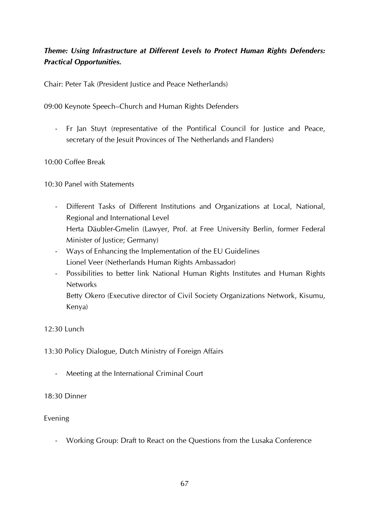# *Theme: Using Infrastructure at Different Levels to Protect Human Rights Defenders: Practical Opportunities.*

Chair: Peter Tak (President Justice and Peace Netherlands)

09:00 Keynote Speech–Church and Human Rights Defenders

- Fr Jan Stuyt (representative of the Pontifical Council for Justice and Peace, secretary of the Jesuit Provinces of The Netherlands and Flanders)

10:00 Coffee Break

## 10:30 Panel with Statements

- Different Tasks of Different Institutions and Organizations at Local, National, Regional and International Level Herta Däubler-Gmelin (Lawyer, Prof. at Free University Berlin, former Federal Minister of Justice; Germany)
- Ways of Enhancing the Implementation of the EU Guidelines Lionel Veer (Netherlands Human Rights Ambassador)
- Possibilities to better link National Human Rights Institutes and Human Rights **Networks** Betty Okero (Executive director of Civil Society Organizations Network, Kisumu, Kenya)

# 12:30 Lunch

- 13:30 Policy Dialogue, Dutch Ministry of Foreign Affairs
	- Meeting at the International Criminal Court

## 18:30 Dinner

## Evening

- Working Group: Draft to React on the Questions from the Lusaka Conference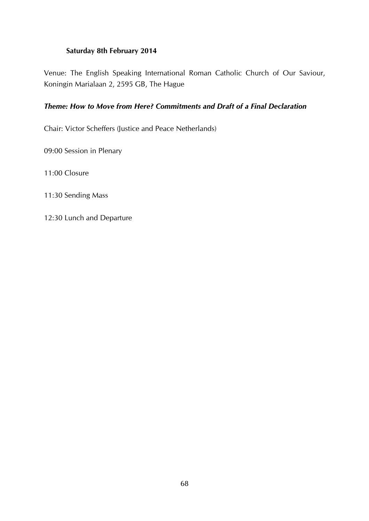## **Saturday 8th February 2014**

Venue: The English Speaking International Roman Catholic Church of Our Saviour, Koningin Marialaan 2, 2595 GB, The Hague

## *Theme: How to Move from Here? Commitments and Draft of a Final Declaration*

Chair: Victor Scheffers (Justice and Peace Netherlands)

09:00 Session in Plenary

11:00 Closure

## 11:30 Sending Mass

12:30 Lunch and Departure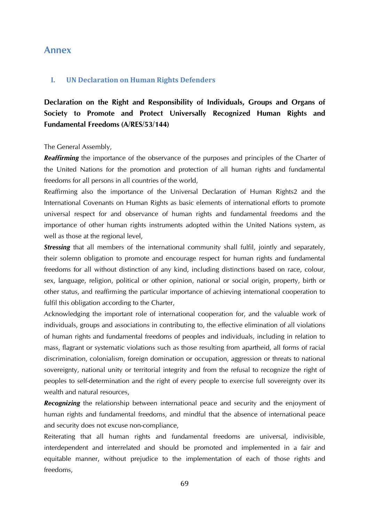## **Annex**

#### **I. UN Declaration on Human Rights Defenders**

# **Declaration on the Right and Responsibility of Individuals, Groups and Organs of Society to Promote and Protect Universally Recognized Human Rights and Fundamental Freedoms (A/RES/53/144)**

#### The General Assembly,

**Reaffirming** the importance of the observance of the purposes and principles of the Charter of the United Nations for the promotion and protection of all human rights and fundamental freedoms for all persons in all countries of the world,

Reaffirming also the importance of the Universal Declaration of Human Rights2 and the International Covenants on Human Rights as basic elements of international efforts to promote universal respect for and observance of human rights and fundamental freedoms and the importance of other human rights instruments adopted within the United Nations system, as well as those at the regional level,

**Stressing** that all members of the international community shall fulfil, jointly and separately, their solemn obligation to promote and encourage respect for human rights and fundamental freedoms for all without distinction of any kind, including distinctions based on race, colour, sex, language, religion, political or other opinion, national or social origin, property, birth or other status, and reaffirming the particular importance of achieving international cooperation to fulfil this obligation according to the Charter,

Acknowledging the important role of international cooperation for, and the valuable work of individuals, groups and associations in contributing to, the effective elimination of all violations of human rights and fundamental freedoms of peoples and individuals, including in relation to mass, flagrant or systematic violations such as those resulting from apartheid, all forms of racial discrimination, colonialism, foreign domination or occupation, aggression or threats to national sovereignty, national unity or territorial integrity and from the refusal to recognize the right of peoples to self-determination and the right of every people to exercise full sovereignty over its wealth and natural resources,

**Recognizing** the relationship between international peace and security and the enjoyment of human rights and fundamental freedoms, and mindful that the absence of international peace and security does not excuse non-compliance,

Reiterating that all human rights and fundamental freedoms are universal, indivisible, interdependent and interrelated and should be promoted and implemented in a fair and equitable manner, without prejudice to the implementation of each of those rights and freedoms,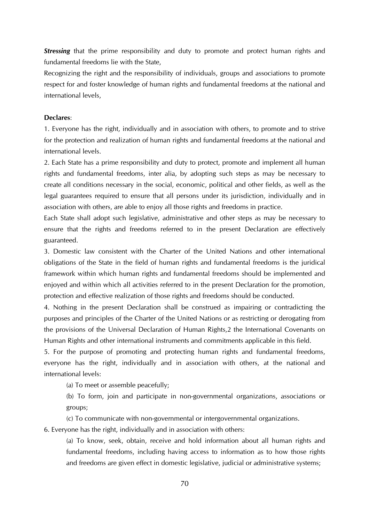**Stressing** that the prime responsibility and duty to promote and protect human rights and fundamental freedoms lie with the State,

Recognizing the right and the responsibility of individuals, groups and associations to promote respect for and foster knowledge of human rights and fundamental freedoms at the national and international levels,

#### **Declares**:

1. Everyone has the right, individually and in association with others, to promote and to strive for the protection and realization of human rights and fundamental freedoms at the national and international levels.

2. Each State has a prime responsibility and duty to protect, promote and implement all human rights and fundamental freedoms, inter alia, by adopting such steps as may be necessary to create all conditions necessary in the social, economic, political and other fields, as well as the legal guarantees required to ensure that all persons under its jurisdiction, individually and in association with others, are able to enjoy all those rights and freedoms in practice.

Each State shall adopt such legislative, administrative and other steps as may be necessary to ensure that the rights and freedoms referred to in the present Declaration are effectively guaranteed.

3. Domestic law consistent with the Charter of the United Nations and other international obligations of the State in the field of human rights and fundamental freedoms is the juridical framework within which human rights and fundamental freedoms should be implemented and enjoyed and within which all activities referred to in the present Declaration for the promotion, protection and effective realization of those rights and freedoms should be conducted.

4. Nothing in the present Declaration shall be construed as impairing or contradicting the purposes and principles of the Charter of the United Nations or as restricting or derogating from the provisions of the Universal Declaration of Human Rights,2 the International Covenants on Human Rights and other international instruments and commitments applicable in this field.

5. For the purpose of promoting and protecting human rights and fundamental freedoms, everyone has the right, individually and in association with others, at the national and international levels:

(a) To meet or assemble peacefully;

(b) To form, join and participate in non-governmental organizations, associations or groups;

(c) To communicate with non-governmental or intergovernmental organizations.

6. Everyone has the right, individually and in association with others:

(a) To know, seek, obtain, receive and hold information about all human rights and fundamental freedoms, including having access to information as to how those rights and freedoms are given effect in domestic legislative, judicial or administrative systems;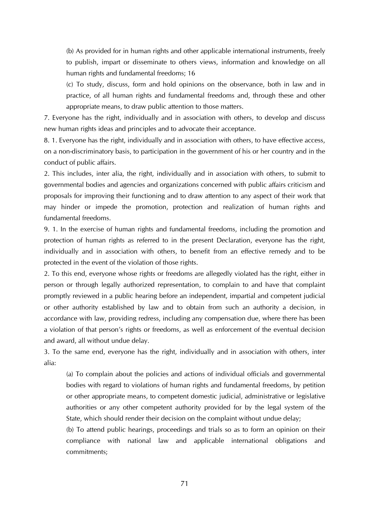(b) As provided for in human rights and other applicable international instruments, freely to publish, impart or disseminate to others views, information and knowledge on all human rights and fundamental freedoms; 16

(c) To study, discuss, form and hold opinions on the observance, both in law and in practice, of all human rights and fundamental freedoms and, through these and other appropriate means, to draw public attention to those matters.

7. Everyone has the right, individually and in association with others, to develop and discuss new human rights ideas and principles and to advocate their acceptance.

8. 1. Everyone has the right, individually and in association with others, to have effective access, on a non-discriminatory basis, to participation in the government of his or her country and in the conduct of public affairs.

2. This includes, inter alia, the right, individually and in association with others, to submit to governmental bodies and agencies and organizations concerned with public affairs criticism and proposals for improving their functioning and to draw attention to any aspect of their work that may hinder or impede the promotion, protection and realization of human rights and fundamental freedoms.

9. 1. In the exercise of human rights and fundamental freedoms, including the promotion and protection of human rights as referred to in the present Declaration, everyone has the right, individually and in association with others, to benefit from an effective remedy and to be protected in the event of the violation of those rights.

2. To this end, everyone whose rights or freedoms are allegedly violated has the right, either in person or through legally authorized representation, to complain to and have that complaint promptly reviewed in a public hearing before an independent, impartial and competent judicial or other authority established by law and to obtain from such an authority a decision, in accordance with law, providing redress, including any compensation due, where there has been a violation of that person's rights or freedoms, as well as enforcement of the eventual decision and award, all without undue delay.

3. To the same end, everyone has the right, individually and in association with others, inter alia:

(a) To complain about the policies and actions of individual officials and governmental bodies with regard to violations of human rights and fundamental freedoms, by petition or other appropriate means, to competent domestic judicial, administrative or legislative authorities or any other competent authority provided for by the legal system of the State, which should render their decision on the complaint without undue delay;

(b) To attend public hearings, proceedings and trials so as to form an opinion on their compliance with national law and applicable international obligations and commitments;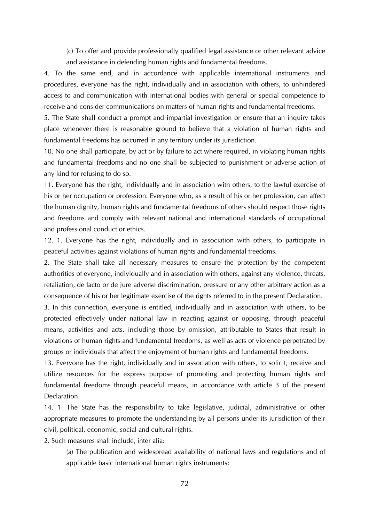(c) To offer and provide professionally qualified legal assistance or other relevant advice and assistance in defending human rights and fundamental freedoms.

4. To the same end, and in accordance with applicable international instruments and procedures, everyone has the right, individually and in association with others, to unhindered access to and communication with international bodies with general or special competence to receive and consider communications on matters of human rights and fundamental freedoms.

5. The State shall conduct a prompt and impartial investigation or ensure that an inquiry takes place whenever there is reasonable ground to believe that a violation of human rights and fundamental freedoms has occurred in any territory under its jurisdiction.

10. No one shall participate, by act or by failure to act where required, in violating human rights and fundamental freedoms and no one shall be subjected to punishment or adverse action of any kind for refusing to do so.

11. Everyone has the right, individually and in association with others, to the lawful exercise of his or her occupation or profession. Everyone who, as a result of his or her profession, can affect the human dignity, human rights and fundamental freedoms of others should respect those rights and freedoms and comply with relevant national and international standards of occupational and professional conduct or ethics.

12. 1. Everyone has the right, individually and in association with others, to participate in peaceful activities against violations of human rights and fundamental freedoms.

2. The State shall take all necessary measures to ensure the protection by the competent authorities of everyone, individually and in association with others, against any violence, threats, retaliation, de facto or de jure adverse discrimination, pressure or any other arbitrary action as a consequence of his or her legitimate exercise of the rights referred to in the present Declaration.

3. In this connection, everyone is entitled, individually and in association with others, to be protected effectively under national law in reacting against or opposing, through peaceful means, activities and acts, including those by omission, attributable to States that result in violations of human rights and fundamental freedoms, as well as acts of violence perpetrated by groups or individuals that affect the enjoyment of human rights and fundamental freedoms.

13. Everyone has the right, individually and in association with others, to solicit, receive and utilize resources for the express purpose of promoting and protecting human rights and fundamental freedoms through peaceful means, in accordance with article 3 of the present Declaration.

14. 1. The State has the responsibility to take legislative, judicial, administrative or other appropriate measures to promote the understanding by all persons under its jurisdiction of their civil, political, economic, social and cultural rights.

2. Such measures shall include, inter alia:

(a) The publication and widespread availability of national laws and regulations and of applicable basic international human rights instruments;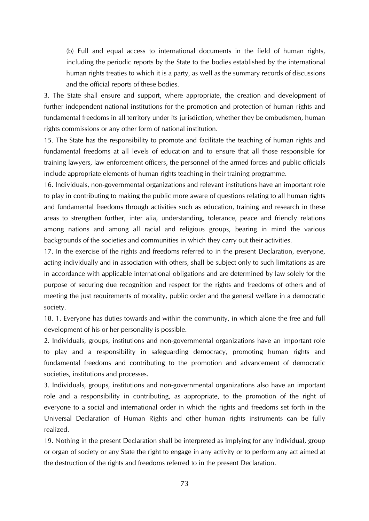(b) Full and equal access to international documents in the field of human rights, including the periodic reports by the State to the bodies established by the international human rights treaties to which it is a party, as well as the summary records of discussions and the official reports of these bodies.

3. The State shall ensure and support, where appropriate, the creation and development of further independent national institutions for the promotion and protection of human rights and fundamental freedoms in all territory under its jurisdiction, whether they be ombudsmen, human rights commissions or any other form of national institution.

15. The State has the responsibility to promote and facilitate the teaching of human rights and fundamental freedoms at all levels of education and to ensure that all those responsible for training lawyers, law enforcement officers, the personnel of the armed forces and public officials include appropriate elements of human rights teaching in their training programme.

16. Individuals, non-governmental organizations and relevant institutions have an important role to play in contributing to making the public more aware of questions relating to all human rights and fundamental freedoms through activities such as education, training and research in these areas to strengthen further, inter alia, understanding, tolerance, peace and friendly relations among nations and among all racial and religious groups, bearing in mind the various backgrounds of the societies and communities in which they carry out their activities.

17. In the exercise of the rights and freedoms referred to in the present Declaration, everyone, acting individually and in association with others, shall be subject only to such limitations as are in accordance with applicable international obligations and are determined by law solely for the purpose of securing due recognition and respect for the rights and freedoms of others and of meeting the just requirements of morality, public order and the general welfare in a democratic society.

18. 1. Everyone has duties towards and within the community, in which alone the free and full development of his or her personality is possible.

2. Individuals, groups, institutions and non-governmental organizations have an important role to play and a responsibility in safeguarding democracy, promoting human rights and fundamental freedoms and contributing to the promotion and advancement of democratic societies, institutions and processes.

3. Individuals, groups, institutions and non-governmental organizations also have an important role and a responsibility in contributing, as appropriate, to the promotion of the right of everyone to a social and international order in which the rights and freedoms set forth in the Universal Declaration of Human Rights and other human rights instruments can be fully realized.

19. Nothing in the present Declaration shall be interpreted as implying for any individual, group or organ of society or any State the right to engage in any activity or to perform any act aimed at the destruction of the rights and freedoms referred to in the present Declaration.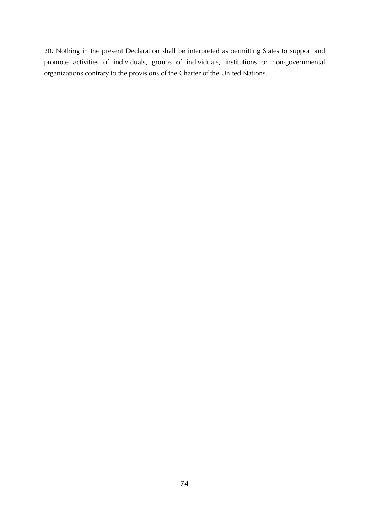20. Nothing in the present Declaration shall be interpreted as permitting States to support and promote activities of individuals, groups of individuals, institutions or non-governmental organizations contrary to the provisions of the Charter of the United Nations.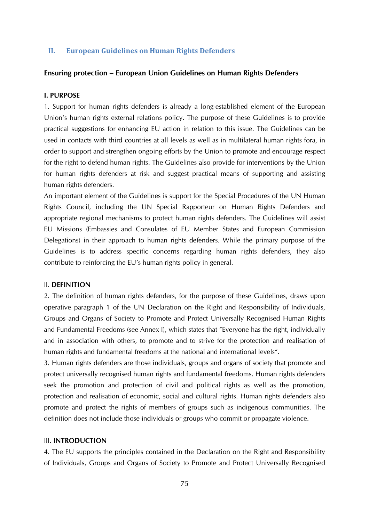### **II. European Guidelines on Human Rights Defenders**

### **Ensuring protection – European Union Guidelines on Human Rights Defenders**

#### **I. PURPOSE**

1. Support for human rights defenders is already a long-established element of the European Union's human rights external relations policy. The purpose of these Guidelines is to provide practical suggestions for enhancing EU action in relation to this issue. The Guidelines can be used in contacts with third countries at all levels as well as in multilateral human rights fora, in order to support and strengthen ongoing efforts by the Union to promote and encourage respect for the right to defend human rights. The Guidelines also provide for interventions by the Union for human rights defenders at risk and suggest practical means of supporting and assisting human rights defenders.

An important element of the Guidelines is support for the Special Procedures of the UN Human Rights Council, including the UN Special Rapporteur on Human Rights Defenders and appropriate regional mechanisms to protect human rights defenders. The Guidelines will assist EU Missions (Embassies and Consulates of EU Member States and European Commission Delegations) in their approach to human rights defenders. While the primary purpose of the Guidelines is to address specific concerns regarding human rights defenders, they also contribute to reinforcing the EU's human rights policy in general.

#### II. **DEFINITION**

2. The definition of human rights defenders, for the purpose of these Guidelines, draws upon operative paragraph 1 of the UN Declaration on the Right and Responsibility of Individuals, Groups and Organs of Society to Promote and Protect Universally Recognised Human Rights and Fundamental Freedoms (see Annex I), which states that "Everyone has the right, individually and in association with others, to promote and to strive for the protection and realisation of human rights and fundamental freedoms at the national and international levels".

3. Human rights defenders are those individuals, groups and organs of society that promote and protect universally recognised human rights and fundamental freedoms. Human rights defenders seek the promotion and protection of civil and political rights as well as the promotion, protection and realisation of economic, social and cultural rights. Human rights defenders also promote and protect the rights of members of groups such as indigenous communities. The definition does not include those individuals or groups who commit or propagate violence.

#### III. **INTRODUCTION**

4. The EU supports the principles contained in the Declaration on the Right and Responsibility of Individuals, Groups and Organs of Society to Promote and Protect Universally Recognised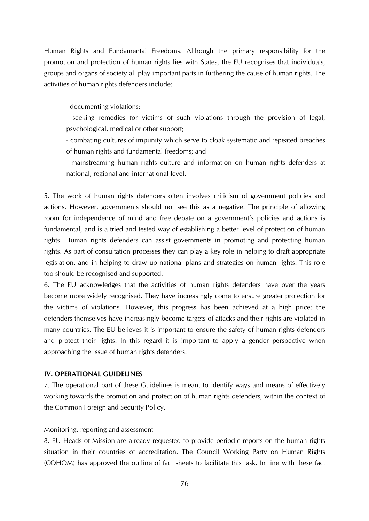Human Rights and Fundamental Freedoms. Although the primary responsibility for the promotion and protection of human rights lies with States, the EU recognises that individuals, groups and organs of society all play important parts in furthering the cause of human rights. The activities of human rights defenders include:

- documenting violations;

- seeking remedies for victims of such violations through the provision of legal, psychological, medical or other support;

- combating cultures of impunity which serve to cloak systematic and repeated breaches of human rights and fundamental freedoms; and

- mainstreaming human rights culture and information on human rights defenders at national, regional and international level.

5. The work of human rights defenders often involves criticism of government policies and actions. However, governments should not see this as a negative. The principle of allowing room for independence of mind and free debate on a government's policies and actions is fundamental, and is a tried and tested way of establishing a better level of protection of human rights. Human rights defenders can assist governments in promoting and protecting human rights. As part of consultation processes they can play a key role in helping to draft appropriate legislation, and in helping to draw up national plans and strategies on human rights. This role too should be recognised and supported.

6. The EU acknowledges that the activities of human rights defenders have over the years become more widely recognised. They have increasingly come to ensure greater protection for the victims of violations. However, this progress has been achieved at a high price: the defenders themselves have increasingly become targets of attacks and their rights are violated in many countries. The EU believes it is important to ensure the safety of human rights defenders and protect their rights. In this regard it is important to apply a gender perspective when approaching the issue of human rights defenders.

### **IV. OPERATIONAL GUIDELINES**

7. The operational part of these Guidelines is meant to identify ways and means of effectively working towards the promotion and protection of human rights defenders, within the context of the Common Foreign and Security Policy.

### Monitoring, reporting and assessment

8. EU Heads of Mission are already requested to provide periodic reports on the human rights situation in their countries of accreditation. The Council Working Party on Human Rights (COHOM) has approved the outline of fact sheets to facilitate this task. In line with these fact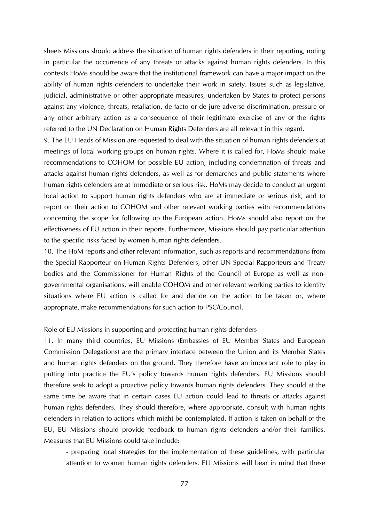sheets Missions should address the situation of human rights defenders in their reporting, noting in particular the occurrence of any threats or attacks against human rights defenders. In this contexts HoMs should be aware that the institutional framework can have a major impact on the ability of human rights defenders to undertake their work in safety. Issues such as legislative, judicial, administrative or other appropriate measures, undertaken by States to protect persons against any violence, threats, retaliation, de facto or de jure adverse discrimination, pressure or any other arbitrary action as a consequence of their legitimate exercise of any of the rights referred to the UN Declaration on Human Rights Defenders are all relevant in this regard.

9. The EU Heads of Mission are requested to deal with the situation of human rights defenders at meetings of local working groups on human rights. Where it is called for, HoMs should make recommendations to COHOM for possible EU action, including condemnation of threats and attacks against human rights defenders, as well as for demarches and public statements where human rights defenders are at immediate or serious risk. HoMs may decide to conduct an urgent local action to support human rights defenders who are at immediate or serious risk, and to report on their action to COHOM and other relevant working parties with recommendations concerning the scope for following up the European action. HoMs should also report on the effectiveness of EU action in their reports. Furthermore, Missions should pay particular attention to the specific risks faced by women human rights defenders.

10. The HoM reports and other relevant information, such as reports and recommendations from the Special Rapporteur on Human Rights Defenders, other UN Special Rapporteurs and Treaty bodies and the Commissioner for Human Rights of the Council of Europe as well as nongovernmental organisations, will enable COHOM and other relevant working parties to identify situations where EU action is called for and decide on the action to be taken or, where appropriate, make recommendations for such action to PSC/Council.

### Role of EU Missions in supporting and protecting human rights defenders

11. In many third countries, EU Missions (Embassies of EU Member States and European Commission Delegations) are the primary interface between the Union and its Member States and human rights defenders on the ground. They therefore have an important role to play in putting into practice the EU's policy towards human rights defenders. EU Missions should therefore seek to adopt a proactive policy towards human rights defenders. They should at the same time be aware that in certain cases EU action could lead to threats or attacks against human rights defenders. They should therefore, where appropriate, consult with human rights defenders in relation to actions which might be contemplated. If action is taken on behalf of the EU, EU Missions should provide feedback to human rights defenders and/or their families. Measures that EU Missions could take include:

- preparing local strategies for the implementation of these guidelines, with particular attention to women human rights defenders. EU Missions will bear in mind that these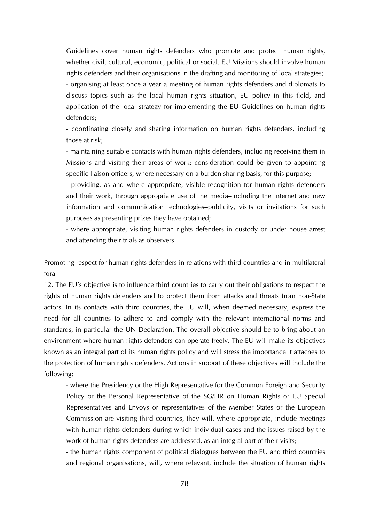Guidelines cover human rights defenders who promote and protect human rights, whether civil, cultural, economic, political or social. EU Missions should involve human rights defenders and their organisations in the drafting and monitoring of local strategies; - organising at least once a year a meeting of human rights defenders and diplomats to discuss topics such as the local human rights situation, EU policy in this field, and application of the local strategy for implementing the EU Guidelines on human rights defenders;

- coordinating closely and sharing information on human rights defenders, including those at risk;

- maintaining suitable contacts with human rights defenders, including receiving them in Missions and visiting their areas of work; consideration could be given to appointing specific liaison officers, where necessary on a burden-sharing basis, for this purpose;

- providing, as and where appropriate, visible recognition for human rights defenders and their work, through appropriate use of the media–including the internet and new information and communication technologies–publicity, visits or invitations for such purposes as presenting prizes they have obtained;

- where appropriate, visiting human rights defenders in custody or under house arrest and attending their trials as observers.

Promoting respect for human rights defenders in relations with third countries and in multilateral fora

12. The EU's objective is to influence third countries to carry out their obligations to respect the rights of human rights defenders and to protect them from attacks and threats from non-State actors. In its contacts with third countries, the EU will, when deemed necessary, express the need for all countries to adhere to and comply with the relevant international norms and standards, in particular the UN Declaration. The overall objective should be to bring about an environment where human rights defenders can operate freely. The EU will make its objectives known as an integral part of its human rights policy and will stress the importance it attaches to the protection of human rights defenders. Actions in support of these objectives will include the following:

- where the Presidency or the High Representative for the Common Foreign and Security Policy or the Personal Representative of the SG/HR on Human Rights or EU Special Representatives and Envoys or representatives of the Member States or the European Commission are visiting third countries, they will, where appropriate, include meetings with human rights defenders during which individual cases and the issues raised by the work of human rights defenders are addressed, as an integral part of their visits;

- the human rights component of political dialogues between the EU and third countries and regional organisations, will, where relevant, include the situation of human rights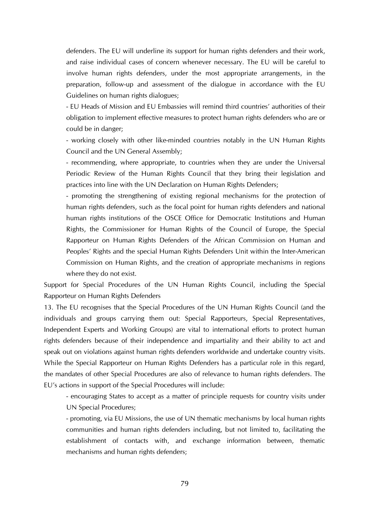defenders. The EU will underline its support for human rights defenders and their work, and raise individual cases of concern whenever necessary. The EU will be careful to involve human rights defenders, under the most appropriate arrangements, in the preparation, follow-up and assessment of the dialogue in accordance with the EU Guidelines on human rights dialogues;

- EU Heads of Mission and EU Embassies will remind third countries' authorities of their obligation to implement effective measures to protect human rights defenders who are or could be in danger;

- working closely with other like-minded countries notably in the UN Human Rights Council and the UN General Assembly;

- recommending, where appropriate, to countries when they are under the Universal Periodic Review of the Human Rights Council that they bring their legislation and practices into line with the UN Declaration on Human Rights Defenders;

- promoting the strengthening of existing regional mechanisms for the protection of human rights defenders, such as the focal point for human rights defenders and national human rights institutions of the OSCE Office for Democratic Institutions and Human Rights, the Commissioner for Human Rights of the Council of Europe, the Special Rapporteur on Human Rights Defenders of the African Commission on Human and Peoples' Rights and the special Human Rights Defenders Unit within the Inter-American Commission on Human Rights, and the creation of appropriate mechanisms in regions where they do not exist.

Support for Special Procedures of the UN Human Rights Council, including the Special Rapporteur on Human Rights Defenders

13. The EU recognises that the Special Procedures of the UN Human Rights Council (and the individuals and groups carrying them out: Special Rapporteurs, Special Representatives, Independent Experts and Working Groups) are vital to international efforts to protect human rights defenders because of their independence and impartiality and their ability to act and speak out on violations against human rights defenders worldwide and undertake country visits. While the Special Rapporteur on Human Rights Defenders has a particular role in this regard, the mandates of other Special Procedures are also of relevance to human rights defenders. The EU's actions in support of the Special Procedures will include:

- encouraging States to accept as a matter of principle requests for country visits under UN Special Procedures;

- promoting, via EU Missions, the use of UN thematic mechanisms by local human rights communities and human rights defenders including, but not limited to, facilitating the establishment of contacts with, and exchange information between, thematic mechanisms and human rights defenders;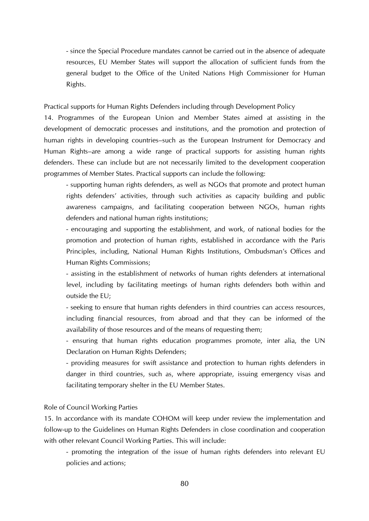- since the Special Procedure mandates cannot be carried out in the absence of adequate resources, EU Member States will support the allocation of sufficient funds from the general budget to the Office of the United Nations High Commissioner for Human Rights.

Practical supports for Human Rights Defenders including through Development Policy

14. Programmes of the European Union and Member States aimed at assisting in the development of democratic processes and institutions, and the promotion and protection of human rights in developing countries–such as the European Instrument for Democracy and Human Rights–are among a wide range of practical supports for assisting human rights defenders. These can include but are not necessarily limited to the development cooperation programmes of Member States. Practical supports can include the following:

- supporting human rights defenders, as well as NGOs that promote and protect human rights defenders' activities, through such activities as capacity building and public awareness campaigns, and facilitating cooperation between NGOs, human rights defenders and national human rights institutions;

- encouraging and supporting the establishment, and work, of national bodies for the promotion and protection of human rights, established in accordance with the Paris Principles, including, National Human Rights Institutions, Ombudsman's Offices and Human Rights Commissions;

- assisting in the establishment of networks of human rights defenders at international level, including by facilitating meetings of human rights defenders both within and outside the EU;

- seeking to ensure that human rights defenders in third countries can access resources, including financial resources, from abroad and that they can be informed of the availability of those resources and of the means of requesting them;

- ensuring that human rights education programmes promote, inter alia, the UN Declaration on Human Rights Defenders;

- providing measures for swift assistance and protection to human rights defenders in danger in third countries, such as, where appropriate, issuing emergency visas and facilitating temporary shelter in the EU Member States.

### Role of Council Working Parties

15. In accordance with its mandate COHOM will keep under review the implementation and follow-up to the Guidelines on Human Rights Defenders in close coordination and cooperation with other relevant Council Working Parties. This will include:

- promoting the integration of the issue of human rights defenders into relevant EU policies and actions;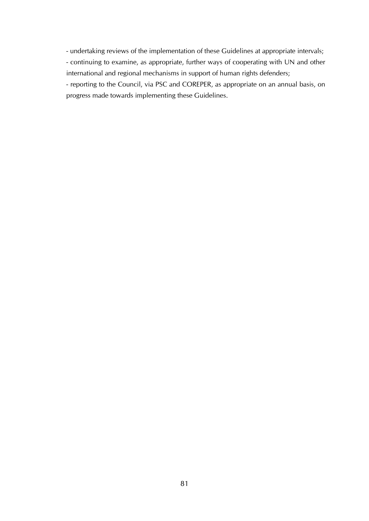- undertaking reviews of the implementation of these Guidelines at appropriate intervals; - continuing to examine, as appropriate, further ways of cooperating with UN and other international and regional mechanisms in support of human rights defenders;

- reporting to the Council, via PSC and COREPER, as appropriate on an annual basis, on progress made towards implementing these Guidelines.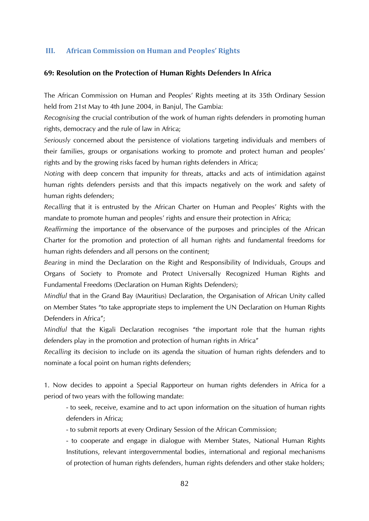### **III. African Commission on Human and Peoples' Rights**

### **69: Resolution on the Protection of Human Rights Defenders In Africa**

The African Commission on Human and Peoples' Rights meeting at its 35th Ordinary Session held from 21st May to 4th June 2004, in Banjul, The Gambia:

*Recognising* the crucial contribution of the work of human rights defenders in promoting human rights, democracy and the rule of law in Africa;

*Seriously* concerned about the persistence of violations targeting individuals and members of their families, groups or organisations working to promote and protect human and peoples' rights and by the growing risks faced by human rights defenders in Africa;

*Noting* with deep concern that impunity for threats, attacks and acts of intimidation against human rights defenders persists and that this impacts negatively on the work and safety of human rights defenders;

*Recalling* that it is entrusted by the African Charter on Human and Peoples' Rights with the mandate to promote human and peoples' rights and ensure their protection in Africa;

*Reaffirming* the importance of the observance of the purposes and principles of the African Charter for the promotion and protection of all human rights and fundamental freedoms for human rights defenders and all persons on the continent;

*Bearing* in mind the Declaration on the Right and Responsibility of Individuals, Groups and Organs of Society to Promote and Protect Universally Recognized Human Rights and Fundamental Freedoms (Declaration on Human Rights Defenders);

*Mindful* that in the Grand Bay (Mauritius) Declaration, the Organisation of African Unity called on Member States "to take appropriate steps to implement the UN Declaration on Human Rights Defenders in Africa";

*Mindful* that the Kigali Declaration recognises "the important role that the human rights defenders play in the promotion and protection of human rights in Africa"

*Recalling* its decision to include on its agenda the situation of human rights defenders and to nominate a focal point on human rights defenders;

1. Now decides to appoint a Special Rapporteur on human rights defenders in Africa for a period of two years with the following mandate:

- to seek, receive, examine and to act upon information on the situation of human rights defenders in Africa;

- to submit reports at every Ordinary Session of the African Commission;

- to cooperate and engage in dialogue with Member States, National Human Rights Institutions, relevant intergovernmental bodies, international and regional mechanisms of protection of human rights defenders, human rights defenders and other stake holders;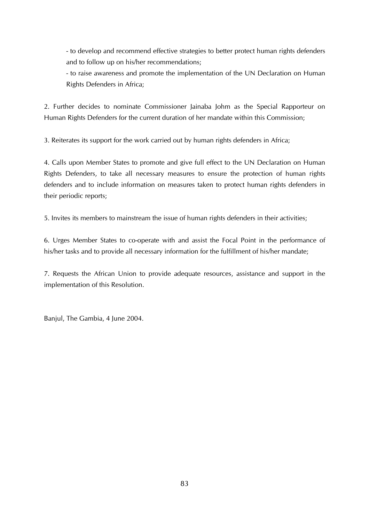- to develop and recommend effective strategies to better protect human rights defenders and to follow up on his/her recommendations;

- to raise awareness and promote the implementation of the UN Declaration on Human Rights Defenders in Africa;

2. Further decides to nominate Commissioner Jainaba Johm as the Special Rapporteur on Human Rights Defenders for the current duration of her mandate within this Commission;

3. Reiterates its support for the work carried out by human rights defenders in Africa;

4. Calls upon Member States to promote and give full effect to the UN Declaration on Human Rights Defenders, to take all necessary measures to ensure the protection of human rights defenders and to include information on measures taken to protect human rights defenders in their periodic reports;

5. Invites its members to mainstream the issue of human rights defenders in their activities;

6. Urges Member States to co-operate with and assist the Focal Point in the performance of his/her tasks and to provide all necessary information for the fulfillment of his/her mandate;

7. Requests the African Union to provide adequate resources, assistance and support in the implementation of this Resolution.

Banjul, The Gambia, 4 June 2004.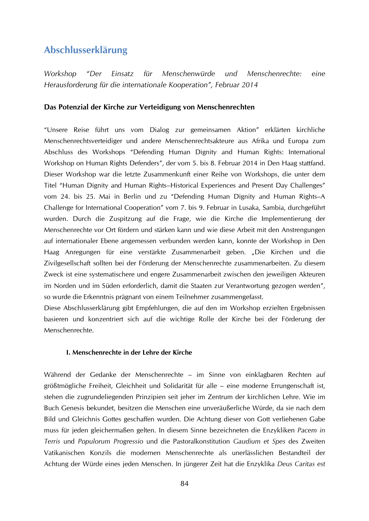# **Abschlusserklärung**

*Workshop "Der Einsatz für Menschenwürde und Menschenrechte: eine Herausforderung für die internationale Kooperation", Februar 2014* 

### **Das Potenzial der Kirche zur Verteidigung von Menschenrechten**

"Unsere Reise führt uns vom Dialog zur gemeinsamen Aktion" erklärten kirchliche Menschenrechtsverteidiger und andere Menschenrechtsakteure aus Afrika und Europa zum Abschluss des Workshops "Defending Human Dignity and Human Rights: International Workshop on Human Rights Defenders", der vom 5. bis 8. Februar 2014 in Den Haag stattfand. Dieser Workshop war die letzte Zusammenkunft einer Reihe von Workshops, die unter dem Titel "Human Dignity and Human Rights–Historical Experiences and Present Day Challenges" vom 24. bis 25. Mai in Berlin und zu "Defending Human Dignity and Human Rights–A Challenge for International Cooperation" vom 7. bis 9. Februar in Lusaka, Sambia, durchgeführt wurden. Durch die Zuspitzung auf die Frage, wie die Kirche die Implementierung der Menschenrechte vor Ort fördern und stärken kann und wie diese Arbeit mit den Anstrengungen auf internationaler Ebene angemessen verbunden werden kann, konnte der Workshop in Den Haag Anregungen für eine verstärkte Zusammenarbeit geben. "Die Kirchen und die Zivilgesellschaft sollten bei der Förderung der Menschenrechte zusammenarbeiten. Zu diesem Zweck ist eine systematischere und engere Zusammenarbeit zwischen den jeweiligen Akteuren im Norden und im Süden erforderlich, damit die Staaten zur Verantwortung gezogen werden", so wurde die Erkenntnis prägnant von einem Teilnehmer zusammengefasst.

Diese Abschlusserklärung gibt Empfehlungen, die auf den im Workshop erzielten Ergebnissen basieren und konzentriert sich auf die wichtige Rolle der Kirche bei der Förderung der Menschenrechte.

#### **I. Menschenrechte in der Lehre der Kirche**

Während der Gedanke der Menschenrechte – im Sinne von einklagbaren Rechten auf größtmögliche Freiheit, Gleichheit und Solidarität für alle – eine moderne Errungenschaft ist, stehen die zugrundeliegenden Prinzipien seit jeher im Zentrum der kirchlichen Lehre. Wie im Buch Genesis bekundet, besitzen die Menschen eine unveräußerliche Würde, da sie nach dem Bild und Gleichnis Gottes geschaffen wurden. Die Achtung dieser von Gott verliehenen Gabe muss für jeden gleichermaßen gelten. In diesem Sinne bezeichneten die Enzykliken *Pacem in Terris* und *Populorum Progressio* und die Pastoralkonstitution *Gaudium et Spes* des Zweiten Vatikanischen Konzils die modernen Menschenrechte als unerlässlichen Bestandteil der Achtung der Würde eines jeden Menschen. In jüngerer Zeit hat die Enzyklika *Deus Caritas est*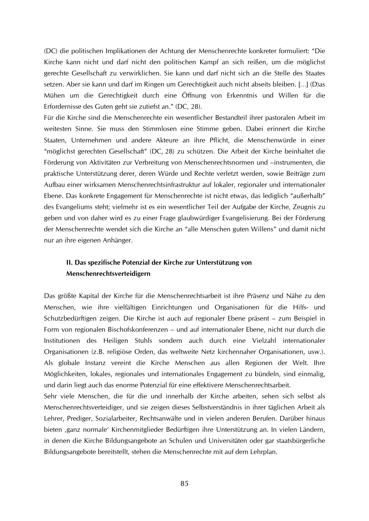(DC) die politischen Implikationen der Achtung der Menschenrechte konkreter formuliert: "Die Kirche kann nicht und darf nicht den politischen Kampf an sich reißen, um die möglichst gerechte Gesellschaft zu verwirklichen. Sie kann und darf nicht sich an die Stelle des Staates setzen. Aber sie kann und darf im Ringen um Gerechtigkeit auch nicht abseits bleiben. […] (D)as Mühen um die Gerechtigkeit durch eine Öffnung von Erkenntnis und Willen für die Erfordernisse des Guten geht sie zutiefst an." (DC, 28).

Für die Kirche sind die Menschenrechte ein wesentlicher Bestandteil ihrer pastoralen Arbeit im weitesten Sinne. Sie muss den Stimmlosen eine Stimme geben. Dabei erinnert die Kirche Staaten, Unternehmen und andere Akteure an ihre Pflicht, die Menschenwürde in einer "möglichst gerechten Gesellschaft" (DC, 28) zu schützen. Die Arbeit der Kirche beinhaltet die Förderung von Aktivitäten zur Verbreitung von Menschenrechtsnormen und –instrumenten, die praktische Unterstützung derer, deren Würde und Rechte verletzt werden, sowie Beiträge zum Aufbau einer wirksamen Menschenrechtsinfrastruktur auf lokaler, regionaler und internationaler Ebene. Das konkrete Engagement für Menschenrechte ist nicht etwas, das lediglich "außerhalb" des Evangeliums steht; vielmehr ist es ein wesentlicher Teil der Aufgabe der Kirche, Zeugnis zu geben und von daher wird es zu einer Frage glaubwürdiger Evangelisierung. Bei der Förderung der Menschenrechte wendet sich die Kirche an "alle Menschen guten Willens" und damit nicht nur an ihre eigenen Anhänger.

## **II. Das spezifische Potenzial der Kirche zur Unterstützung von Menschenrechtsverteidigern**

Das größte Kapital der Kirche für die Menschenrechtsarbeit ist ihre Präsenz und Nähe zu den Menschen, wie ihre vielfältigen Einrichtungen und Organisationen für die Hilfs- und Schutzbedürftigen zeigen. Die Kirche ist auch auf regionaler Ebene präsent – zum Beispiel in Form von regionalen Bischofskonferenzen – und auf internationaler Ebene, nicht nur durch die Institutionen des Heiligen Stuhls sondern auch durch eine Vielzahl internationaler Organisationen (z.B. religiöse Orden, das weltweite Netz kirchennaher Organisationen, usw.). Als globale Instanz vereint die Kirche Menschen aus allen Regionen der Welt. Ihre Möglichkeiten, lokales, regionales und internationales Engagement zu bündeln, sind einmalig, und darin liegt auch das enorme Potenzial für eine effektivere Menschenrechtsarbeit.

Sehr viele Menschen, die für die und innerhalb der Kirche arbeiten, sehen sich selbst als Menschenrechtsverteidiger, und sie zeigen dieses Selbstverständnis in ihrer täglichen Arbeit als Lehrer, Prediger, Sozialarbeiter, Rechtsanwälte und in vielen anderen Berufen. Darüber hinaus bieten ,ganz normale' Kirchenmitglieder Bedürftigen ihre Unterstützung an. In vielen Ländern, in denen die Kirche Bildungsangebote an Schulen und Universitäten oder gar staatsbürgerliche Bildungsangebote bereitstellt, stehen die Menschenrechte mit auf dem Lehrplan.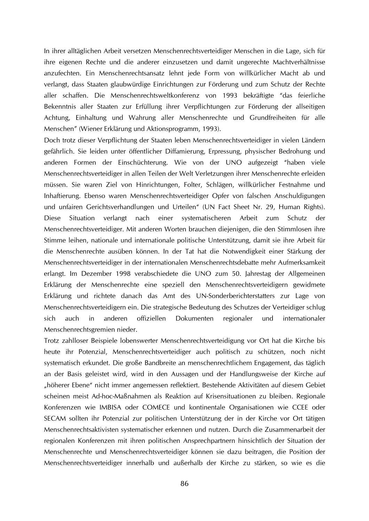In ihrer alltäglichen Arbeit versetzen Menschenrechtsverteidiger Menschen in die Lage, sich für ihre eigenen Rechte und die anderer einzusetzen und damit ungerechte Machtverhältnisse anzufechten. Ein Menschenrechtsansatz lehnt jede Form von willkürlicher Macht ab und verlangt, dass Staaten glaubwürdige Einrichtungen zur Förderung und zum Schutz der Rechte aller schaffen. Die Menschenrechtsweltkonferenz von 1993 bekräftigte "das feierliche Bekenntnis aller Staaten zur Erfüllung ihrer Verpflichtungen zur Förderung der allseitigen Achtung, Einhaltung und Wahrung aller Menschenrechte und Grundfreiheiten für alle Menschen" (Wiener Erklärung und Aktionsprogramm, 1993).

Doch trotz dieser Verpflichtung der Staaten leben Menschenrechtsverteidiger in vielen Ländern gefährlich. Sie leiden unter öffentlicher Diffamierung, Erpressung, physischer Bedrohung und anderen Formen der Einschüchterung. Wie von der UNO aufgezeigt "haben viele Menschenrechtsverteidiger in allen Teilen der Welt Verletzungen ihrer Menschenrechte erleiden müssen. Sie waren Ziel von Hinrichtungen, Folter, Schlägen, willkürlicher Festnahme und Inhaftierung. Ebenso waren Menschenrechtsverteidiger Opfer von falschen Anschuldigungen und unfairen Gerichtsverhandlungen und Urteilen" (UN Fact Sheet Nr. 29, Human Rights). Diese Situation verlangt nach einer systematischeren Arbeit zum Schutz der Menschenrechtsverteidiger. Mit anderen Worten brauchen diejenigen, die den Stimmlosen ihre Stimme leihen, nationale und internationale politische Unterstützung, damit sie ihre Arbeit für die Menschenrechte ausüben können. In der Tat hat die Notwendigkeit einer Stärkung der Menschenrechtsverteidiger in der internationalen Menschenrechtsdebatte mehr Aufmerksamkeit erlangt. Im Dezember 1998 verabschiedete die UNO zum 50. Jahrestag der Allgemeinen Erklärung der Menschenrechte eine speziell den Menschenrechtsverteidigern gewidmete Erklärung und richtete danach das Amt des UN-Sonderberichterstatters zur Lage von Menschenrechtsverteidigern ein. Die strategische Bedeutung des Schutzes der Verteidiger schlug sich auch in anderen offiziellen Dokumenten regionaler und internationaler Menschenrechtsgremien nieder.

Trotz zahlloser Beispiele lobenswerter Menschenrechtsverteidigung vor Ort hat die Kirche bis heute ihr Potenzial, Menschenrechtsverteidiger auch politisch zu schützen, noch nicht systematisch erkundet. Die große Bandbreite an menschenrechtlichem Engagement, das täglich an der Basis geleistet wird, wird in den Aussagen und der Handlungsweise der Kirche auf "höherer Ebene" nicht immer angemessen reflektiert. Bestehende Aktivitäten auf diesem Gebiet scheinen meist Ad-hoc-Maßnahmen als Reaktion auf Krisensituationen zu bleiben. Regionale Konferenzen wie IMBISA oder COMECE und kontinentale Organisationen wie CCEE oder SECAM sollten ihr Potenzial zur politischen Unterstützung der in der Kirche vor Ort tätigen Menschenrechtsaktivisten systematischer erkennen und nutzen. Durch die Zusammenarbeit der regionalen Konferenzen mit ihren politischen Ansprechpartnern hinsichtlich der Situation der Menschenrechte und Menschenrechtsverteidiger können sie dazu beitragen, die Position der Menschenrechtsverteidiger innerhalb und außerhalb der Kirche zu stärken, so wie es die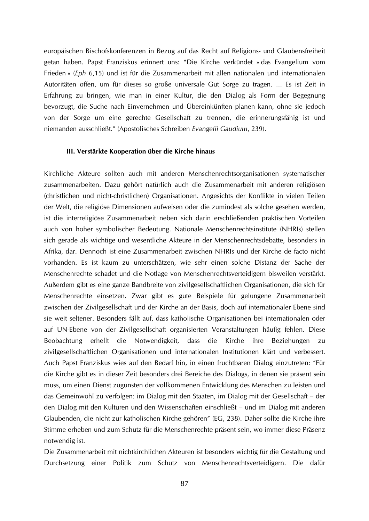europäischen Bischofskonferenzen in Bezug auf das Recht auf Religions- und Glaubensfreiheit getan haben. Papst Franziskus erinnert uns: "Die Kirche verkündet » das Evangelium vom Frieden « (*Eph* 6,15) und ist für die Zusammenarbeit mit allen nationalen und internationalen Autoritäten offen, um für dieses so große universale Gut Sorge zu tragen. … Es ist Zeit in Erfahrung zu bringen, wie man in einer Kultur, die den Dialog als Form der Begegnung bevorzugt, die Suche nach Einvernehmen und Übereinkünften planen kann, ohne sie jedoch von der Sorge um eine gerechte Gesellschaft zu trennen, die erinnerungsfähig ist und niemanden ausschließt." (Apostolisches Schreiben *Evangelii Gaudium*, 239).

#### **III. Verstärkte Kooperation über die Kirche hinaus**

Kirchliche Akteure sollten auch mit anderen Menschenrechtsorganisationen systematischer zusammenarbeiten. Dazu gehört natürlich auch die Zusammenarbeit mit anderen religiösen (christlichen und nicht-christlichen) Organisationen. Angesichts der Konflikte in vielen Teilen der Welt, die religiöse Dimensionen aufweisen oder die zumindest als solche gesehen werden, ist die interreligiöse Zusammenarbeit neben sich darin erschließenden praktischen Vorteilen auch von hoher symbolischer Bedeutung. Nationale Menschenrechtsinstitute (NHRIs) stellen sich gerade als wichtige und wesentliche Akteure in der Menschenrechtsdebatte, besonders in Afrika, dar. Dennoch ist eine Zusammenarbeit zwischen NHRIs und der Kirche de facto nicht vorhanden. Es ist kaum zu unterschätzen, wie sehr einen solche Distanz der Sache der Menschenrechte schadet und die Notlage von Menschenrechtsverteidigern bisweilen verstärkt. Außerdem gibt es eine ganze Bandbreite von zivilgesellschaftlichen Organisationen, die sich für Menschenrechte einsetzen. Zwar gibt es gute Beispiele für gelungene Zusammenarbeit zwischen der Zivilgesellschaft und der Kirche an der Basis, doch auf internationaler Ebene sind sie weit seltener. Besonders fällt auf, dass katholische Organisationen bei internationalen oder auf UN-Ebene von der Zivilgesellschaft organisierten Veranstaltungen häufig fehlen. Diese Beobachtung erhellt die Notwendigkeit, dass die Kirche ihre Beziehungen zu zivilgesellschaftlichen Organisationen und internationalen Institutionen klärt und verbessert. Auch Papst Franziskus wies auf den Bedarf hin, in einen fruchtbaren Dialog einzutreten: "Für die Kirche gibt es in dieser Zeit besonders drei Bereiche des Dialogs, in denen sie präsent sein muss, um einen Dienst zugunsten der vollkommenen Entwicklung des Menschen zu leisten und das Gemeinwohl zu verfolgen: im Dialog mit den Staaten, im Dialog mit der Gesellschaft – der den Dialog mit den Kulturen und den Wissenschaften einschließt – und im Dialog mit anderen Glaubenden, die nicht zur katholischen Kirche gehören" (EG, 238). Daher sollte die Kirche ihre Stimme erheben und zum Schutz für die Menschenrechte präsent sein, wo immer diese Präsenz notwendig ist.

Die Zusammenarbeit mit nichtkirchlichen Akteuren ist besonders wichtig für die Gestaltung und Durchsetzung einer Politik zum Schutz von Menschenrechtsverteidigern. Die dafür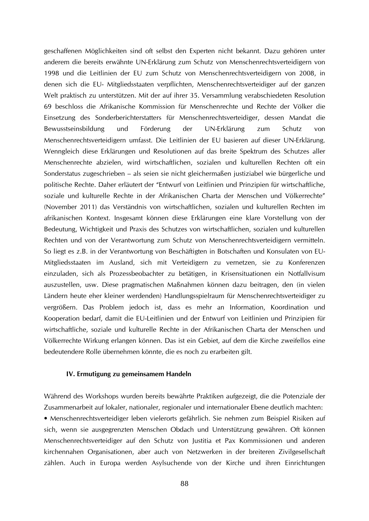geschaffenen Möglichkeiten sind oft selbst den Experten nicht bekannt. Dazu gehören unter anderem die bereits erwähnte UN-Erklärung zum Schutz von Menschenrechtsverteidigern von 1998 und die Leitlinien der EU zum Schutz von Menschenrechtsverteidigern von 2008, in denen sich die EU- Mitgliedsstaaten verpflichten, Menschenrechtsverteidiger auf der ganzen Welt praktisch zu unterstützen. Mit der auf ihrer 35. Versammlung verabschiedeten Resolution 69 beschloss die Afrikanische Kommission für Menschenrechte und Rechte der Völker die Einsetzung des Sonderberichterstatters für Menschenrechtsverteidiger, dessen Mandat die Bewusstseinsbildung und Förderung der UN-Erklärung zum Schutz von Menschenrechtsverteidigern umfasst. Die Leitlinien der EU basieren auf dieser UN-Erklärung. Wenngleich diese Erklärungen und Resolutionen auf das breite Spektrum des Schutzes aller Menschenrechte abzielen, wird wirtschaftlichen, sozialen und kulturellen Rechten oft ein Sonderstatus zugeschrieben – als seien sie nicht gleichermaßen justiziabel wie bürgerliche und politische Rechte. Daher erläutert der "Entwurf von Leitlinien und Prinzipien für wirtschaftliche, soziale und kulturelle Rechte in der Afrikanischen Charta der Menschen und Völkerrechte" (November 2011) das Verständnis von wirtschaftlichen, sozialen und kulturellen Rechten im afrikanischen Kontext. Insgesamt können diese Erklärungen eine klare Vorstellung von der Bedeutung, Wichtigkeit und Praxis des Schutzes von wirtschaftlichen, sozialen und kulturellen Rechten und von der Verantwortung zum Schutz von Menschenrechtsverteidigern vermitteln. So liegt es z.B. in der Verantwortung von Beschäftigten in Botschaften und Konsulaten von EU-Mitgliedsstaaten im Ausland, sich mit Verteidigern zu vernetzen, sie zu Konferenzen einzuladen, sich als Prozessbeobachter zu betätigen, in Krisensituationen ein Notfallvisum auszustellen, usw. Diese pragmatischen Maßnahmen können dazu beitragen, den (in vielen Ländern heute eher kleiner werdenden) Handlungsspielraum für Menschenrechtsverteidiger zu vergrößern. Das Problem jedoch ist, dass es mehr an Information, Koordination und Kooperation bedarf, damit die EU-Leitlinien und der Entwurf von Leitlinien und Prinzipien für wirtschaftliche, soziale und kulturelle Rechte in der Afrikanischen Charta der Menschen und Völkerrechte Wirkung erlangen können. Das ist ein Gebiet, auf dem die Kirche zweifellos eine bedeutendere Rolle übernehmen könnte, die es noch zu erarbeiten gilt.

### **IV. Ermutigung zu gemeinsamem Handeln**

Während des Workshops wurden bereits bewährte Praktiken aufgezeigt, die die Potenziale der Zusammenarbeit auf lokaler, nationaler, regionaler und internationaler Ebene deutlich machten: • Menschenrechtsverteidiger leben vielerorts gefährlich. Sie nehmen zum Beispiel Risiken auf sich, wenn sie ausgegrenzten Menschen Obdach und Unterstützung gewähren. Oft können Menschenrechtsverteidiger auf den Schutz von Justitia et Pax Kommissionen und anderen kirchennahen Organisationen, aber auch von Netzwerken in der breiteren Zivilgesellschaft zählen. Auch in Europa werden Asylsuchende von der Kirche und ihren Einrichtungen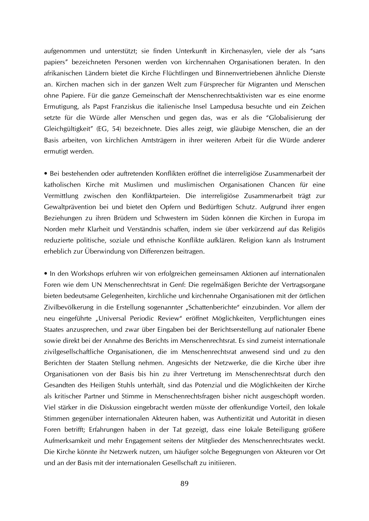aufgenommen und unterstützt; sie finden Unterkunft in Kirchenasylen, viele der als "sans papiers" bezeichneten Personen werden von kirchennahen Organisationen beraten. In den afrikanischen Ländern bietet die Kirche Flüchtlingen und Binnenvertriebenen ähnliche Dienste an. Kirchen machen sich in der ganzen Welt zum Fürsprecher für Migranten und Menschen ohne Papiere. Für die ganze Gemeinschaft der Menschenrechtsaktivisten war es eine enorme Ermutigung, als Papst Franziskus die italienische Insel Lampedusa besuchte und ein Zeichen setzte für die Würde aller Menschen und gegen das, was er als die "Globalisierung der Gleichgültigkeit" (EG, 54) bezeichnete. Dies alles zeigt, wie gläubige Menschen, die an der Basis arbeiten, von kirchlichen Amtsträgern in ihrer weiteren Arbeit für die Würde anderer ermutigt werden.

• Bei bestehenden oder auftretenden Konflikten eröffnet die interreligiöse Zusammenarbeit der katholischen Kirche mit Muslimen und muslimischen Organisationen Chancen für eine Vermittlung zwischen den Konfliktparteien. Die interreligiöse Zusammenarbeit trägt zur Gewaltprävention bei und bietet den Opfern und Bedürftigen Schutz. Aufgrund ihrer engen Beziehungen zu ihren Brüdern und Schwestern im Süden können die Kirchen in Europa im Norden mehr Klarheit und Verständnis schaffen, indem sie über verkürzend auf das Religiös reduzierte politische, soziale und ethnische Konflikte aufklären. Religion kann als Instrument erheblich zur Überwindung von Differenzen beitragen.

• In den Workshops erfuhren wir von erfolgreichen gemeinsamen Aktionen auf internationalen Foren wie dem UN Menschenrechtsrat in Genf: Die regelmäßigen Berichte der Vertragsorgane bieten bedeutsame Gelegenheiten, kirchliche und kirchennahe Organisationen mit der örtlichen Zivilbevölkerung in die Erstellung sogenannter "Schattenberichte" einzubinden. Vor allem der neu eingeführte "Universal Periodic Review" eröffnet Möglichkeiten, Verpflichtungen eines Staates anzusprechen, und zwar über Eingaben bei der Berichtserstellung auf nationaler Ebene sowie direkt bei der Annahme des Berichts im Menschenrechtsrat. Es sind zumeist internationale zivilgesellschaftliche Organisationen, die im Menschenrechtsrat anwesend sind und zu den Berichten der Staaten Stellung nehmen. Angesichts der Netzwerke, die die Kirche über ihre Organisationen von der Basis bis hin zu ihrer Vertretung im Menschenrechtsrat durch den Gesandten des Heiligen Stuhls unterhält, sind das Potenzial und die Möglichkeiten der Kirche als kritischer Partner und Stimme in Menschenrechtsfragen bisher nicht ausgeschöpft worden. Viel stärker in die Diskussion eingebracht werden müsste der offenkundige Vorteil, den lokale Stimmen gegenüber internationalen Akteuren haben, was Authentizität und Autorität in diesen Foren betrifft; Erfahrungen haben in der Tat gezeigt, dass eine lokale Beteiligung größere Aufmerksamkeit und mehr Engagement seitens der Mitglieder des Menschenrechtsrates weckt. Die Kirche könnte ihr Netzwerk nutzen, um häufiger solche Begegnungen von Akteuren vor Ort und an der Basis mit der internationalen Gesellschaft zu initiieren.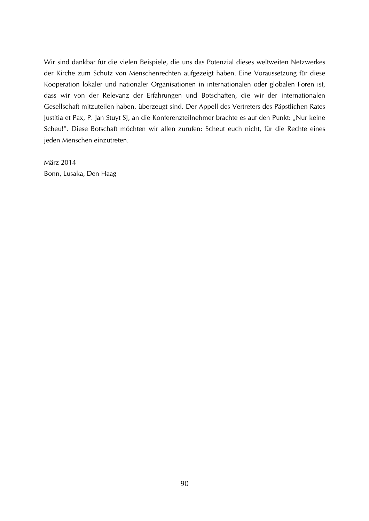Wir sind dankbar für die vielen Beispiele, die uns das Potenzial dieses weltweiten Netzwerkes der Kirche zum Schutz von Menschenrechten aufgezeigt haben. Eine Voraussetzung für diese Kooperation lokaler und nationaler Organisationen in internationalen oder globalen Foren ist, dass wir von der Relevanz der Erfahrungen und Botschaften, die wir der internationalen Gesellschaft mitzuteilen haben, überzeugt sind. Der Appell des Vertreters des Päpstlichen Rates Justitia et Pax, P. Jan Stuyt SJ, an die Konferenzteilnehmer brachte es auf den Punkt: "Nur keine Scheu!". Diese Botschaft möchten wir allen zurufen: Scheut euch nicht, für die Rechte eines jeden Menschen einzutreten.

März 2014 Bonn, Lusaka, Den Haag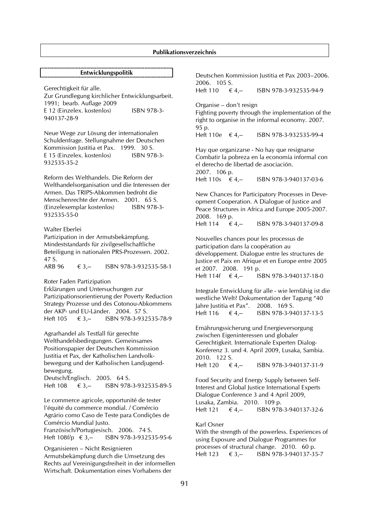#### **Publikationsverzeichnis**

#### **Entwicklungspolitik**

Gerechtigkeit für alle.

Zur Grundlegung kirchlicher Entwicklungsarbeit. 1991; bearb. Auflage 2009 E 12 (Einzelex. kostenlos) ISBN 978-3- 940137-28-9

Neue Wege zur Lösung der internationalen Schuldenfrage. Stellungnahme der Deutschen Kommission Justitia et Pax. 1999. 30 S. E 15 (Einzelex. kostenlos) ISBN 978-3- 932535-35-2

Reform des Welthandels. Die Reform der Welthandelsorganisation und die Interessen der Armen. Das TRIPS-Abkommen bedroht die Menschenrechte der Armen. 2001. 65 S. (Einzelexemplar kostenlos) ISBN 978-3- 932535-55-0

Walter Eberlei

Partizipation in der Armutsbekämpfung. Mindeststandards für zivilgesellschaftliche Beteiligung in nationalen PRS-Prozessen. 2002. 47 S.

ARB 96 € 3,-- ISBN 978-3-932535-58-1

Roter Faden Partizipation

Erklärungen und Untersuchungen zur Partizipationsorientierung der Poverty Reduction Strategy Prozesse und des Cotonou-Abkommens der AKP- und EU-Länder. 2004. 57 S. Heft 105 € 3,-- ISBN 978-3-932535-78-9

Agrarhandel als Testfall für gerechte Welthandelsbedingungen. Gemeinsames Positionspapier der Deutschen Kommission Justitia et Pax, der Katholischen Landvolkbewegung und der Katholischen Landjugendbewegung.

Deutsch/Englisch. 2005. 64 S.

Heft 108 € 3,-- ISBN 978-3-932535-89-5

Le commerce agricole, opportunité de tester l'équité du commerce mondial. / Comércio Agrário como Caso de Teste para Condições de Comércio Mundial Justo.

Französisch/Portugiesisch. 2006. 74 S. Heft 108f/p € 3,-- ISBN 978-3-932535-95-6

Organisieren – Nicht Resignieren

Armutsbekämpfung durch die Umsetzung des Rechts auf Vereinigungsfreiheit in der informellen Wirtschaft. Dokumentation eines Vorhabens der

Deutschen Kommission Justitia et Pax 2003–2006. 2006. 105 S. Heft 110 € 4,-- ISBN 978-3-932535-94-9 Organise – don't resign Fighting poverty through the implementation of the right to organise in the informal economy. 2007. 95 p. Heft 110e € 4,-- ISBN 978-3-932535-99-4 Hay que organizarse - No hay que resignarse Combatir la pobreza en la economía informal con el derecho de libertad de asociación. 2007. 106 p. Heft 110s € 4,-- ISBN 978-3-940137-03-6 New Chances for Participatory Processes in Deveopment Cooperation. A Dialogue of Justice and Peace Structures in Africa and Europe 2005-2007. 2008. 169 p. Heft 114 € 4,-- ISBN 978-3-940137-09-8 Nouvelles chances pour les processus de participation dans la coopération au développement. Dialogue entre les structures de Justice et Paix en Afrique et en Europe entre 2005 et 2007. 2008. 191 p. Heft 114f € 4,-- ISBN 978-3-940137-18-0 Integrale Entwicklung für alle - wie lernfähig ist die westliche Welt? Dokumentation der Tagung "40 Jahre Justitia et Pax". 2008. 169 S. Heft 116 € 4,-- ISBN 978-3-940137-13-5 Ernährungssicherung und Energieversorgung zwischen Eigeninteressen und globaler Gerechtigkeit. Internationale Experten Dialog-Konferenz 3. und 4. April 2009, Lusaka, Sambia. 2010. 122 S. Heft 120 € 4,-- ISBN 978-3-940137-31-9 Food Security and Energy Supply between Self-Interest and Global Justice International Experts Dialogue Conference 3 and 4 April 2009, Lusaka, Zambia. 2010. 109 p. Heft 121 € 4,-- ISBN 978-3-940137-32-6 Karl Osner

With the strength of the powerless. Experiences of using Exposure and Dialogue Programmes for processes of structural change. 2010. 60 p. Heft 123 € 3,-- ISBN 978-3-940137-35-7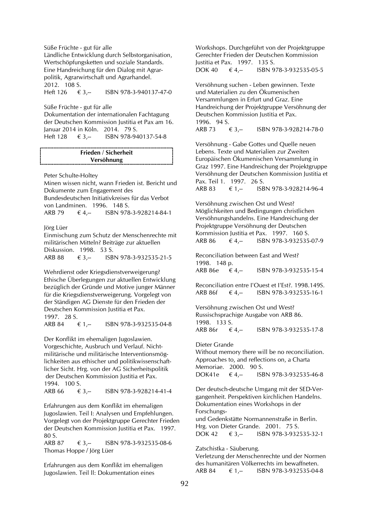Süße Früchte - gut für alle

Ländliche Entwicklung durch Selbstorganisation, Wertschöpfungsketten und soziale Standards. Eine Handreichung für den Dialog mit Agrarpolitik, Agrarwirtschaft und Agrarhandel. 2012. 108 S.

Heft 126 € 3,-- ISBN 978-3-940137-47-0

Süße Früchte - gut für alle Dokumentation der internationalen Fachtagung der Deutschen Kommission Justitia et Pax am 16. Januar 2014 in Köln. 2014. 79 S. Heft 128 € 3,-- ISBN 978-940137-54-8

### **Frieden / Sicherheit Versöhnung**

Peter Schulte-Holtey

Minen wissen nicht, wann Frieden ist. Bericht und Dokumente zum Engagement des Bundesdeutschen Initiativkreises für das Verbot von Landminen. 1996. 148 S. ARB 79 € 4,-- ISBN 978-3-928214-84-1

Jörg Lüer

Einmischung zum Schutz der Menschenrechte mit militärischen Mitteln? Beiträge zur aktuellen Diskussion. 1998. 53 S. ARB 88  $\epsilon$  3.- ISBN 978-3-932535-21-5

Wehrdienst oder Kriegsdienstverweigerung? Ethische Überlegungen zur aktuellen Entwicklung bezüglich der Gründe und Motive junger Männer für die Kriegsdienstverweigerung. Vorgelegt von der Ständigen AG Dienste für den Frieden der Deutschen Kommission Justitia et Pax. 1997. 28 S.<br>ARB 84  $61 -$  ISBN 978-3-932535-04-8

Der Konflikt im ehemaligen Jugoslawien. Vorgeschichte, Ausbruch und Verlauf. Nichtmilitärische und militärische Interventionsmöglichkeiten aus ethischer und politikwissenschaftlicher Sicht. Hrg. von der AG Sicherheitspolitik der Deutschen Kommission Justitia et Pax. 1994. 100 S.

ARB 66 € 3,-- ISBN 978-3-928214-41-4

Erfahrungen aus dem Konflikt im ehemaligen Jugoslawien. Teil I: Analysen und Empfehlungen. Vorgelegt von der Projektgruppe Gerechter Frieden der Deutschen Kommission Justitia et Pax. 1997. 80 S.

ARB 87 € 3,-- ISBN 978-3-932535-08-6 Thomas Hoppe / Jörg Lüer

Erfahrungen aus dem Konflikt im ehemaligen Jugoslawien. Teil ll: Dokumentation eines

Workshops. Durchgeführt von der Projektgruppe Gerechter Frieden der Deutschen Kommission Justitia et Pax. 1997. 135 S. DOK 40  $\epsilon$  4,- ISBN 978-3-932535-05-5

Versöhnung suchen - Leben gewinnen. Texte und Materialien zu den Ökumenischen Versammlungen in Erfurt und Graz. Eine Handreichung der Projektgruppe Versöhnung der Deutschen Kommission Justitia et Pax. 1996. 94 S.<br>ARB 73  $63 -$  ISBN 978-3-928214-78-0

Versöhnung - Gabe Gottes und Quelle neuen Lebens. Texte und Materialien zur Zweiten Europäischen Ökumenischen Versammlung in Graz 1997. Eine Handreichung der Projektgruppe Versöhnung der Deutschen Kommission Justitia et Pax. Teil 1. 1997. 26 S. ARB 83 € 1.-- ISBN 978-3-928214-96-4

Versöhnung zwischen Ost und West? Möglichkeiten und Bedingungen christlichen Versöhnungshandelns. Eine Handreichung der Projektgruppe Versöhnung der Deutschen Kornmission Justitia et Pax. 1997. 160 S. ARB 86  $\epsilon$  4,-- ISBN 978-3-932535-07-9

Reconciliation between East and West? 1998. 148 p. ARB 86e € 4.-- ISBN 978-3-932535-15-4

Reconciliation entre I'Ouest et I'Est?. 1998.149S. ARB 86f  $\epsilon$  4,-- ISBN 978-3-932535-16-1

Versöhnung zwischen Ost und West? Russischsprachige Ausgabe von ARB 86. 1998. 133 S. ARB 86r € 4.-- ISBN 978-3-932535-17-8

Dieter Grande Without memory there will be no reconciliation. Approaches to, and reflections on, a Charta Memoriae. 2000. 90 S. DOK41e  $\epsilon$  4,- ISBN 978-3-932535-46-8

Der deutsch-deutsche Umgang mit der SED-Vergangenheit. Perspektiven kirchlichen Handelns. Dokumentation eines Workshops in der Forschungsund Gedenkstätte Normannenstraße in Berlin. Hrg. von Dieter Grande. 2001. 75 S. DOK 42  $\epsilon$  3,-- ISBN 978-3-932535-32-1

Zatschistka - Säuberung.

Verletzung der Menschenrechte und der Normen des humanitären Völkerrechts im bewaffneten. ARB 84 € 1,-- ISBN 978-3-932535-04-8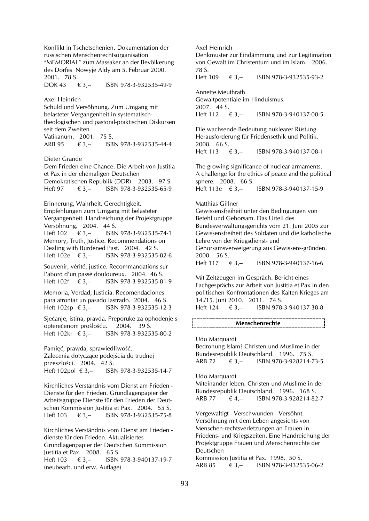Konflikt in Tschetschenien. Dokumentation der russischen Menschenrechtsorganisation "MEMORIAL" zum Massaker an der Bevölkerung des Dorfes Nowyje Aldy am 5. Februar 2000. 2001. 78 S.<br>DOK 43

 $\epsilon$  3,- ISBN 978-3-932535-49-9

Axel Heinrich

Schuld und Versöhnung. Zum Umgang mit belasteter Vergangenheit in systematischtheologischen und pastoral-praktischen Diskursen seit dem Zweiten Vatikanum. 2001. 75 S. ARB 95  $\epsilon$  3.- ISBN 978-3-932535-44-4

Dieter Grande

Dem Frieden eine Chance. Die Arbeit von Justitia et Pax in der ehemaligen Deutschen Demokratischen Republik (DDR). 2003. 97 S.

Heft 97 € 3,-- ISBN 978-3-932535-65-9

Erinnerung, Wahrheit, Gerechtigkeit.

Empfehlungen zum Umgang mit belasteter Vergangenheit. Handreichung der Projektgruppe Versöhnung. 2004. 44 S. Heft 102 € 3,-- ISBN 978-3-932535-74-1 Memory, Truth, Justice. Recommendations on Dealing with Burdened Past. 2004. 42 S. Heft 102e € 3,-- ISBN 978-3-932535-82-6

Souvenir, vérité, justice. Recommandations sur l'abord d'un passé douloureux. 2004. 46 S. Heft 102f € 3,-- ISBN 978-3-932535-81-9

Memoria, Verdad, Justicia. Recomendaciones para afrontar un pasado lastrado. 2004. 46 S. Heft 102sp € 3,-- ISBN 978-3-932535-12-3

Sjećanje, istina, pravda. Preporuke za ophođenje s opterećenom prošlošću. 2004. 39 S. Heft 102kr € 3,-- ISBN 978-3-932535-80-2

Pamięć, prawda, sprawiedliwość. Zalecenia dotyczące podejścia do trudnej przeszłości. 2004. 42 S. Heft 102pol € 3,-- ISBN 978-3-932535-14-7

Kirchliches Verständnis vom Dienst am Frieden - Dienste für den Frieden. Grundlagenpapier der Arbeitsgruppe Dienste für den Frieden der Deutschen Kommission Justitia et Pax. 2004. 55 S. Heft 103 € 3,-- ISBN 978-3-932535-75-8

Kirchliches Verständnis vom Dienst am Frieden dienste für den Frieden. Aktualisiertes Grundlagenpapier der Deutschen Kommission Justitia et Pax. 2008. 65 S. Heft 103 € 3,-- ISBN 978-3-940137-19-7 (neubearb. und erw. Auflage)

Axel Heinrich Denkmuster zur Eindämmung und zur Legitimation von Gewalt im Christentum und im Islam. 2006. 78 S.

Heft 109 € 3,-- ISBN 978-3-932535-93-2

Annette Meuthrath Gewaltpotentiale im Hinduismus. 2007. 44 S. Heft 112 € 3,-- ISBN 978-3-940137-00-5

Die wachsende Bedeutung nuklearer Rüstung. Herausforderung für Friedensethik und Politik. 2008. 66 S. Heft 113 € 3,-- ISBN 978-3-940137-08-1

The growing significance of nuclear armaments. A challenge for the ethics of peace and the political sphere. 2008. 66 S. Heft 113e € 3,-- ISBN 978-3-940137-15-9

#### Matthias Gillner

Gewissensfreiheit unter den Bedingungen von Befehl und Gehorsam. Das Urteil des Bundesverwaltungsgerichts vom 21. Juni 2005 zur Gewissensfreiheit des Soldaten und die katholische Lehre von der Kriegsdienst- und Gehorsamsverweigerung aus Gewissens-gründen. 2008. 56 S. Heft 117 € 3,-- ISBN 978-3-940137-16-6

Mit Zeitzeugen im Gespräch. Bericht eines Fachgesprächs zur Arbeit von Justitia et Pax in den politischen Konfrontationen des Kalten Krieges am 14./15. Juni 2010. 2011. 74 S. Heft 124 € 3,-- ISBN 978-3-940137-38-8

#### **Menschenrechte**

Udo Marquardt Bedrohung Islam? Christen und Muslime in der Bundesrepublik Deutschland. 1996. 75 S. ARB 72 € 3,-- ISBN 978-3-928214-73-5

Udo Marquardt Miteinander leben. Christen und Muslime in der Bundesrepublik Deutschland. 1996. 168 S. ARB 77 € 4,-- ISBN 978-3-928214-82-7

Vergewaltigt - Verschwunden - Versöhnt. Versöhnung mit dem Leben angesichts von Menschen-rechtsverletzungen an Frauen in Friedens- und Kriegszeiten. Eine Handreichung der Projektgruppe Frauen und Menschenrechte der Deutschen Kommission Justitia et Pax. 1998. 50 S. ARB 85 € 3,-- ISBN 978-3-932535-06-2